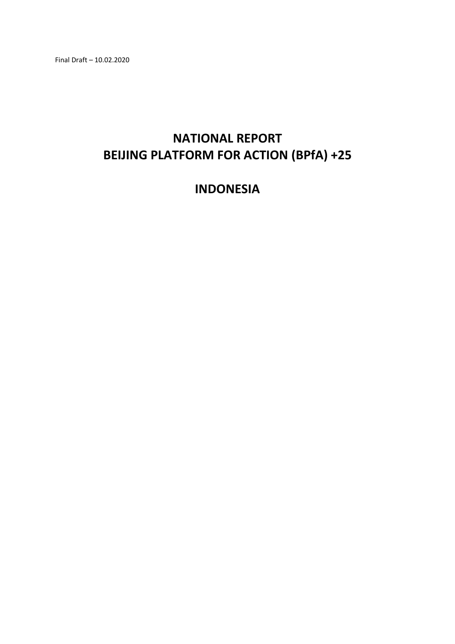Final Draft – 10.02.2020

# **NATIONAL REPORT BEIJING PLATFORM FOR ACTION (BPfA) +25**

## **INDONESIA**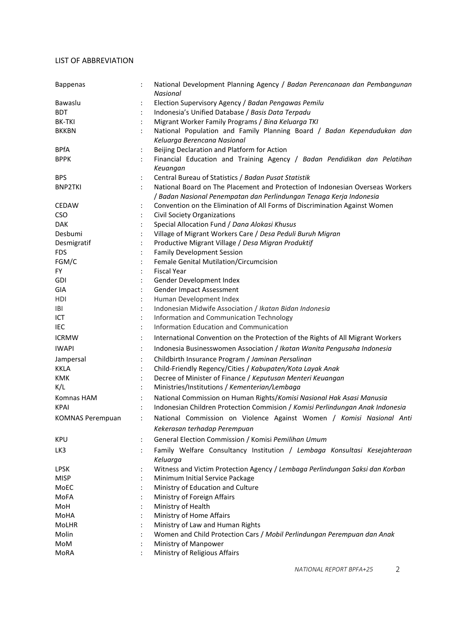#### <span id="page-1-0"></span>LIST OF ABBREVIATION

| <b>Bappenas</b>         |                      | National Development Planning Agency / Badan Perencanaan dan Pembangunan<br>Nasional     |
|-------------------------|----------------------|------------------------------------------------------------------------------------------|
| Bawaslu                 |                      | Election Supervisory Agency / Badan Pengawas Pemilu                                      |
| <b>BDT</b>              |                      | Indonesia's Unified Database / Basis Data Terpadu                                        |
| <b>BK-TKI</b>           |                      | Migrant Worker Family Programs / Bina Keluarga TKI                                       |
| <b>BKKBN</b>            | $\ddot{\cdot}$       | National Population and Family Planning Board / Badan Kependudukan dan                   |
|                         |                      | Keluarga Berencana Nasional                                                              |
| <b>BPfA</b>             | $\ddot{\cdot}$       | Beijing Declaration and Platform for Action                                              |
| <b>BPPK</b>             |                      | Financial Education and Training Agency / Badan Pendidikan dan Pelatihan                 |
|                         |                      | Keuangan                                                                                 |
| <b>BPS</b>              |                      | Central Bureau of Statistics / Badan Pusat Statistik                                     |
| <b>BNP2TKI</b>          |                      | National Board on The Placement and Protection of Indonesian Overseas Workers            |
|                         |                      | / Badan Nasional Penempatan dan Perlindungan Tenaga Kerja Indonesia                      |
| <b>CEDAW</b>            | $\ddot{\cdot}$       | Convention on the Elimination of All Forms of Discrimination Against Women               |
| <b>CSO</b>              | $\ddot{\phantom{a}}$ | <b>Civil Society Organizations</b>                                                       |
| <b>DAK</b>              | $\ddot{\cdot}$       | Special Allocation Fund / Dana Alokasi Khusus                                            |
| Desbumi                 |                      | Village of Migrant Workers Care / Desa Peduli Buruh Migran                               |
| Desmigratif             |                      | Productive Migrant Village / Desa Migran Produktif                                       |
| <b>FDS</b>              | $\ddot{\phantom{a}}$ | <b>Family Development Session</b>                                                        |
| FGM/C                   |                      | Female Genital Mutilation/Circumcision                                                   |
| <b>FY</b>               |                      | <b>Fiscal Year</b>                                                                       |
| <b>GDI</b>              | $\ddot{\cdot}$       | Gender Development Index                                                                 |
| GIA                     | $\ddot{\cdot}$       | Gender Impact Assessment                                                                 |
| HDI                     |                      | Human Development Index                                                                  |
| <b>IBI</b>              |                      | Indonesian Midwife Association / Ikatan Bidan Indonesia                                  |
| ICT                     |                      | Information and Communication Technology                                                 |
| IEC                     |                      | Information Education and Communication                                                  |
| <b>ICRMW</b>            |                      |                                                                                          |
|                         | $\ddot{\cdot}$       | International Convention on the Protection of the Rights of All Migrant Workers          |
| <b>IWAPI</b>            | $\ddot{\cdot}$       | Indonesia Businesswomen Association / Ikatan Wanita Pengusaha Indonesia                  |
| Jampersal               | $\ddot{\cdot}$       | Childbirth Insurance Program / Jaminan Persalinan                                        |
| <b>KKLA</b>             |                      | Child-Friendly Regency/Cities / Kabupaten/Kota Layak Anak                                |
| <b>KMK</b>              | $\ddot{\cdot}$       | Decree of Minister of Finance / Keputusan Menteri Keuangan                               |
| K/L                     |                      | Ministries/Institutions / Kementerian/Lembaga                                            |
| Komnas HAM              |                      | National Commission on Human Rights/Komisi Nasional Hak Asasi Manusia                    |
| <b>KPAI</b>             | $\ddot{\cdot}$       | Indonesian Children Protection Commision / Komisi Perlindungan Anak Indonesia            |
| <b>KOMNAS Perempuan</b> |                      | National Commission on Violence Against Women / Komisi Nasional Anti                     |
|                         |                      | Kekerasan terhadap Perempuan                                                             |
| <b>KPU</b>              |                      | General Election Commission / Komisi Pemilihan Umum                                      |
| LK3                     |                      | Family Welfare Consultancy Institution / Lembaga Konsultasi Kesejahteraan                |
|                         | $\ddot{\cdot}$       |                                                                                          |
| <b>LPSK</b>             |                      | Keluarga<br>Witness and Victim Protection Agency / Lembaga Perlindungan Saksi dan Korban |
|                         |                      |                                                                                          |
| <b>MISP</b><br>MoEC     |                      | Minimum Initial Service Package<br>Ministry of Education and Culture                     |
| MoFA                    |                      | Ministry of Foreign Affairs                                                              |
|                         |                      |                                                                                          |
| MoH                     |                      | Ministry of Health                                                                       |
| MoHA                    |                      | Ministry of Home Affairs                                                                 |
| <b>MoLHR</b>            |                      | Ministry of Law and Human Rights                                                         |
| Molin                   |                      | Women and Child Protection Cars / Mobil Perlindungan Perempuan dan Anak                  |
| MoM                     |                      | Ministry of Manpower                                                                     |
| MoRA                    |                      | Ministry of Religious Affairs                                                            |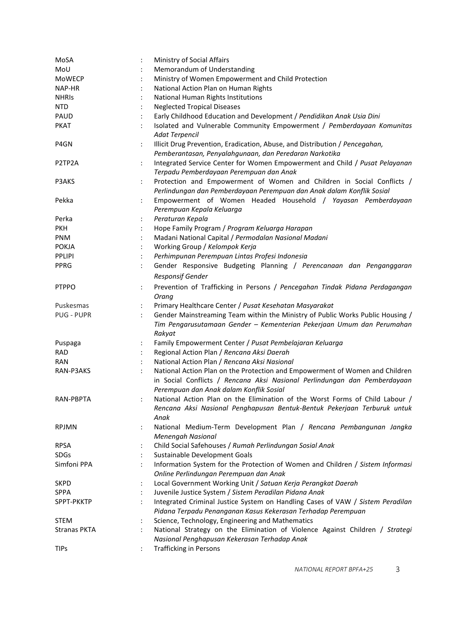| MoSA              |                | Ministry of Social Affairs                                                                                                                                       |
|-------------------|----------------|------------------------------------------------------------------------------------------------------------------------------------------------------------------|
| MoU               |                | Memorandum of Understanding                                                                                                                                      |
| MoWECP            |                | Ministry of Women Empowerment and Child Protection                                                                                                               |
| NAP-HR            |                | National Action Plan on Human Rights                                                                                                                             |
| <b>NHRIS</b>      |                | National Human Rights Institutions                                                                                                                               |
| <b>NTD</b>        |                | <b>Neglected Tropical Diseases</b>                                                                                                                               |
| PAUD              |                | Early Childhood Education and Development / Pendidikan Anak Usia Dini                                                                                            |
| <b>PKAT</b>       |                | Isolated and Vulnerable Community Empowerment / Pemberdayaan Komunitas                                                                                           |
|                   |                | <b>Adat Terpencil</b>                                                                                                                                            |
| P4GN              | $\ddot{\cdot}$ | Illicit Drug Prevention, Eradication, Abuse, and Distribution / Pencegahan,                                                                                      |
|                   |                | Pemberantasan, Penyalahgunaan, dan Peredaran Narkotika                                                                                                           |
| P2TP2A            | $\ddot{\cdot}$ | Integrated Service Center for Women Empowerment and Child / Pusat Pelayanan<br>Terpadu Pemberdayaan Perempuan dan Anak                                           |
| P3AKS             | $\ddot{\cdot}$ | Protection and Empowerment of Women and Children in Social Conflicts /                                                                                           |
|                   |                | Perlindungan dan Pemberdayaan Perempuan dan Anak dalam Konflik Sosial                                                                                            |
| Pekka             |                | Empowerment of Women Headed Household / Yayasan Pemberdayaan                                                                                                     |
|                   |                | Perempuan Kepala Keluarga                                                                                                                                        |
| Perka             |                | Peraturan Kepala                                                                                                                                                 |
| <b>PKH</b>        |                | Hope Family Program / Program Keluarga Harapan                                                                                                                   |
|                   |                |                                                                                                                                                                  |
| <b>PNM</b>        |                | Madani National Capital / Permodalan Nasional Madani                                                                                                             |
| <b>POKJA</b>      |                | Working Group / Kelompok Kerja                                                                                                                                   |
| <b>PPLIPI</b>     |                | Perhimpunan Perempuan Lintas Profesi Indonesia                                                                                                                   |
| PPRG              |                | Gender Responsive Budgeting Planning / Perencanaan dan Penganggaran                                                                                              |
|                   |                | <b>Responsif Gender</b>                                                                                                                                          |
| <b>PTPPO</b>      | $\ddot{\cdot}$ | Prevention of Trafficking in Persons / Pencegahan Tindak Pidana Perdagangan<br>Orang                                                                             |
| Puskesmas         |                | Primary Healthcare Center / Pusat Kesehatan Masyarakat                                                                                                           |
| <b>PUG - PUPR</b> | $\ddot{\cdot}$ | Gender Mainstreaming Team within the Ministry of Public Works Public Housing /                                                                                   |
|                   |                | Tim Pengarusutamaan Gender - Kementerian Pekerjaan Umum dan Perumahan<br>Rakyat                                                                                  |
|                   |                |                                                                                                                                                                  |
| Puspaga           |                | Family Empowerment Center / Pusat Pembelajaran Keluarga<br>Regional Action Plan / Rencana Aksi Daerah                                                            |
| <b>RAD</b>        |                |                                                                                                                                                                  |
| <b>RAN</b>        |                | National Action Plan / Rencana Aksi Nasional                                                                                                                     |
| RAN-P3AKS         |                | National Action Plan on the Protection and Empowerment of Women and Children<br>in Social Conflicts / Rencana Aksi Nasional Perlindungan dan Pemberdayaan        |
|                   |                | Perempuan dan Anak dalam Konflik Sosial                                                                                                                          |
| RAN-PBPTA         |                | National Action Plan on the Elimination of the Worst Forms of Child Labour /<br>Rencana Aksi Nasional Penghapusan Bentuk-Bentuk Pekerjaan Terburuk untuk<br>Anak |
| <b>RPJMN</b>      |                | National Medium-Term Development Plan / Rencana Pembangunan Jangka<br>Menengah Nasional                                                                          |
| <b>RPSA</b>       |                | Child Social Safehouses / Rumah Perlindungan Sosial Anak                                                                                                         |
| SDGs              |                | Sustainable Development Goals                                                                                                                                    |
| Simfoni PPA       |                | Information System for the Protection of Women and Children / Sistem Informasi                                                                                   |
|                   |                | Online Perlindungan Perempuan dan Anak                                                                                                                           |
| <b>SKPD</b>       | $\ddot{\cdot}$ | Local Government Working Unit / Satuan Kerja Perangkat Daerah                                                                                                    |
| <b>SPPA</b>       |                | Juvenile Justice System / Sistem Peradilan Pidana Anak                                                                                                           |
| SPPT-PKKTP        |                | Integrated Criminal Justice System on Handling Cases of VAW / Sistem Peradilan                                                                                   |
|                   |                | Pidana Terpadu Penanganan Kasus Kekerasan Terhadap Perempuan                                                                                                     |
| <b>STEM</b>       |                | Science, Technology, Engineering and Mathematics                                                                                                                 |
| Stranas PKTA      |                | National Strategy on the Elimination of Violence Against Children / Strategi                                                                                     |
|                   |                | Nasional Penghapusan Kekerasan Terhadap Anak                                                                                                                     |
| <b>TIPs</b>       |                | <b>Trafficking in Persons</b>                                                                                                                                    |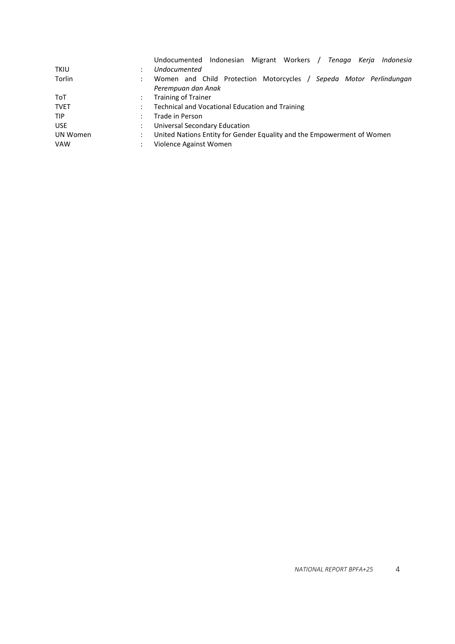|             | Indonesian Migrant Workers / Tenaga<br>Keria<br>Indonesia<br>Undocumented |
|-------------|---------------------------------------------------------------------------|
| <b>TKIU</b> | Undocumented                                                              |
| Torlin      | Women and Child Protection Motorcycles / Sepeda Motor Perlindungan        |
|             | Perempuan dan Anak                                                        |
| ToT         | <b>Training of Trainer</b>                                                |
| <b>TVET</b> | Technical and Vocational Education and Training                           |
| <b>TIP</b>  | Trade in Person                                                           |
| <b>USE</b>  | Universal Secondary Education                                             |
| UN Women    | United Nations Entity for Gender Equality and the Empowerment of Women    |
| <b>VAW</b>  | Violence Against Women                                                    |
|             |                                                                           |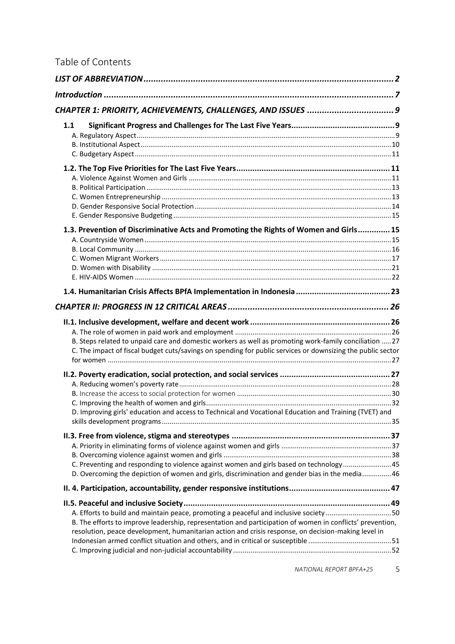## Table of Contents

| 1.1                                                                                                                                                                                                                                                                                                       |  |
|-----------------------------------------------------------------------------------------------------------------------------------------------------------------------------------------------------------------------------------------------------------------------------------------------------------|--|
|                                                                                                                                                                                                                                                                                                           |  |
| 1.3. Prevention of Discriminative Acts and Promoting the Rights of Women and Girls 15                                                                                                                                                                                                                     |  |
|                                                                                                                                                                                                                                                                                                           |  |
|                                                                                                                                                                                                                                                                                                           |  |
| B. Steps related to unpaid care and domestic workers as well as promoting work-family conciliation  27<br>C. The impact of fiscal budget cuts/savings on spending for public services or downsizing the public sector                                                                                     |  |
|                                                                                                                                                                                                                                                                                                           |  |
| D. Improving girls' education and access to Technical and Vocational Education and Training (TVET) and                                                                                                                                                                                                    |  |
| C. Preventing and responding to violence against women and girls based on technology45<br>D. Overcoming the depiction of women and girls, discrimination and gender bias in the media46                                                                                                                   |  |
|                                                                                                                                                                                                                                                                                                           |  |
| A. Efforts to build and maintain peace, promoting a peaceful and inclusive society 50<br>B. The efforts to improve leadership, representation and participation of women in conflicts' prevention,<br>resolution, peace development, humanitarian action and crisis response, on decision-making level in |  |

*NATIONAL REPORT BPFA+25* 5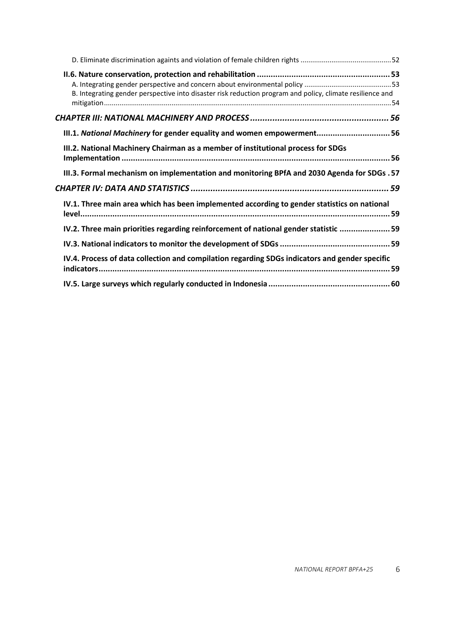| B. Integrating gender perspective into disaster risk reduction program and policy, climate resilience and |
|-----------------------------------------------------------------------------------------------------------|
|                                                                                                           |
| III.1. National Machinery for gender equality and women empowerment 56                                    |
| III.2. National Machinery Chairman as a member of institutional process for SDGs                          |
| III.3. Formal mechanism on implementation and monitoring BPfA and 2030 Agenda for SDGs . 57               |
|                                                                                                           |
| IV.1. Three main area which has been implemented according to gender statistics on national               |
| IV.2. Three main priorities regarding reinforcement of national gender statistic  59                      |
|                                                                                                           |
| IV.4. Process of data collection and compilation regarding SDGs indicators and gender specific            |
|                                                                                                           |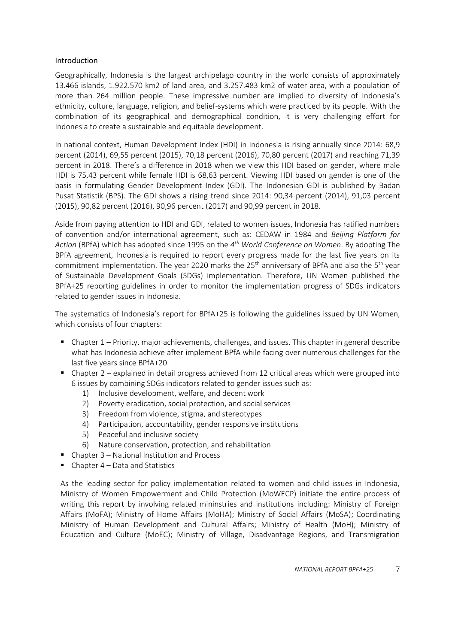## <span id="page-6-0"></span>Introduction

Geographically, Indonesia is the largest archipelago country in the world consists of approximately 13.466 islands, 1.922.570 km2 of land area, and 3.257.483 km2 of water area, with a population of more than 264 million people. These impressive number are implied to diversity of Indonesia's ethnicity, culture, language, religion, and belief-systems which were practiced by its people. With the combination of its geographical and demographical condition, it is very challenging effort for Indonesia to create a sustainable and equitable development.

In national context, Human Development Index (HDI) in Indonesia is rising annually since 2014: 68,9 percent (2014), 69,55 percent (2015), 70,18 percent (2016), 70,80 percent (2017) and reaching 71,39 percent in 2018. There's a difference in 2018 when we view this HDI based on gender, where male HDI is 75,43 percent while female HDI is 68,63 percent. Viewing HDI based on gender is one of the basis in formulating Gender Development Index (GDI). The Indonesian GDI is published by Badan Pusat Statistik (BPS). The GDI shows a rising trend since 2014: 90,34 percent (2014), 91,03 percent (2015), 90,82 percent (2016), 90,96 percent (2017) and 90,99 percent in 2018.

Aside from paying attention to HDI and GDI, related to women issues, Indonesia has ratified numbers of convention and/or international agreement, such as: CEDAW in 1984 and *Beijing Platform for Action* (BPfA) which has adopted since 1995 on the *4 th World Conference on Women*. By adopting The BPfA agreement, Indonesia is required to report every progress made for the last five years on its commitment implementation. The year 2020 marks the 25<sup>th</sup> anniversary of BPfA and also the 5<sup>th</sup> year of Sustainable Development Goals (SDGs) implementation. Therefore, UN Women published the BPfA+25 reporting guidelines in order to monitor the implementation progress of SDGs indicators related to gender issues in Indonesia.

The systematics of Indonesia's report for BPfA+25 is following the guidelines issued by UN Women, which consists of four chapters:

- $\blacksquare$  Chapter 1 Priority, major achievements, challenges, and issues. This chapter in general describe what has Indonesia achieve after implement BPfA while facing over numerous challenges for the last five years since BPfA+20.
- $\blacksquare$  Chapter 2 explained in detail progress achieved from 12 critical areas which were grouped into 6 issues by combining SDGs indicators related to gender issues such as:
	- 1) Inclusive development, welfare, and decent work
	- 2) Poverty eradication, social protection, and social services
	- 3) Freedom from violence, stigma, and stereotypes
	- 4) Participation, accountability, gender responsive institutions
	- 5) Peaceful and inclusive society
	- 6) Nature conservation, protection, and rehabilitation
- **Chapter 3 National Institution and Process**
- $\blacksquare$  Chapter 4 Data and Statistics

As the leading sector for policy implementation related to women and child issues in Indonesia, Ministry of Women Empowerment and Child Protection (MoWECP) initiate the entire process of writing this report by involving related mininstries and institutions including: Ministry of Foreign Affairs (MoFA); Ministry of Home Affairs (MoHA); Ministry of Social Affairs (MoSA); Coordinating Ministry of Human Development and Cultural Affairs; Ministry of Health (MoH); Ministry of Education and Culture (MoEC); Ministry of Village, Disadvantage Regions, and Transmigration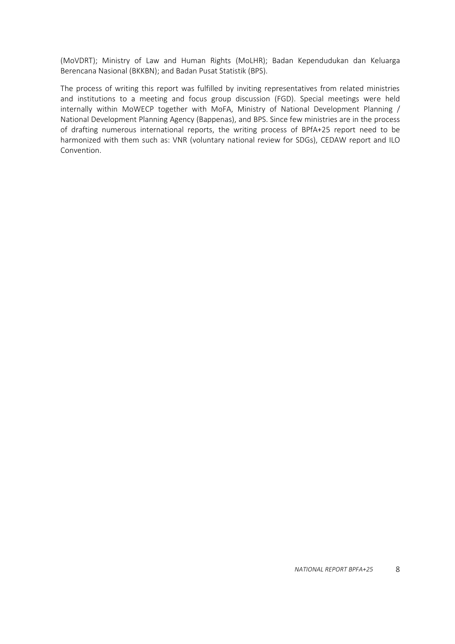(MoVDRT); Ministry of Law and Human Rights (MoLHR); Badan Kependudukan dan Keluarga Berencana Nasional (BKKBN); and Badan Pusat Statistik (BPS).

The process of writing this report was fulfilled by inviting representatives from related ministries and institutions to a meeting and focus group discussion (FGD). Special meetings were held internally within MoWECP together with MoFA, Ministry of National Development Planning / National Development Planning Agency (Bappenas), and BPS. Since few ministries are in the process of drafting numerous international reports, the writing process of BPfA+25 report need to be harmonized with them such as: VNR (voluntary national review for SDGs), CEDAW report and ILO Convention.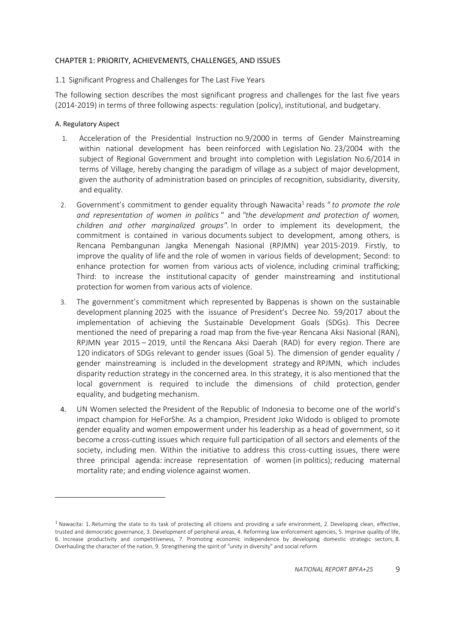## <span id="page-8-0"></span>CHAPTER 1: PRIORITY, ACHIEVEMENTS, CHALLENGES, AND ISSUES

## <span id="page-8-1"></span>1.1 Significant Progress and Challenges for The Last Five Years

The following section describes the most significant progress and challenges for the last five years (2014-2019) in terms of three following aspects: regulation (policy), institutional, and budgetary.

## <span id="page-8-2"></span>A. Regulatory Aspect

- 1. Acceleration of the Presidential Instruction no.9/2000 in terms of Gender Mainstreaming within national development has been reinforced with Legislation No. 23/2004 with the subject of Regional Government and brought into completion with Legislation No.6/2014 in terms of Village, hereby changing the paradigm of village as a subject of major development, given the authority of administration based on principles of recognition, subsidiarity, diversity, and equality.
- 2. Government's commitment to gender equality through Nawacita<sup>1</sup> reads " to promote the role *and representation of women in politics* " and *"the development and protection of women, children and other marginalized groups"*. In order to implement its development, the commitment is contained in various documents subject to development, among others, is Rencana Pembangunan Jangka Menengah Nasional (RPJMN) year 2015-2019. Firstly, to improve the quality of life and the role of women in various fields of development; Second: to enhance protection for women from various acts of violence, including criminal trafficking; Third: to increase the institutional capacity of gender mainstreaming and institutional protection for women from various acts of violence.
- 3. The government's commitment which represented by Bappenas is shown on the sustainable development planning 2025 with the issuance of President's Decree No. 59/2017 about the implementation of achieving the Sustainable Development Goals (SDGs). This Decree mentioned the need of preparing a road map from the five-year Rencana Aksi Nasional (RAN), RPJMN year 2015 – 2019, until the Rencana Aksi Daerah (RAD) for every region. There are 120 indicators of SDGs relevant to gender issues (Goal 5). The dimension of gender equality / gender mainstreaming is included in the development strategy and RPJMN, which includes disparity reduction strategy in the concerned area. In this strategy, it is also mentioned that the local government is required to include the dimensions of child protection, gender equality, and budgeting mechanism.
- 4. UN Women selected the President of the Republic of Indonesia to become one of the world's impact champion for HeForShe*.* As a champion, President Joko Widodo is obliged to promote gender equality and women empowerment under his leadership as a head of government, so it become a cross-cutting issues which require full participation of all sectors and elements of the society, including men. Within the initiative to address this cross-cutting issues, there were three principal agenda: increase representation of women (in politics); reducing maternal mortality rate; and ending violence against women.

 $1$  Nawacita: 1. Returning the state to its task of protecting all citizens and providing a safe environment, 2. Developing clean, effective, trusted and democratic governance, 3. Development of peripheral areas, 4. Reforming law enforcement agencies, 5. Improve quality of life, 6. Increase productivity and competitiveness, 7. Promoting economic independence by developing domestic strategic sectors, 8. Overhauling the character of the nation, 9. Strengthening the spirit of "unity in diversity" and social reform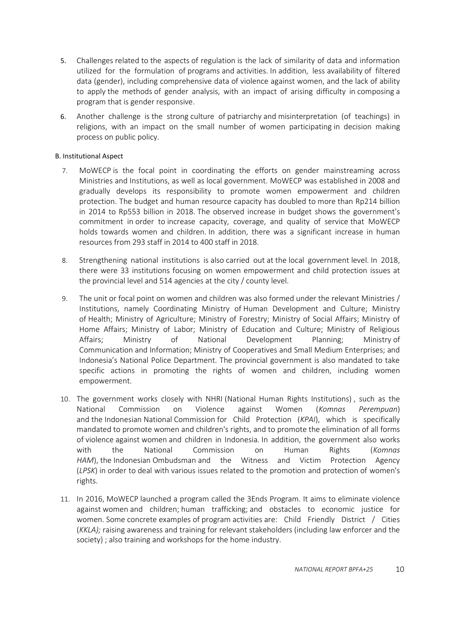- 5. Challenges related to the aspects of regulation is the lack of similarity of data and information utilized for the formulation of programs and activities. In addition, less availability of filtered data (gender), including comprehensive data of violence against women, and the lack of ability to apply the methods of gender analysis, with an impact of arising difficulty in composing a program that is gender responsive.
- 6. Another challenge is the strong culture of patriarchy and misinterpretation (of teachings) in religions, with an impact on the small number of women participating in decision making process on public policy.

## <span id="page-9-0"></span>B. Institutional Aspect

- 7. MoWECP is the focal point in coordinating the efforts on gender mainstreaming across Ministries and Institutions, as well as local government. MoWECP was established in 2008 and gradually develops its responsibility to promote women empowerment and children protection. The budget and human resource capacity has doubled to more than Rp214 billion in 2014 to Rp553 billion in 2018. The observed increase in budget shows the government's commitment in order to increase capacity, coverage, and quality of service that MoWECP holds towards women and children. In addition, there was a significant increase in human resources from 293 staff in 2014 to 400 staff in 2018.
- 8. Strengthening national institutions is also carried out at the local government level. In 2018, there were 33 institutions focusing on women empowerment and child protection issues at the provincial level and 514 agencies at the city / county level.
- 9. The unit or focal point on women and children was also formed under the relevant Ministries / Institutions, namely Coordinating Ministry of Human Development and Culture; Ministry of Health; Ministry of Agriculture; Ministry of Forestry; Ministry of Social Affairs; Ministry of Home Affairs; Ministry of Labor; Ministry of Education and Culture; Ministry of Religious Affairs; Ministry of National Development Planning; Ministry of Communication and Information; Ministry of Cooperatives and Small Medium Enterprises; and Indonesia's National Police Department. The provincial government is also mandated to take specific actions in promoting the rights of women and children, including women empowerment.
- 10. The government works closely with NHRI (National Human Rights Institutions) , such as the National Commission on Violence against Women (*Komnas Perempuan*) and the Indonesian National Commission for Child Protection (*KPAI*), which is specifically mandated to promote women and children's rights, and to promote the elimination of all forms of violence against women and children in Indonesia. In addition, the government also works with the National Commission on Human Rights (*Komnas HAM*), the Indonesian Ombudsman and the Witness and Victim Protection Agency (*LPSK*) in order to deal with various issues related to the promotion and protection of women's rights.
- 11. In 2016, MoWECP launched a program called the 3Ends Program. It aims to eliminate violence against women and children; human trafficking; and obstacles to economic justice for women. Some concrete examples of program activities are: Child Friendly District / Cities (*KKLA);* raising awareness and training for relevant stakeholders (including law enforcer and the society) ; also training and workshops for the home industry.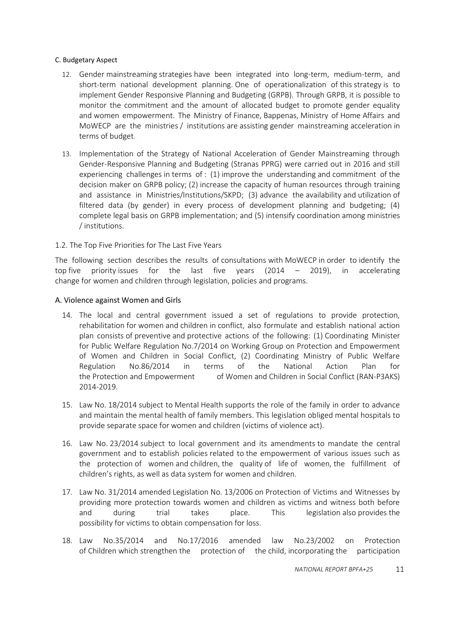## <span id="page-10-0"></span>C. Budgetary Aspect

- 12. Gender mainstreaming strategies have been integrated into long-term, medium-term, and short-term national development planning. One of operationalization of this strategy is to implement Gender Responsive Planning and Budgeting (GRPB). Through GRPB, it is possible to monitor the commitment and the amount of allocated budget to promote gender equality and women empowerment. The Ministry of Finance, Bappenas, Ministry of Home Affairs and MoWECP are the ministries / institutions are assisting gender mainstreaming acceleration in terms of budget.
- 13. Implementation of the Strategy of National Acceleration of Gender Mainstreaming through Gender-Responsive Planning and Budgeting (Stranas PPRG) were carried out in 2016 and still experiencing challenges in terms of : (1) improve the understanding and commitment of the decision maker on GRPB policy; (2) increase the capacity of human resources through training and assistance in Ministries/Institutions/SKPD; (3) advance the availability and utilization of filtered data (by gender) in every process of development planning and budgeting; (4) complete legal basis on GRPB implementation; and (5) intensify coordination among ministries / institutions.

## <span id="page-10-1"></span>1.2. The Top Five Priorities for The Last Five Years

The following section describes the results of consultations with MoWECP in order to identify the top five priority issues for the last five years (2014 – 2019), in accelerating change for women and children through legislation, policies and programs.

## <span id="page-10-2"></span>A. Violence against Women and Girls

- 14. The local and central government issued a set of regulations to provide protection, rehabilitation for women and children in conflict, also formulate and establish national action plan consists of preventive and protective actions of the following: (1) Coordinating Minister for Public Welfare Regulation No.7/2014 on Working Group on Protection and Empowerment of Women and Children in Social Conflict, (2) Coordinating Ministry of Public Welfare Regulation No.86/2014 in terms of the National Action Plan for the Protection and Empowerment of Women and Children in Social Conflict (RAN-P3AKS) 2014-2019.
- 15. Law No. 18/2014 subject to Mental Health supports the role of the family in order to advance and maintain the mental health of family members. This legislation obliged mental hospitals to provide separate space for women and children (victims of violence act).
- 16. Law No. 23/2014 subject to local government and its amendments to mandate the central government and to establish policies related to the empowerment of various issues such as the protection of women and children, the quality of life of women, the fulfillment of children's rights, as well as data system for women and children.
- 17. Law No. 31/2014 amended Legislation No. 13/2006 on Protection of Victims and Witnesses by providing more protection towards women and children as victims and witness both before and during trial takes place. This legislation also provides the possibility for victims to obtain compensation for loss.
- 18. Law No.35/2014 and No.17/2016 amended law No.23/2002 on Protection of Children which strengthen the protection of the child, incorporating the participation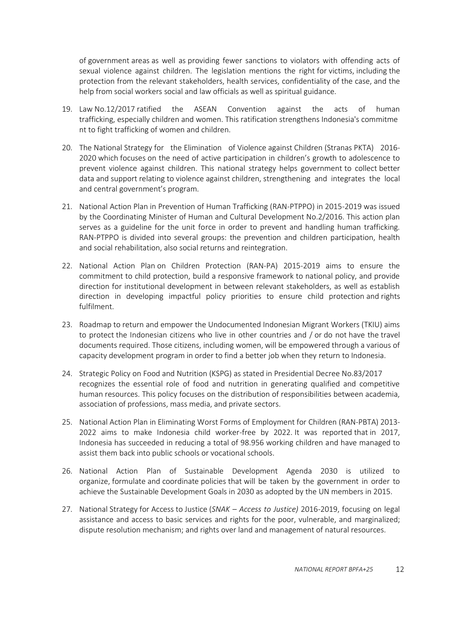of government areas as well as providing fewer sanctions to violators with offending acts of sexual violence against children. The legislation mentions the right for victims, including the protection from the relevant stakeholders, health services, confidentiality of the case, and the help from social workers social and law officials as well as spiritual guidance.

- 19. Law No.12/2017 ratified the ASEAN Convention against the acts of human trafficking, especially children and women. This ratification strengthens Indonesia's commitme nt to fight trafficking of women and children.
- 20. The National Strategy for the Elimination of Violence against Children (Stranas PKTA) 2016- 2020 which focuses on the need of active participation in children's growth to adolescence to prevent violence against children. This national strategy helps government to collect better data and support relating to violence against children, strengthening and integrates the local and central government's program.
- 21. National Action Plan in Prevention of Human Trafficking (RAN-PTPPO) in 2015-2019 was issued by the Coordinating Minister of Human and Cultural Development No.2/2016. This action plan serves as a guideline for the unit force in order to prevent and handling human trafficking. RAN-PTPPO is divided into several groups: the prevention and children participation, health and social rehabilitation, also social returns and reintegration.
- 22. National Action Plan on Children Protection (RAN-PA) 2015-2019 aims to ensure the commitment to child protection, build a responsive framework to national policy, and provide direction for institutional development in between relevant stakeholders, as well as establish direction in developing impactful policy priorities to ensure child protection and rights fulfilment.
- 23. Roadmap to return and empower the Undocumented Indonesian Migrant Workers (TKIU) aims to protect the Indonesian citizens who live in other countries and / or do not have the travel documents required. Those citizens, including women, will be empowered through a various of capacity development program in order to find a better job when they return to Indonesia.
- 24. Strategic Policy on Food and Nutrition (KSPG) as stated in Presidential Decree No.83/2017 recognizes the essential role of food and nutrition in generating qualified and competitive human resources. This policy focuses on the distribution of responsibilities between academia, association of professions, mass media, and private sectors.
- 25. National Action Plan in Eliminating Worst Forms of Employment for Children (RAN-PBTA) 2013- 2022 aims to make Indonesia child worker-free by 2022. It was reported that in 2017, Indonesia has succeeded in reducing a total of 98.956 working children and have managed to assist them back into public schools or vocational schools.
- 26. National Action Plan of Sustainable Development Agenda 2030 is utilized to organize, formulate and coordinate policies that will be taken by the government in order to achieve the Sustainable Development Goals in 2030 as adopted by the UN members in 2015.
- 27. National Strategy for Access to Justice (*SNAK – Access to Justice)* 2016-2019, focusing on legal assistance and access to basic services and rights for the poor, vulnerable, and marginalized; dispute resolution mechanism; and rights over land and management of natural resources.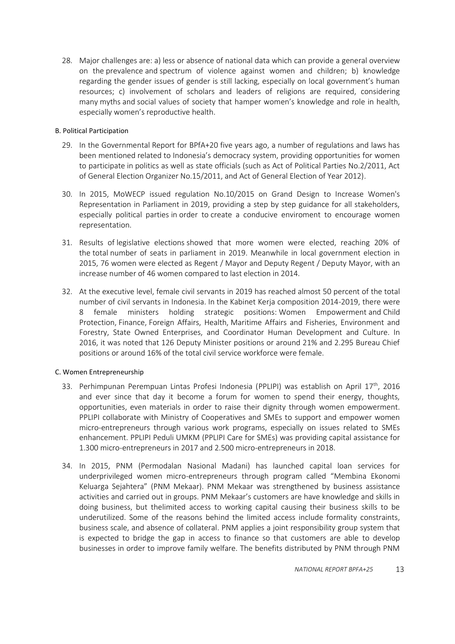28. Major challenges are: a) less or absence of national data which can provide a general overview on the prevalence and spectrum of violence against women and children; b) knowledge regarding the gender issues of gender is still lacking, especially on local government's human resources; c) involvement of scholars and leaders of religions are required, considering many myths and social values of society that hamper women's knowledge and role in health, especially women's reproductive health.

## <span id="page-12-0"></span>B. Political Participation

- 29. In the Governmental Report for BPfA+20 five years ago, a number of regulations and laws has been mentioned related to Indonesia's democracy system, providing opportunities for women to participate in politics as well as state officials (such as Act of Political Parties No.2/2011, Act of General Election Organizer No.15/2011, and Act of General Election of Year 2012).
- 30. In 2015, MoWECP issued regulation No.10/2015 on Grand Design to Increase Women's Representation in Parliament in 2019, providing a step by step guidance for all stakeholders, especially political parties in order to create a conducive enviroment to encourage women representation.
- 31. Results of legislative elections showed that more women were elected, reaching 20% of the total number of seats in parliament in 2019. Meanwhile in local government election in 2015, 76 women were elected as Regent / Mayor and Deputy Regent / Deputy Mayor, with an increase number of 46 women compared to last election in 2014.
- 32. At the executive level, female civil servants in 2019 has reached almost 50 percent of the total number of civil servants in Indonesia. In the Kabinet Kerja composition 2014-2019, there were 8 female ministers holding strategic positions: Women Empowerment and Child Protection, Finance, Foreign Affairs, Health, Maritime Affairs and Fisheries, Environment and Forestry, State Owned Enterprises, and Coordinator Human Development and Culture. In 2016, it was noted that 126 Deputy Minister positions or around 21% and 2.295 Bureau Chief positions or around 16% of the total civil service workforce were female.

## <span id="page-12-1"></span>C. Women Entrepreneurship

- 33. Perhimpunan Perempuan Lintas Profesi Indonesia (PPLIPI) was establish on April 17<sup>th</sup>, 2016 and ever since that day it become a forum for women to spend their energy, thoughts, opportunities, even materials in order to raise their dignity through women empowerment. PPLIPI collaborate with Ministry of Cooperatives and SMEs to support and empower women micro-entrepreneurs through various work programs, especially on issues related to SMEs enhancement. PPLIPI Peduli UMKM (PPLIPI Care for SMEs) was providing capital assistance for 1.300 micro-entrepreneurs in 2017 and 2.500 micro-entrepreneurs in 2018.
- 34. In 2015, PNM (Permodalan Nasional Madani) has launched capital loan services for underprivileged women micro-entrepreneurs through program called "Membina Ekonomi Keluarga Sejahtera" (PNM Mekaar). PNM Mekaar was strengthened by business assistance activities and carried out in groups. PNM Mekaar's customers are have knowledge and skills in doing business, but thelimited access to working capital causing their business skills to be underutilized. Some of the reasons behind the limited access include formality constraints, business scale, and absence of collateral. PNM applies a joint responsibility group system that is expected to bridge the gap in access to finance so that customers are able to develop businesses in order to improve family welfare. The benefits distributed by PNM through PNM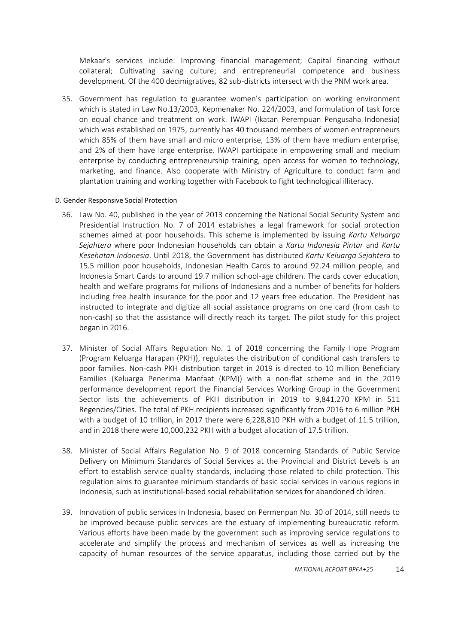Mekaar's services include: Improving financial management; Capital financing without collateral; Cultivating saving culture; and entrepreneurial competence and business development. Of the 400 decimigratives, 82 sub-districts intersect with the PNM work area.

35. Government has regulation to guarantee women's participation on working environment which is stated in Law No.13/2003, Kepmenaker No. 224/2003, and formulation of task force on equal chance and treatment on work. IWAPI (Ikatan Perempuan Pengusaha Indonesia) which was established on 1975, currently has 40 thousand members of women entrepreneurs which 85% of them have small and micro enterprise, 13% of them have medium enterprise, and 2% of them have large enterprise. IWAPI participate in empowering small and medium enterprise by conducting entrepreneurship training, open access for women to technology, marketing, and finance. Also cooperate with Ministry of Agriculture to conduct farm and plantation training and working together with Facebook to fight technological illiteracy.

#### <span id="page-13-0"></span>D. Gender Responsive Social Protection

- 36. Law No. 40, published in the year of 2013 concerning the National Social Security System and Presidential Instruction No. 7 of 2014 establishes a legal framework for social protection schemes aimed at poor households. This scheme is implemented by issuing *Kartu Keluarga Sejahtera* where poor Indonesian households can obtain a *Kartu Indonesia Pintar* and *Kartu Kesehatan Indonesia*. Until 2018, the Government has distributed *Kartu Keluarga Sejahtera* to 15.5 million poor households, Indonesian Health Cards to around 92.24 million people, and Indonesia Smart Cards to around 19.7 million school-age children. The cards cover education, health and welfare programs for millions of Indonesians and a number of benefits for holders including free health insurance for the poor and 12 years free education. The President has instructed to integrate and digitize all social assistance programs on one card (from cash to non-cash) so that the assistance will directly reach its target. The pilot study for this project began in 2016.
- 37. Minister of Social Affairs Regulation No. 1 of 2018 concerning the Family Hope Program (Program Keluarga Harapan (PKH)), regulates the distribution of conditional cash transfers to poor families. Non-cash PKH distribution target in 2019 is directed to 10 million Beneficiary Families (Keluarga Penerima Manfaat (KPM)) with a non-flat scheme and in the 2019 performance development report the Financial Services Working Group in the Government Sector lists the achievements of PKH distribution in 2019 to 9,841,270 KPM in 511 Regencies/Cities. The total of PKH recipients increased significantly from 2016 to 6 million PKH with a budget of 10 trillion, in 2017 there were 6,228,810 PKH with a budget of 11.5 trillion, and in 2018 there were 10,000,232 PKH with a budget allocation of 17.5 trillion.
- 38. Minister of Social Affairs Regulation No. 9 of 2018 concerning Standards of Public Service Delivery on Minimum Standards of Social Services at the Provincial and District Levels is an effort to establish service quality standards, including those related to child protection. This regulation aims to guarantee minimum standards of basic social services in various regions in Indonesia, such as institutional-based social rehabilitation services for abandoned children.
- 39. Innovation of public services in Indonesia, based on Permenpan No. 30 of 2014, still needs to be improved because public services are the estuary of implementing bureaucratic reform. Various efforts have been made by the government such as improving service regulations to accelerate and simplify the process and mechanism of services as well as increasing the capacity of human resources of the service apparatus, including those carried out by the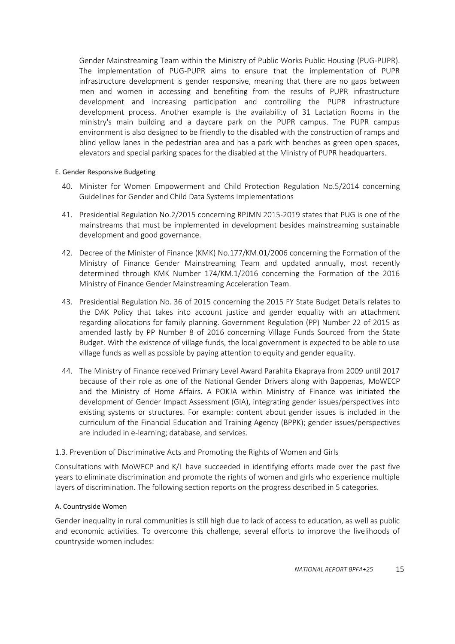Gender Mainstreaming Team within the Ministry of Public Works Public Housing (PUG-PUPR). The implementation of PUG-PUPR aims to ensure that the implementation of PUPR infrastructure development is gender responsive, meaning that there are no gaps between men and women in accessing and benefiting from the results of PUPR infrastructure development and increasing participation and controlling the PUPR infrastructure development process. Another example is the availability of 31 Lactation Rooms in the ministry's main building and a daycare park on the PUPR campus. The PUPR campus environment is also designed to be friendly to the disabled with the construction of ramps and blind yellow lanes in the pedestrian area and has a park with benches as green open spaces, elevators and special parking spaces for the disabled at the Ministry of PUPR headquarters.

## <span id="page-14-0"></span>E. Gender Responsive Budgeting

- 40. Minister for Women Empowerment and Child Protection Regulation No.5/2014 concerning Guidelines for Gender and Child Data Systems Implementations
- 41. Presidential Regulation No.2/2015 concerning RPJMN 2015-2019 states that PUG is one of the mainstreams that must be implemented in development besides mainstreaming sustainable development and good governance.
- 42. Decree of the Minister of Finance (KMK) No.177/KM.01/2006 concerning the Formation of the Ministry of Finance Gender Mainstreaming Team and updated annually, most recently determined through KMK Number 174/KM.1/2016 concerning the Formation of the 2016 Ministry of Finance Gender Mainstreaming Acceleration Team.
- 43. Presidential Regulation No. 36 of 2015 concerning the 2015 FY State Budget Details relates to the DAK Policy that takes into account justice and gender equality with an attachment regarding allocations for family planning. Government Regulation (PP) Number 22 of 2015 as amended lastly by PP Number 8 of 2016 concerning Village Funds Sourced from the State Budget. With the existence of village funds, the local government is expected to be able to use village funds as well as possible by paying attention to equity and gender equality*.*
- 44. The Ministry of Finance received Primary Level Award Parahita Ekapraya from 2009 until 2017 because of their role as one of the National Gender Drivers along with Bappenas, MoWECP and the Ministry of Home Affairs. A POKJA within Ministry of Finance was initiated the development of Gender Impact Assessment (GIA), integrating gender issues/perspectives into existing systems or structures. For example: content about gender issues is included in the curriculum of the Financial Education and Training Agency (BPPK); gender issues/perspectives are included in e-learning; database, and services.

## <span id="page-14-1"></span>1.3. Prevention of Discriminative Acts and Promoting the Rights of Women and Girls

Consultations with MoWECP and K/L have succeeded in identifying efforts made over the past five years to eliminate discrimination and promote the rights of women and girls who experience multiple layers of discrimination. The following section reports on the progress described in 5 categories.

#### <span id="page-14-2"></span>A. Countryside Women

Gender inequality in rural communities is still high due to lack of access to education, as well as public and economic activities. To overcome this challenge, several efforts to improve the livelihoods of countryside women includes: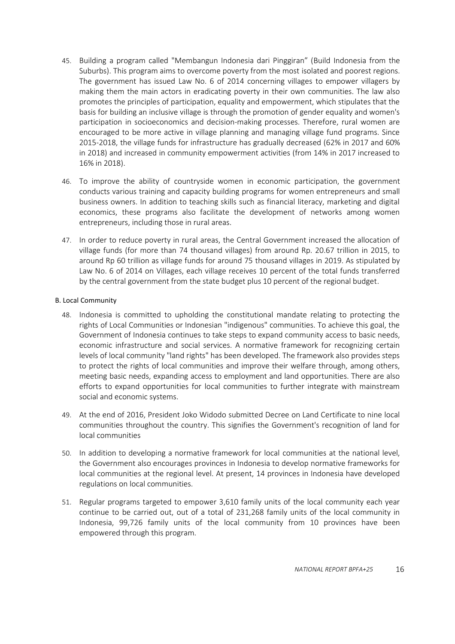- 45. Building a program called "Membangun Indonesia dari Pinggiran" (Build Indonesia from the Suburbs). This program aims to overcome poverty from the most isolated and poorest regions. The government has issued Law No. 6 of 2014 concerning villages to empower villagers by making them the main actors in eradicating poverty in their own communities. The law also promotes the principles of participation, equality and empowerment, which stipulates that the basis for building an inclusive village is through the promotion of gender equality and women's participation in socioeconomics and decision-making processes. Therefore, rural women are encouraged to be more active in village planning and managing village fund programs. Since 2015-2018, the village funds for infrastructure has gradually decreased (62% in 2017 and 60% in 2018) and increased in community empowerment activities (from 14% in 2017 increased to 16% in 2018).
- 46. To improve the ability of countryside women in economic participation, the government conducts various training and capacity building programs for women entrepreneurs and small business owners. In addition to teaching skills such as financial literacy, marketing and digital economics, these programs also facilitate the development of networks among women entrepreneurs, including those in rural areas.
- 47. In order to reduce poverty in rural areas, the Central Government increased the allocation of village funds (for more than 74 thousand villages) from around Rp. 20.67 trillion in 2015, to around Rp 60 trillion as village funds for around 75 thousand villages in 2019. As stipulated by Law No. 6 of 2014 on Villages, each village receives 10 percent of the total funds transferred by the central government from the state budget plus 10 percent of the regional budget.

## <span id="page-15-0"></span>B. Local Community

- 48. Indonesia is committed to upholding the constitutional mandate relating to protecting the rights of Local Communities or Indonesian "indigenous" communities. To achieve this goal, the Government of Indonesia continues to take steps to expand community access to basic needs, economic infrastructure and social services. A normative framework for recognizing certain levels of local community "land rights" has been developed. The framework also provides steps to protect the rights of local communities and improve their welfare through, among others, meeting basic needs, expanding access to employment and land opportunities. There are also efforts to expand opportunities for local communities to further integrate with mainstream social and economic systems.
- 49. At the end of 2016, President Joko Widodo submitted Decree on Land Certificate to nine local communities throughout the country. This signifies the Government's recognition of land for local communities
- 50. In addition to developing a normative framework for local communities at the national level, the Government also encourages provinces in Indonesia to develop normative frameworks for local communities at the regional level. At present, 14 provinces in Indonesia have developed regulations on local communities.
- 51. Regular programs targeted to empower 3,610 family units of the local community each year continue to be carried out, out of a total of 231,268 family units of the local community in Indonesia, 99,726 family units of the local community from 10 provinces have been empowered through this program.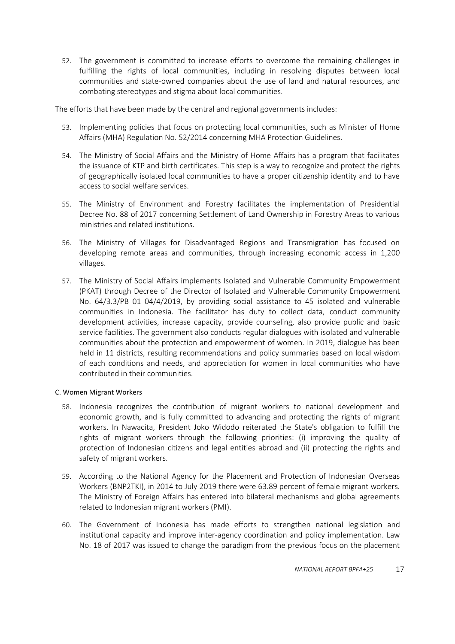52. The government is committed to increase efforts to overcome the remaining challenges in fulfilling the rights of local communities, including in resolving disputes between local communities and state-owned companies about the use of land and natural resources, and combating stereotypes and stigma about local communities.

The efforts that have been made by the central and regional governments includes:

- 53. Implementing policies that focus on protecting local communities, such as Minister of Home Affairs (MHA) Regulation No. 52/2014 concerning MHA Protection Guidelines.
- 54. The Ministry of Social Affairs and the Ministry of Home Affairs has a program that facilitates the issuance of KTP and birth certificates. This step is a way to recognize and protect the rights of geographically isolated local communities to have a proper citizenship identity and to have access to social welfare services.
- 55. The Ministry of Environment and Forestry facilitates the implementation of Presidential Decree No. 88 of 2017 concerning Settlement of Land Ownership in Forestry Areas to various ministries and related institutions.
- 56. The Ministry of Villages for Disadvantaged Regions and Transmigration has focused on developing remote areas and communities, through increasing economic access in 1,200 villages.
- 57. The Ministry of Social Affairs implements Isolated and Vulnerable Community Empowerment (PKAT) through Decree of the Director of Isolated and Vulnerable Community Empowerment No. 64/3.3/PB 01 04/4/2019, by providing social assistance to 45 isolated and vulnerable communities in Indonesia. The facilitator has duty to collect data, conduct community development activities, increase capacity, provide counseling, also provide public and basic service facilities. The government also conducts regular dialogues with isolated and vulnerable communities about the protection and empowerment of women. In 2019, dialogue has been held in 11 districts, resulting recommendations and policy summaries based on local wisdom of each conditions and needs, and appreciation for women in local communities who have contributed in their communities.

## <span id="page-16-0"></span>C. Women Migrant Workers

- 58. Indonesia recognizes the contribution of migrant workers to national development and economic growth, and is fully committed to advancing and protecting the rights of migrant workers. In Nawacita, President Joko Widodo reiterated the State's obligation to fulfill the rights of migrant workers through the following priorities: (i) improving the quality of protection of Indonesian citizens and legal entities abroad and (ii) protecting the rights and safety of migrant workers.
- 59. According to the National Agency for the Placement and Protection of Indonesian Overseas Workers (BNP2TKI), in 2014 to July 2019 there were 63.89 percent of female migrant workers. The Ministry of Foreign Affairs has entered into bilateral mechanisms and global agreements related to Indonesian migrant workers (PMI).
- 60. The Government of Indonesia has made efforts to strengthen national legislation and institutional capacity and improve inter-agency coordination and policy implementation. Law No. 18 of 2017 was issued to change the paradigm from the previous focus on the placement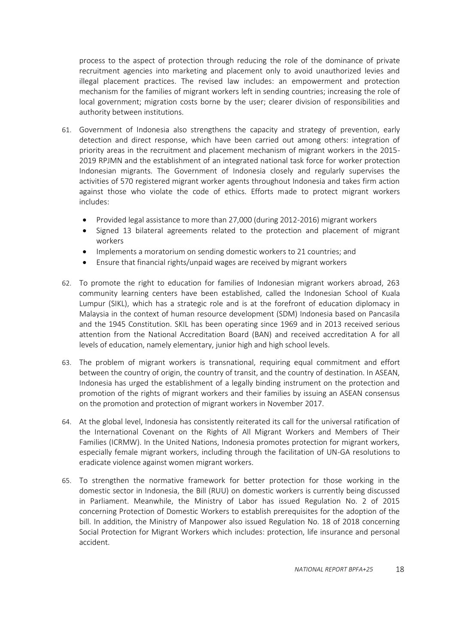process to the aspect of protection through reducing the role of the dominance of private recruitment agencies into marketing and placement only to avoid unauthorized levies and illegal placement practices. The revised law includes: an empowerment and protection mechanism for the families of migrant workers left in sending countries; increasing the role of local government; migration costs borne by the user; clearer division of responsibilities and authority between institutions.

- 61. Government of Indonesia also strengthens the capacity and strategy of prevention, early detection and direct response, which have been carried out among others: integration of priority areas in the recruitment and placement mechanism of migrant workers in the 2015- 2019 RPJMN and the establishment of an integrated national task force for worker protection Indonesian migrants. The Government of Indonesia closely and regularly supervises the activities of 570 registered migrant worker agents throughout Indonesia and takes firm action against those who violate the code of ethics. Efforts made to protect migrant workers includes:
	- Provided legal assistance to more than 27,000 (during 2012-2016) migrant workers
	- Signed 13 bilateral agreements related to the protection and placement of migrant workers
	- Implements a moratorium on sending domestic workers to 21 countries; and
	- Ensure that financial rights/unpaid wages are received by migrant workers
- 62. To promote the right to education for families of Indonesian migrant workers abroad, 263 community learning centers have been established, called the Indonesian School of Kuala Lumpur (SIKL), which has a strategic role and is at the forefront of education diplomacy in Malaysia in the context of human resource development (SDM) Indonesia based on Pancasila and the 1945 Constitution. SKIL has been operating since 1969 and in 2013 received serious attention from the National Accreditation Board (BAN) and received accreditation A for all levels of education, namely elementary, junior high and high school levels.
- 63. The problem of migrant workers is transnational, requiring equal commitment and effort between the country of origin, the country of transit, and the country of destination. In ASEAN, Indonesia has urged the establishment of a legally binding instrument on the protection and promotion of the rights of migrant workers and their families by issuing an ASEAN consensus on the promotion and protection of migrant workers in November 2017.
- 64. At the global level, Indonesia has consistently reiterated its call for the universal ratification of the International Covenant on the Rights of All Migrant Workers and Members of Their Families (ICRMW). In the United Nations, Indonesia promotes protection for migrant workers, especially female migrant workers, including through the facilitation of UN-GA resolutions to eradicate violence against women migrant workers.
- 65. To strengthen the normative framework for better protection for those working in the domestic sector in Indonesia, the Bill (RUU) on domestic workers is currently being discussed in Parliament. Meanwhile, the Ministry of Labor has issued Regulation No. 2 of 2015 concerning Protection of Domestic Workers to establish prerequisites for the adoption of the bill. In addition, the Ministry of Manpower also issued Regulation No. 18 of 2018 concerning Social Protection for Migrant Workers which includes: protection, life insurance and personal accident.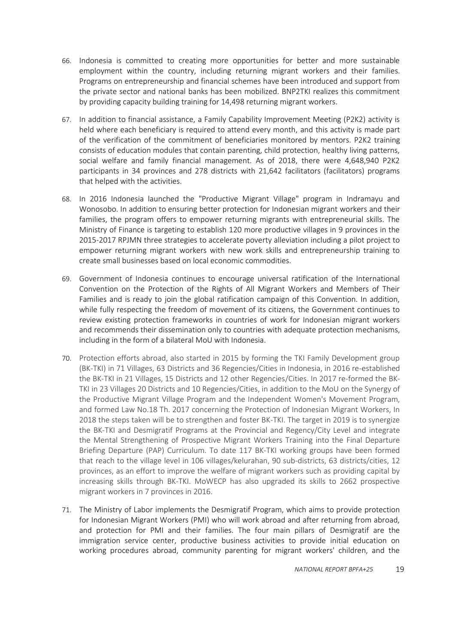- 66. Indonesia is committed to creating more opportunities for better and more sustainable employment within the country, including returning migrant workers and their families. Programs on entrepreneurship and financial schemes have been introduced and support from the private sector and national banks has been mobilized. BNP2TKI realizes this commitment by providing capacity building training for 14,498 returning migrant workers.
- 67. In addition to financial assistance, a Family Capability Improvement Meeting (P2K2) activity is held where each beneficiary is required to attend every month, and this activity is made part of the verification of the commitment of beneficiaries monitored by mentors. P2K2 training consists of education modules that contain parenting, child protection, healthy living patterns, social welfare and family financial management. As of 2018, there were 4,648,940 P2K2 participants in 34 provinces and 278 districts with 21,642 facilitators (facilitators) programs that helped with the activities.
- 68. In 2016 Indonesia launched the "Productive Migrant Village" program in Indramayu and Wonosobo. In addition to ensuring better protection for Indonesian migrant workers and their families, the program offers to empower returning migrants with entrepreneurial skills. The Ministry of Finance is targeting to establish 120 more productive villages in 9 provinces in the 2015-2017 RPJMN three strategies to accelerate poverty alleviation including a pilot project to empower returning migrant workers with new work skills and entrepreneurship training to create small businesses based on local economic commodities.
- 69. Government of Indonesia continues to encourage universal ratification of the International Convention on the Protection of the Rights of All Migrant Workers and Members of Their Families and is ready to join the global ratification campaign of this Convention. In addition, while fully respecting the freedom of movement of its citizens, the Government continues to review existing protection frameworks in countries of work for Indonesian migrant workers and recommends their dissemination only to countries with adequate protection mechanisms, including in the form of a bilateral MoU with Indonesia.
- 70. Protection efforts abroad, also started in 2015 by forming the TKI Family Development group (BK-TKI) in 71 Villages, 63 Districts and 36 Regencies/Cities in Indonesia, in 2016 re-established the BK-TKI in 21 Villages, 15 Districts and 12 other Regencies/Cities. In 2017 re-formed the BK-TKI in 23 Villages 20 Districts and 10 Regencies/Cities, in addition to the MoU on the Synergy of the Productive Migrant Village Program and the Independent Women's Movement Program, and formed Law No.18 Th. 2017 concerning the Protection of Indonesian Migrant Workers, In 2018 the steps taken will be to strengthen and foster BK-TKI. The target in 2019 is to synergize the BK-TKI and Desmigratif Programs at the Provincial and Regency/City Level and integrate the Mental Strengthening of Prospective Migrant Workers Training into the Final Departure Briefing Departure (PAP) Curriculum. To date 117 BK-TKI working groups have been formed that reach to the village level in 106 villages/kelurahan, 90 sub-districts, 63 districts/cities, 12 provinces, as an effort to improve the welfare of migrant workers such as providing capital by increasing skills through BK-TKI. MoWECP has also upgraded its skills to 2662 prospective migrant workers in 7 provinces in 2016.
- 71. The Ministry of Labor implements the Desmigratif Program, which aims to provide protection for Indonesian Migrant Workers (PMI) who will work abroad and after returning from abroad, and protection for PMI and their families. The four main pillars of Desmigratif are the immigration service center, productive business activities to provide initial education on working procedures abroad, community parenting for migrant workers' children, and the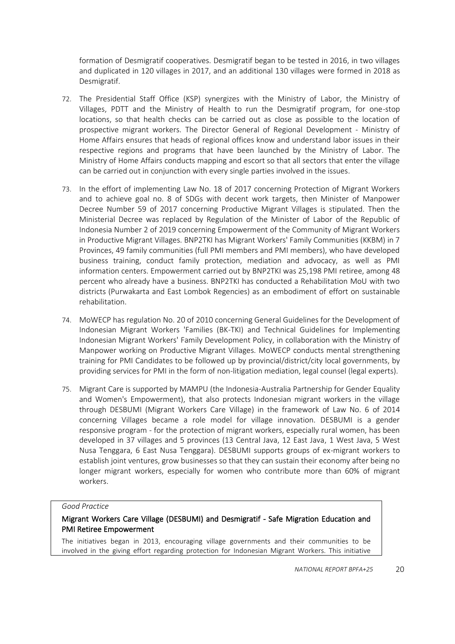formation of Desmigratif cooperatives. Desmigratif began to be tested in 2016, in two villages and duplicated in 120 villages in 2017, and an additional 130 villages were formed in 2018 as Desmigratif.

- 72. The Presidential Staff Office (KSP) synergizes with the Ministry of Labor, the Ministry of Villages, PDTT and the Ministry of Health to run the Desmigratif program, for one-stop locations, so that health checks can be carried out as close as possible to the location of prospective migrant workers. The Director General of Regional Development - Ministry of Home Affairs ensures that heads of regional offices know and understand labor issues in their respective regions and programs that have been launched by the Ministry of Labor. The Ministry of Home Affairs conducts mapping and escort so that all sectors that enter the village can be carried out in conjunction with every single parties involved in the issues.
- 73. In the effort of implementing Law No. 18 of 2017 concerning Protection of Migrant Workers and to achieve goal no. 8 of SDGs with decent work targets, then Minister of Manpower Decree Number 59 of 2017 concerning Productive Migrant Villages is stipulated. Then the Ministerial Decree was replaced by Regulation of the Minister of Labor of the Republic of Indonesia Number 2 of 2019 concerning Empowerment of the Community of Migrant Workers in Productive Migrant Villages. BNP2TKI has Migrant Workers' Family Communities (KKBM) in 7 Provinces, 49 family communities (full PMI members and PMI members), who have developed business training, conduct family protection, mediation and advocacy, as well as PMI information centers. Empowerment carried out by BNP2TKI was 25,198 PMI retiree, among 48 percent who already have a business. BNP2TKI has conducted a Rehabilitation MoU with two districts (Purwakarta and East Lombok Regencies) as an embodiment of effort on sustainable rehabilitation.
- 74. MoWECP has regulation No. 20 of 2010 concerning General Guidelines for the Development of Indonesian Migrant Workers 'Families (BK-TKI) and Technical Guidelines for Implementing Indonesian Migrant Workers' Family Development Policy, in collaboration with the Ministry of Manpower working on Productive Migrant Villages. MoWECP conducts mental strengthening training for PMI Candidates to be followed up by provincial/district/city local governments, by providing services for PMI in the form of non-litigation mediation, legal counsel (legal experts).
- 75. Migrant Care is supported by MAMPU (the Indonesia-Australia Partnership for Gender Equality and Women's Empowerment), that also protects Indonesian migrant workers in the village through DESBUMI (Migrant Workers Care Village) in the framework of Law No. 6 of 2014 concerning Villages became a role model for village innovation. DESBUMI is a gender responsive program - for the protection of migrant workers, especially rural women, has been developed in 37 villages and 5 provinces (13 Central Java, 12 East Java, 1 West Java, 5 West Nusa Tenggara, 6 East Nusa Tenggara). DESBUMI supports groups of ex-migrant workers to establish joint ventures, grow businesses so that they can sustain their economy after being no longer migrant workers, especially for women who contribute more than 60% of migrant workers.

#### *Good Practice*

## Migrant Workers Care Village (DESBUMI) and Desmigratif - Safe Migration Education and PMI Retiree Empowerment

The initiatives began in 2013, encouraging village governments and their communities to be involved in the giving effort regarding protection for Indonesian Migrant Workers. This initiative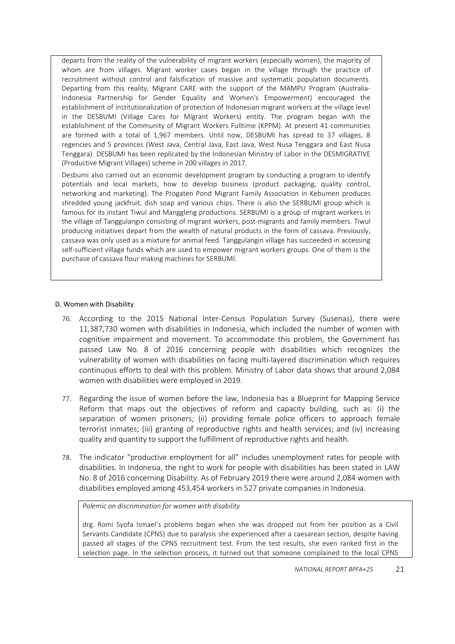departs from the reality of the vulnerability of migrant workers (especially women), the majority of whom are from villages. Migrant worker cases began in the village through the practice of recruitment without control and falsification of massive and systematic population documents. Departing from this reality, Migrant CARE with the support of the MAMPU Program (Australia-Indonesia Partnership for Gender Equality and Women's Empowerment) encouraged the establishment of institutionalization of protection of Indonesian migrant workers at the village level in the DESBUMI (Village Cares for Migrant Workers) entity. The program began with the establishment of the Community of Migrant Workers Fulltime (KPPM). At present 41 communities are formed with a total of 1,967 members. Until now, DESBUMI has spread to 37 villages, 8 regencies and 5 provinces (West Java, Central Java, East Java, West Nusa Tenggara and East Nusa Tenggara). DESBUMI has been replicated by the Indonesian Ministry of Labor in the DESMIGRATIVE (Productive Migrant Villages) scheme in 200 villages in 2017.

Desbumi also carried out an economic development program by conducting a program to identify potentials and local markets, how to develop business (product packaging, quality control, networking and marketing). The Progaten Pond Migrant Family Association in Kebumen produces shredded young jackfruit, dish soap and various chips. There is also the SERBUMI group which is famous for its instant Tiwul and Manggleng productions. SERBUMI is a group of migrant workers in the village of Tanggulangin consisting of migrant workers, post-migrants and family members. Tiwul producing initiatives depart from the wealth of natural products in the form of cassava. Previously, cassava was only used as a mixture for animal feed. Tanggulangin village has succeeded in accessing self-sufficient village funds which are used to empower migrant workers groups. One of them is the purchase of cassava flour making machines for SERBUMI.

## <span id="page-20-0"></span>D. Women with Disability

- 76. According to the 2015 National Inter-Census Population Survey (Susenas), there were 11,387,730 women with disabilities in Indonesia, which included the number of women with cognitive impairment and movement. To accommodate this problem, the Government has passed Law No. 8 of 2016 concerning people with disabilities which recognizes the vulnerability of women with disabilities on facing multi-layered discrimination which requires continuous efforts to deal with this problem. Ministry of Labor data shows that around 2,084 women with disabilities were employed in 2019.
- 77. Regarding the issue of women before the law, Indonesia has a Blueprint for Mapping Service Reform that maps out the objectives of reform and capacity building, such as: (i) the separation of women prisoners; (ii) providing female police officers to approach female terrorist inmates; (iii) granting of reproductive rights and health services; and (iv) increasing quality and quantity to support the fulfillment of reproductive rights and health.
- 78. The indicator "productive employment for all" includes unemployment rates for people with disabilities. In Indonesia, the right to work for people with disabilities has been stated in LAW No. 8 of 2016 concerning Disability. As of February 2019 there were around 2,084 women with disabilities employed among 453,454 workers in 527 private companies in Indonesia.

*Polemic on discrimination for women with disability*

drg. Romi Syofa Ismael's problems began when she was dropped out from her position as a Civil Servants Candidate (CPNS) due to paralysis she experienced after a caesarean section, despite having passed all stages of the CPNS recruitment test. From the test results, she even ranked first in the selection page. In the selection process, it turned out that someone complained to the local CPNS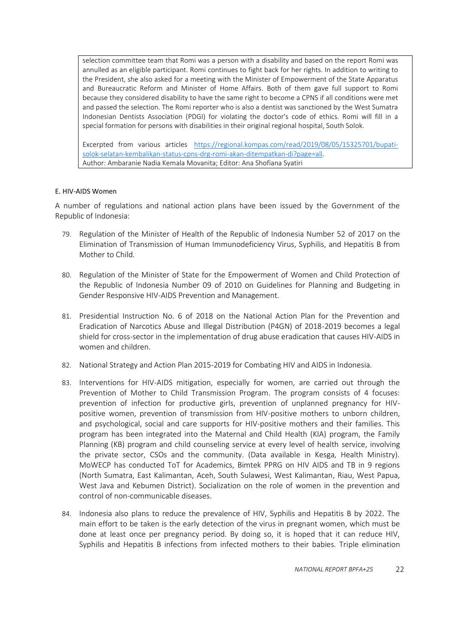selection committee team that Romi was a person with a disability and based on the report Romi was annulled as an eligible participant. Romi continues to fight back for her rights. In addition to writing to the President, she also asked for a meeting with the Minister of Empowerment of the State Apparatus and Bureaucratic Reform and Minister of Home Affairs. Both of them gave full support to Romi because they considered disability to have the same right to become a CPNS if all conditions were met and passed the selection. The Romi reporter who is also a dentist was sanctioned by the West Sumatra Indonesian Dentists Association (PDGI) for violating the doctor's code of ethics. Romi will fill in a special formation for persons with disabilities in their original regional hospital, South Solok.

Excerpted from various articles [https://regional.kompas.com/read/2019/08/05/15325701/bupati](https://regional.kompas.com/read/2019/08/05/15325701/bupati-solok-selatan-kembalikan-status-cpns-drg-romi-akan-ditempatkan-di?page=all)[solok-selatan-kembalikan-status-cpns-drg-romi-akan-ditempatkan-di?page=all.](https://regional.kompas.com/read/2019/08/05/15325701/bupati-solok-selatan-kembalikan-status-cpns-drg-romi-akan-ditempatkan-di?page=all) Author: Ambaranie Nadia Kemala Movanita; Editor: Ana Shofiana Syatiri

## <span id="page-21-0"></span>E. HIV-AIDS Women

A number of regulations and national action plans have been issued by the Government of the Republic of Indonesia:

- 79. Regulation of the Minister of Health of the Republic of Indonesia Number 52 of 2017 on the Elimination of Transmission of Human Immunodeficiency Virus, Syphilis, and Hepatitis B from Mother to Child.
- 80. Regulation of the Minister of State for the Empowerment of Women and Child Protection of the Republic of Indonesia Number 09 of 2010 on Guidelines for Planning and Budgeting in Gender Responsive HIV-AIDS Prevention and Management.
- 81. Presidential Instruction No. 6 of 2018 on the National Action Plan for the Prevention and Eradication of Narcotics Abuse and Illegal Distribution (P4GN) of 2018-2019 becomes a legal shield for cross-sector in the implementation of drug abuse eradication that causes HIV-AIDS in women and children.
- 82. National Strategy and Action Plan 2015-2019 for Combating HIV and AIDS in Indonesia.
- 83. Interventions for HIV-AIDS mitigation, especially for women, are carried out through the Prevention of Mother to Child Transmission Program. The program consists of 4 focuses: prevention of infection for productive girls, prevention of unplanned pregnancy for HIVpositive women, prevention of transmission from HIV-positive mothers to unborn children, and psychological, social and care supports for HIV-positive mothers and their families. This program has been integrated into the Maternal and Child Health (KIA) program, the Family Planning (KB) program and child counseling service at every level of health service, involving the private sector, CSOs and the community. (Data available in Kesga, Health Ministry). MoWECP has conducted ToT for Academics, Bimtek PPRG on HIV AIDS and TB in 9 regions (North Sumatra, East Kalimantan, Aceh, South Sulawesi, West Kalimantan, Riau, West Papua, West Java and Kebumen District). Socialization on the role of women in the prevention and control of non-communicable diseases.
- 84. Indonesia also plans to reduce the prevalence of HIV, Syphilis and Hepatitis B by 2022. The main effort to be taken is the early detection of the virus in pregnant women, which must be done at least once per pregnancy period. By doing so, it is hoped that it can reduce HIV, Syphilis and Hepatitis B infections from infected mothers to their babies. Triple elimination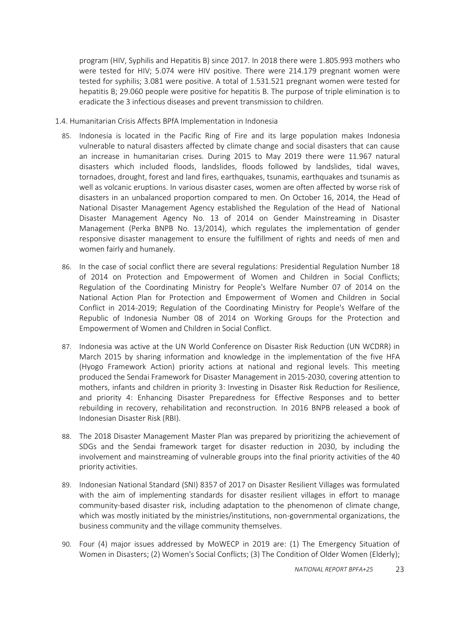program (HIV, Syphilis and Hepatitis B) since 2017. In 2018 there were 1.805.993 mothers who were tested for HIV; 5.074 were HIV positive. There were 214.179 pregnant women were tested for syphilis; 3.081 were positive. A total of 1.531.521 pregnant women were tested for hepatitis B; 29.060 people were positive for hepatitis B. The purpose of triple elimination is to eradicate the 3 infectious diseases and prevent transmission to children.

- <span id="page-22-0"></span>1.4. Humanitarian Crisis Affects BPfA Implementation in Indonesia
	- 85. Indonesia is located in the Pacific Ring of Fire and its large population makes Indonesia vulnerable to natural disasters affected by climate change and social disasters that can cause an increase in humanitarian crises. During 2015 to May 2019 there were 11.967 natural disasters which included floods, landslides, floods followed by landslides, tidal waves, tornadoes, drought, forest and land fires, earthquakes, tsunamis, earthquakes and tsunamis as well as volcanic eruptions. In various disaster cases, women are often affected by worse risk of disasters in an unbalanced proportion compared to men. On October 16, 2014, the Head of National Disaster Management Agency established the Regulation of the Head of National Disaster Management Agency No. 13 of 2014 on Gender Mainstreaming in Disaster Management (Perka BNPB No. 13/2014), which regulates the implementation of gender responsive disaster management to ensure the fulfillment of rights and needs of men and women fairly and humanely.
	- 86. In the case of social conflict there are several regulations: Presidential Regulation Number 18 of 2014 on Protection and Empowerment of Women and Children in Social Conflicts; Regulation of the Coordinating Ministry for People's Welfare Number 07 of 2014 on the National Action Plan for Protection and Empowerment of Women and Children in Social Conflict in 2014-2019; Regulation of the Coordinating Ministry for People's Welfare of the Republic of Indonesia Number 08 of 2014 on Working Groups for the Protection and Empowerment of Women and Children in Social Conflict.
	- 87. Indonesia was active at the UN World Conference on Disaster Risk Reduction (UN WCDRR) in March 2015 by sharing information and knowledge in the implementation of the five HFA (Hyogo Framework Action) priority actions at national and regional levels. This meeting produced the Sendai Framework for Disaster Management in 2015-2030, covering attention to mothers, infants and children in priority 3: Investing in Disaster Risk Reduction for Resilience, and priority 4: Enhancing Disaster Preparedness for Effective Responses and to better rebuilding in recovery, rehabilitation and reconstruction*.* In 2016 BNPB released a book of Indonesian Disaster Risk (RBI).
	- 88. The 2018 Disaster Management Master Plan was prepared by prioritizing the achievement of SDGs and the Sendai framework target for disaster reduction in 2030, by including the involvement and mainstreaming of vulnerable groups into the final priority activities of the 40 priority activities.
	- 89. Indonesian National Standard (SNI) 8357 of 2017 on Disaster Resilient Villages was formulated with the aim of implementing standards for disaster resilient villages in effort to manage community-based disaster risk, including adaptation to the phenomenon of climate change, which was mostly initiated by the ministries/institutions, non-governmental organizations, the business community and the village community themselves.
	- 90. Four (4) major issues addressed by MoWECP in 2019 are: (1) The Emergency Situation of Women in Disasters; (2) Women's Social Conflicts; (3) The Condition of Older Women (Elderly);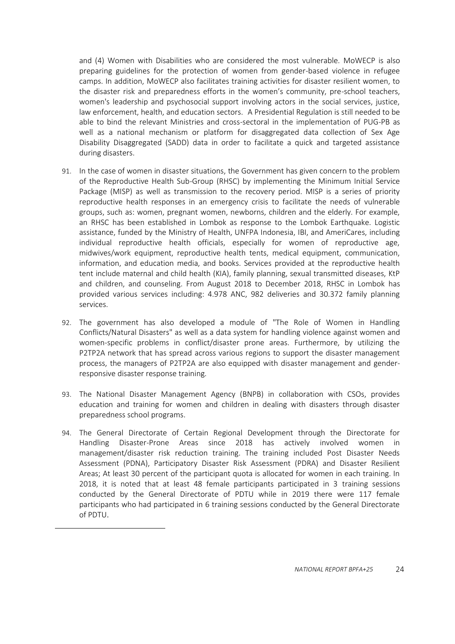and (4) Women with Disabilities who are considered the most vulnerable. MoWECP is also preparing guidelines for the protection of women from gender-based violence in refugee camps. In addition, MoWECP also facilitates training activities for disaster resilient women, to the disaster risk and preparedness efforts in the women's community, pre-school teachers, women's leadership and psychosocial support involving actors in the social services, justice, law enforcement, health, and education sectors. A Presidential Regulation is still needed to be able to bind the relevant Ministries and cross-sectoral in the implementation of PUG-PB as well as a national mechanism or platform for disaggregated data collection of Sex Age Disability Disaggregated (SADD) data in order to facilitate a quick and targeted assistance during disasters.

- 91. In the case of women in disaster situations, the Government has given concern to the problem of the Reproductive Health Sub-Group (RHSC) by implementing the Minimum Initial Service Package (MISP) as well as transmission to the recovery period. MISP is a series of priority reproductive health responses in an emergency crisis to facilitate the needs of vulnerable groups, such as: women, pregnant women, newborns, children and the elderly. For example, an RHSC has been established in Lombok as response to the Lombok Earthquake. Logistic assistance, funded by the Ministry of Health, UNFPA Indonesia, IBI, and AmeriCares, including individual reproductive health officials, especially for women of reproductive age, midwives/work equipment, reproductive health tents, medical equipment, communication, information, and education media, and books. Services provided at the reproductive health tent include maternal and child health (KIA), family planning, sexual transmitted diseases, KtP and children, and counseling. From August 2018 to December 2018, RHSC in Lombok has provided various services including: 4.978 ANC, 982 deliveries and 30.372 family planning services.
- 92. The government has also developed a module of "The Role of Women in Handling Conflicts/Natural Disasters" as well as a data system for handling violence against women and women-specific problems in conflict/disaster prone areas. Furthermore, by utilizing the P2TP2A network that has spread across various regions to support the disaster management process, the managers of P2TP2A are also equipped with disaster management and genderresponsive disaster response training.
- 93. The National Disaster Management Agency (BNPB) in collaboration with CSOs, provides education and training for women and children in dealing with disasters through disaster preparedness school programs.
- 94. The General Directorate of Certain Regional Development through the Directorate for Handling Disaster-Prone Areas since 2018 has actively involved women in management/disaster risk reduction training. The training included Post Disaster Needs Assessment (PDNA), Participatory Disaster Risk Assessment (PDRA) and Disaster Resilient Areas; At least 30 percent of the participant quota is allocated for women in each training. In 2018, it is noted that at least 48 female participants participated in 3 training sessions conducted by the General Directorate of PDTU while in 2019 there were 117 female participants who had participated in 6 training sessions conducted by the General Directorate of PDTU.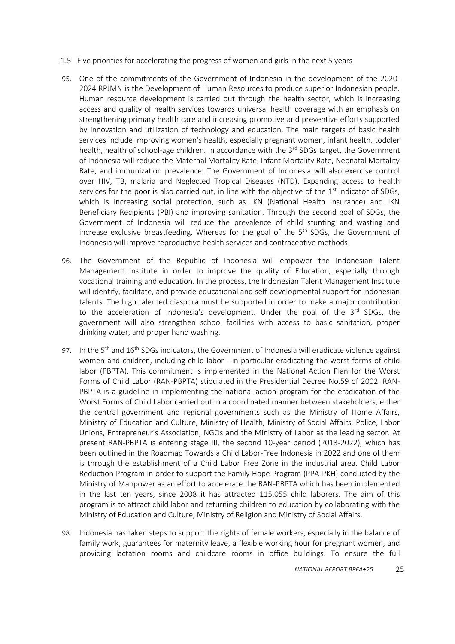- 1.5 Five priorities for accelerating the progress of women and girls in the next 5 years
- 95. One of the commitments of the Government of Indonesia in the development of the 2020- 2024 RPJMN is the Development of Human Resources to produce superior Indonesian people. Human resource development is carried out through the health sector, which is increasing access and quality of health services towards universal health coverage with an emphasis on strengthening primary health care and increasing promotive and preventive efforts supported by innovation and utilization of technology and education. The main targets of basic health services include improving women's health, especially pregnant women, infant health, toddler health, health of school-age children. In accordance with the  $3<sup>rd</sup>$  SDGs target, the Government of Indonesia will reduce the Maternal Mortality Rate, Infant Mortality Rate, Neonatal Mortality Rate, and immunization prevalence. The Government of Indonesia will also exercise control over HIV, TB, malaria and Neglected Tropical Diseases (NTD). Expanding access to health services for the poor is also carried out, in line with the objective of the  $1<sup>st</sup>$  indicator of SDGs, which is increasing social protection, such as JKN (National Health Insurance) and JKN Beneficiary Recipients (PBI) and improving sanitation. Through the second goal of SDGs, the Government of Indonesia will reduce the prevalence of child stunting and wasting and increase exclusive breastfeeding. Whereas for the goal of the  $5<sup>th</sup>$  SDGs, the Government of Indonesia will improve reproductive health services and contraceptive methods.
- 96. The Government of the Republic of Indonesia will empower the Indonesian Talent Management Institute in order to improve the quality of Education, especially through vocational training and education. In the process, the Indonesian Talent Management Institute will identify, facilitate, and provide educational and self-developmental support for Indonesian talents. The high talented diaspora must be supported in order to make a major contribution to the acceleration of Indonesia's development. Under the goal of the 3<sup>rd</sup> SDGs, the government will also strengthen school facilities with access to basic sanitation, proper drinking water, and proper hand washing.
- 97. In the  $5<sup>th</sup>$  and  $16<sup>th</sup>$  SDGs indicators, the Government of Indonesia will eradicate violence against women and children, including child labor - in particular eradicating the worst forms of child labor (PBPTA). This commitment is implemented in the National Action Plan for the Worst Forms of Child Labor (RAN-PBPTA) stipulated in the Presidential Decree No.59 of 2002. RAN-PBPTA is a guideline in implementing the national action program for the eradication of the Worst Forms of Child Labor carried out in a coordinated manner between stakeholders, either the central government and regional governments such as the Ministry of Home Affairs, Ministry of Education and Culture, Ministry of Health, Ministry of Social Affairs, Police, Labor Unions, Entrepreneur's Association, NGOs and the Ministry of Labor as the leading sector. At present RAN-PBPTA is entering stage III, the second 10-year period (2013-2022), which has been outlined in the Roadmap Towards a Child Labor-Free Indonesia in 2022 and one of them is through the establishment of a Child Labor Free Zone in the industrial area. Child Labor Reduction Program in order to support the Family Hope Program (PPA-PKH) conducted by the Ministry of Manpower as an effort to accelerate the RAN-PBPTA which has been implemented in the last ten years, since 2008 it has attracted 115.055 child laborers. The aim of this program is to attract child labor and returning children to education by collaborating with the Ministry of Education and Culture, Ministry of Religion and Ministry of Social Affairs.
- 98. Indonesia has taken steps to support the rights of female workers, especially in the balance of family work, guarantees for maternity leave, a flexible working hour for pregnant women, and providing lactation rooms and childcare rooms in office buildings. To ensure the full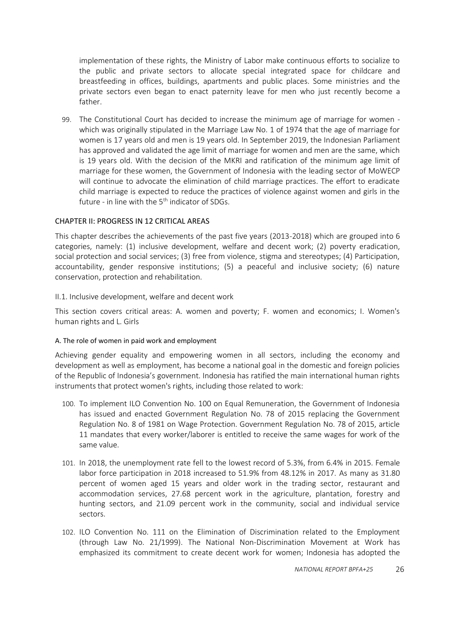implementation of these rights, the Ministry of Labor make continuous efforts to socialize to the public and private sectors to allocate special integrated space for childcare and breastfeeding in offices, buildings, apartments and public places. Some ministries and the private sectors even began to enact paternity leave for men who just recently become a father.

99. The Constitutional Court has decided to increase the minimum age of marriage for women which was originally stipulated in the Marriage Law No. 1 of 1974 that the age of marriage for women is 17 years old and men is 19 years old. In September 2019, the Indonesian Parliament has approved and validated the age limit of marriage for women and men are the same, which is 19 years old. With the decision of the MKRI and ratification of the minimum age limit of marriage for these women, the Government of Indonesia with the leading sector of MoWECP will continue to advocate the elimination of child marriage practices. The effort to eradicate child marriage is expected to reduce the practices of violence against women and girls in the future - in line with the  $5<sup>th</sup>$  indicator of SDGs.

## <span id="page-25-0"></span>CHAPTER II: PROGRESS IN 12 CRITICAL AREAS

This chapter describes the achievements of the past five years (2013-2018) which are grouped into 6 categories, namely: (1) inclusive development, welfare and decent work; (2) poverty eradication, social protection and social services; (3) free from violence, stigma and stereotypes; (4) Participation, accountability, gender responsive institutions; (5) a peaceful and inclusive society; (6) nature conservation, protection and rehabilitation.

## <span id="page-25-1"></span>II.1. Inclusive development, welfare and decent work

This section covers critical areas: A. women and poverty; F. women and economics; I. Women's human rights and L. Girls

#### <span id="page-25-2"></span>A. The role of women in paid work and employment

Achieving gender equality and empowering women in all sectors, including the economy and development as well as employment, has become a national goal in the domestic and foreign policies of the Republic of Indonesia's government. Indonesia has ratified the main international human rights instruments that protect women's rights, including those related to work:

- 100. To implement ILO Convention No. 100 on Equal Remuneration, the Government of Indonesia has issued and enacted Government Regulation No. 78 of 2015 replacing the Government Regulation No. 8 of 1981 on Wage Protection. Government Regulation No. 78 of 2015, article 11 mandates that every worker/laborer is entitled to receive the same wages for work of the same value.
- 101. In 2018, the unemployment rate fell to the lowest record of 5.3%, from 6.4% in 2015. Female labor force participation in 2018 increased to 51.9% from 48.12% in 2017. As many as 31.80 percent of women aged 15 years and older work in the trading sector, restaurant and accommodation services, 27.68 percent work in the agriculture, plantation, forestry and hunting sectors, and 21.09 percent work in the community, social and individual service sectors.
- 102. ILO Convention No. 111 on the Elimination of Discrimination related to the Employment (through Law No. 21/1999). The National Non-Discrimination Movement at Work has emphasized its commitment to create decent work for women; Indonesia has adopted the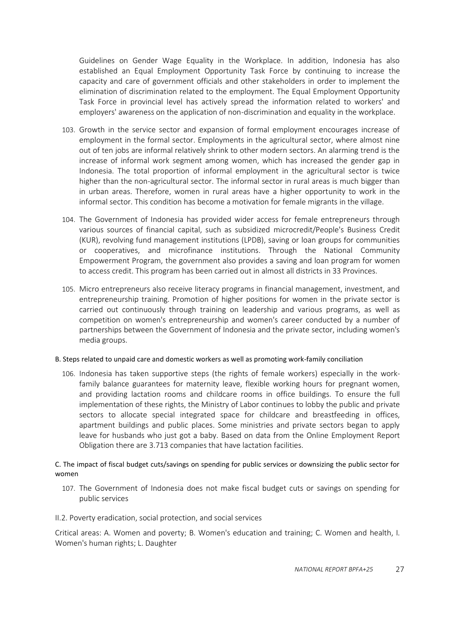Guidelines on Gender Wage Equality in the Workplace. In addition, Indonesia has also established an Equal Employment Opportunity Task Force by continuing to increase the capacity and care of government officials and other stakeholders in order to implement the elimination of discrimination related to the employment. The Equal Employment Opportunity Task Force in provincial level has actively spread the information related to workers' and employers' awareness on the application of non-discrimination and equality in the workplace.

- 103. Growth in the service sector and expansion of formal employment encourages increase of employment in the formal sector. Employments in the agricultural sector, where almost nine out of ten jobs are informal relatively shrink to other modern sectors. An alarming trend is the increase of informal work segment among women, which has increased the gender gap in Indonesia. The total proportion of informal employment in the agricultural sector is twice higher than the non-agricultural sector. The informal sector in rural areas is much bigger than in urban areas. Therefore, women in rural areas have a higher opportunity to work in the informal sector. This condition has become a motivation for female migrants in the village.
- 104. The Government of Indonesia has provided wider access for female entrepreneurs through various sources of financial capital, such as subsidized microcredit/People's Business Credit (KUR), revolving fund management institutions (LPDB), saving or loan groups for communities or cooperatives, and microfinance institutions. Through the National Community Empowerment Program, the government also provides a saving and loan program for women to access credit. This program has been carried out in almost all districts in 33 Provinces.
- 105. Micro entrepreneurs also receive literacy programs in financial management, investment, and entrepreneurship training. Promotion of higher positions for women in the private sector is carried out continuously through training on leadership and various programs, as well as competition on women's entrepreneurship and women's career conducted by a number of partnerships between the Government of Indonesia and the private sector, including women's media groups.

#### <span id="page-26-0"></span>B. Steps related to unpaid care and domestic workers as well as promoting work-family conciliation

106. Indonesia has taken supportive steps (the rights of female workers) especially in the workfamily balance guarantees for maternity leave, flexible working hours for pregnant women, and providing lactation rooms and childcare rooms in office buildings. To ensure the full implementation of these rights, the Ministry of Labor continues to lobby the public and private sectors to allocate special integrated space for childcare and breastfeeding in offices, apartment buildings and public places. Some ministries and private sectors began to apply leave for husbands who just got a baby. Based on data from the Online Employment Report Obligation there are 3.713 companies that have lactation facilities.

## <span id="page-26-1"></span>C. The impact of fiscal budget cuts/savings on spending for public services or downsizing the public sector for women

- 107. The Government of Indonesia does not make fiscal budget cuts or savings on spending for public services
- <span id="page-26-2"></span>II.2. Poverty eradication, social protection, and social services

Critical areas: A. Women and poverty; B. Women's education and training; C. Women and health, I. Women's human rights; L. Daughter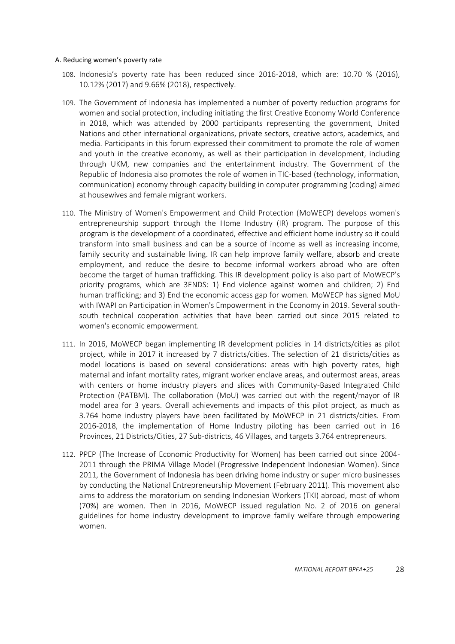#### <span id="page-27-0"></span>A. Reducing women's poverty rate

- 108. Indonesia's poverty rate has been reduced since 2016-2018, which are: 10.70 % (2016), 10.12% (2017) and 9.66% (2018), respectively.
- 109. The Government of Indonesia has implemented a number of poverty reduction programs for women and social protection, including initiating the first Creative Economy World Conference in 2018, which was attended by 2000 participants representing the government, United Nations and other international organizations, private sectors, creative actors, academics, and media. Participants in this forum expressed their commitment to promote the role of women and youth in the creative economy, as well as their participation in development, including through UKM, new companies and the entertainment industry. The Government of the Republic of Indonesia also promotes the role of women in TIC-based (technology, information, communication) economy through capacity building in computer programming (coding) aimed at housewives and female migrant workers.
- 110. The Ministry of Women's Empowerment and Child Protection (MoWECP) develops women's entrepreneurship support through the Home Industry (IR) program. The purpose of this program is the development of a coordinated, effective and efficient home industry so it could transform into small business and can be a source of income as well as increasing income, family security and sustainable living. IR can help improve family welfare, absorb and create employment, and reduce the desire to become informal workers abroad who are often become the target of human trafficking. This IR development policy is also part of MoWECP's priority programs, which are 3ENDS: 1) End violence against women and children; 2) End human trafficking; and 3) End the economic access gap for women. MoWECP has signed MoU with IWAPI on Participation in Women's Empowerment in the Economy in 2019. Several southsouth technical cooperation activities that have been carried out since 2015 related to women's economic empowerment.
- 111. In 2016, MoWECP began implementing IR development policies in 14 districts/cities as pilot project, while in 2017 it increased by 7 districts/cities. The selection of 21 districts/cities as model locations is based on several considerations: areas with high poverty rates, high maternal and infant mortality rates, migrant worker enclave areas, and outermost areas, areas with centers or home industry players and slices with Community-Based Integrated Child Protection (PATBM). The collaboration (MoU) was carried out with the regent/mayor of IR model area for 3 years. Overall achievements and impacts of this pilot project, as much as 3.764 home industry players have been facilitated by MoWECP in 21 districts/cities. From 2016-2018, the implementation of Home Industry piloting has been carried out in 16 Provinces, 21 Districts/Cities, 27 Sub-districts, 46 Villages, and targets 3.764 entrepreneurs.
- 112. PPEP (The Increase of Economic Productivity for Women) has been carried out since 2004- 2011 through the PRIMA Village Model (Progressive Independent Indonesian Women). Since 2011, the Government of Indonesia has been driving home industry or super micro businesses by conducting the National Entrepreneurship Movement (February 2011). This movement also aims to address the moratorium on sending Indonesian Workers (TKI) abroad, most of whom (70%) are women. Then in 2016, MoWECP issued regulation No. 2 of 2016 on general guidelines for home industry development to improve family welfare through empowering women.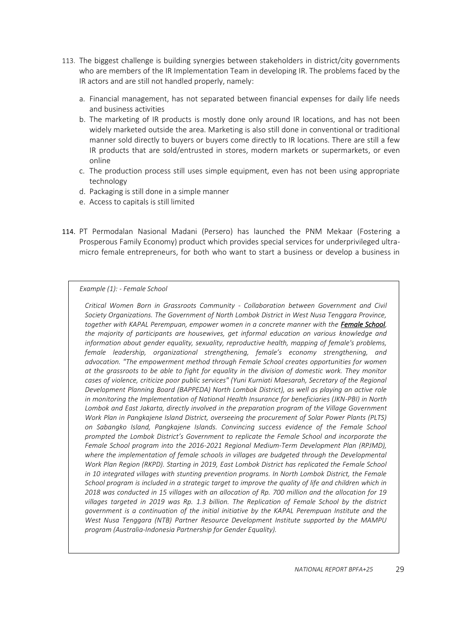- 113. The biggest challenge is building synergies between stakeholders in district/city governments who are members of the IR Implementation Team in developing IR. The problems faced by the IR actors and are still not handled properly, namely:
	- a. Financial management, has not separated between financial expenses for daily life needs and business activities
	- b. The marketing of IR products is mostly done only around IR locations, and has not been widely marketed outside the area. Marketing is also still done in conventional or traditional manner sold directly to buyers or buyers come directly to IR locations. There are still a few IR products that are sold/entrusted in stores, modern markets or supermarkets, or even online
	- c. The production process still uses simple equipment, even has not been using appropriate technology
	- d. Packaging is still done in a simple manner
	- e. Access to capitals is still limited
- 114. PT Permodalan Nasional Madani (Persero) has launched the PNM Mekaar (Fostering a Prosperous Family Economy) product which provides special services for underprivileged ultramicro female entrepreneurs, for both who want to start a business or develop a business in

## *Example (1): - Female School*

*Critical Women Born in Grassroots Community - Collaboration between Government and Civil Society Organizations. The Government of North Lombok District in West Nusa Tenggara Province, together with KAPAL Perempuan, empower women in a concrete manner with the Female School, the majority of participants are housewives, get informal education on various knowledge and information about gender equality, sexuality, reproductive health, mapping of female's problems, female leadership, organizational strengthening, female's economy strengthening, and advocation. "The empowerment method through Female School creates opportunities for women at the grassroots to be able to fight for equality in the division of domestic work. They monitor cases of violence, criticize poor public services" (Yuni Kurniati Maesarah, Secretary of the Regional Development Planning Board (BAPPEDA) North Lombok District), as well as playing an active role in monitoring the Implementation of National Health Insurance for beneficiaries (JKN-PBI) in North Lombok and East Jakarta, directly involved in the preparation program of the Village Government Work Plan in Pangkajene Island District, overseeing the procurement of Solar Power Plants (PLTS) on Sabangko Island, Pangkajene Islands. Convincing success evidence of the Female School prompted the Lombok District's Government to replicate the Female School and incorporate the Female School program into the 2016-2021 Regional Medium-Term Development Plan (RPJMD), where the implementation of female schools in villages are budgeted through the Developmental Work Plan Region (RKPD). Starting in 2019, East Lombok District has replicated the Female School in 10 integrated villages with stunting prevention programs. In North Lombok District, the Female School program is included in a strategic target to improve the quality of life and children which in 2018 was conducted in 15 villages with an allocation of Rp. 700 million and the allocation for 19 villages targeted in 2019 was Rp. 1.3 billion. The Replication of Female School by the district government is a continuation of the initial initiative by the KAPAL Perempuan Institute and the West Nusa Tenggara (NTB) Partner Resource Development Institute supported by the MAMPU program (Australia-Indonesia Partnership for Gender Equality).*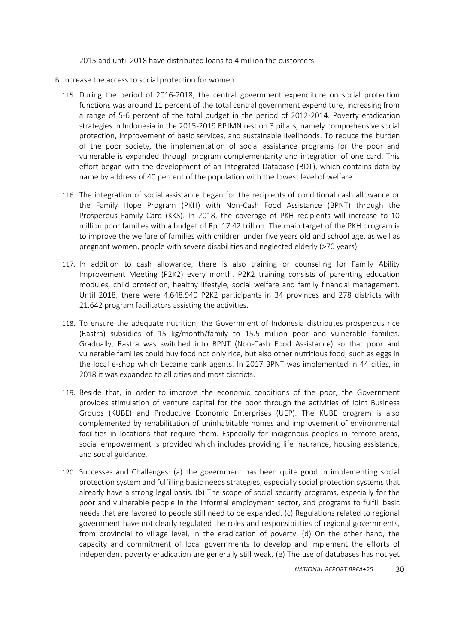2015 and until 2018 have distributed loans to 4 million the customers.

- <span id="page-29-0"></span>B. Increase the access to social protection for women
	- 115. During the period of 2016-2018, the central government expenditure on social protection functions was around 11 percent of the total central government expenditure, increasing from a range of 5-6 percent of the total budget in the period of 2012-2014. Poverty eradication strategies in Indonesia in the 2015-2019 RPJMN rest on 3 pillars, namely comprehensive social protection, improvement of basic services, and sustainable livelihoods. To reduce the burden of the poor society, the implementation of social assistance programs for the poor and vulnerable is expanded through program complementarity and integration of one card. This effort began with the development of an Integrated Database (BDT), which contains data by name by address of 40 percent of the population with the lowest level of welfare.
	- 116. The integration of social assistance began for the recipients of conditional cash allowance or the Family Hope Program (PKH) with Non-Cash Food Assistance (BPNT) through the Prosperous Family Card (KKS). In 2018, the coverage of PKH recipients will increase to 10 million poor families with a budget of Rp. 17.42 trillion. The main target of the PKH program is to improve the welfare of families with children under five years old and school age, as well as pregnant women, people with severe disabilities and neglected elderly (>70 years).
	- 117. In addition to cash allowance, there is also training or counseling for Family Ability Improvement Meeting (P2K2) every month. P2K2 training consists of parenting education modules, child protection, healthy lifestyle, social welfare and family financial management. Until 2018, there were 4.648.940 P2K2 participants in 34 provinces and 278 districts with 21.642 program facilitators assisting the activities.
	- 118. To ensure the adequate nutrition, the Government of Indonesia distributes prosperous rice (Rastra) subsidies of 15 kg/month/family to 15.5 million poor and vulnerable families. Gradually, Rastra was switched into BPNT (Non-Cash Food Assistance) so that poor and vulnerable families could buy food not only rice, but also other nutritious food, such as eggs in the local e-shop which became bank agents. In 2017 BPNT was implemented in 44 cities, in 2018 it was expanded to all cities and most districts.
	- 119. Beside that, in order to improve the economic conditions of the poor, the Government provides stimulation of venture capital for the poor through the activities of Joint Business Groups (KUBE) and Productive Economic Enterprises (UEP). The KUBE program is also complemented by rehabilitation of uninhabitable homes and improvement of environmental facilities in locations that require them. Especially for indigenous peoples in remote areas, social empowerment is provided which includes providing life insurance, housing assistance, and social guidance.
	- 120. Successes and Challenges: (a) the government has been quite good in implementing social protection system and fulfilling basic needs strategies, especially social protection systems that already have a strong legal basis. (b) The scope of social security programs, especially for the poor and vulnerable people in the informal employment sector, and programs to fulfill basic needs that are favored to people still need to be expanded. (c) Regulations related to regional government have not clearly regulated the roles and responsibilities of regional governments, from provincial to village level, in the eradication of poverty. (d) On the other hand, the capacity and commitment of local governments to develop and implement the efforts of independent poverty eradication are generally still weak. (e) The use of databases has not yet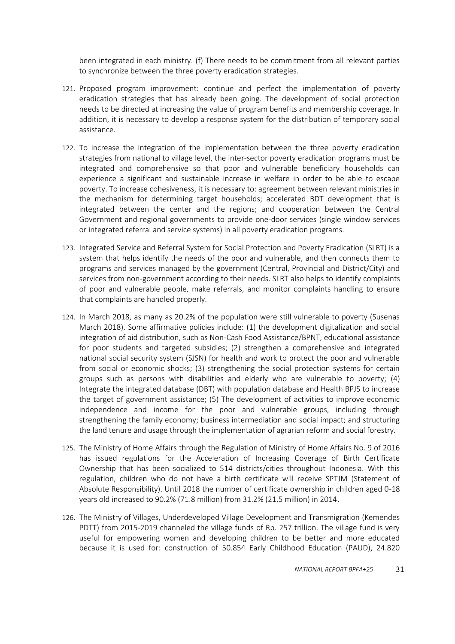been integrated in each ministry. (f) There needs to be commitment from all relevant parties to synchronize between the three poverty eradication strategies.

- 121. Proposed program improvement: continue and perfect the implementation of poverty eradication strategies that has already been going. The development of social protection needs to be directed at increasing the value of program benefits and membership coverage. In addition, it is necessary to develop a response system for the distribution of temporary social assistance.
- 122. To increase the integration of the implementation between the three poverty eradication strategies from national to village level, the inter-sector poverty eradication programs must be integrated and comprehensive so that poor and vulnerable beneficiary households can experience a significant and sustainable increase in welfare in order to be able to escape poverty. To increase cohesiveness, it is necessary to: agreement between relevant ministries in the mechanism for determining target households; accelerated BDT development that is integrated between the center and the regions; and cooperation between the Central Government and regional governments to provide one-door services (single window services or integrated referral and service systems) in all poverty eradication programs.
- 123. Integrated Service and Referral System for Social Protection and Poverty Eradication (SLRT) is a system that helps identify the needs of the poor and vulnerable, and then connects them to programs and services managed by the government (Central, Provincial and District/City) and services from non-government according to their needs. SLRT also helps to identify complaints of poor and vulnerable people, make referrals, and monitor complaints handling to ensure that complaints are handled properly.
- 124. In March 2018, as many as 20.2% of the population were still vulnerable to poverty (Susenas March 2018). Some affirmative policies include: (1) the development digitalization and social integration of aid distribution, such as Non-Cash Food Assistance/BPNT, educational assistance for poor students and targeted subsidies; (2) strengthen a comprehensive and integrated national social security system (SJSN) for health and work to protect the poor and vulnerable from social or economic shocks; (3) strengthening the social protection systems for certain groups such as persons with disabilities and elderly who are vulnerable to poverty; (4) Integrate the integrated database (DBT) with population database and Health BPJS to increase the target of government assistance; (5) The development of activities to improve economic independence and income for the poor and vulnerable groups, including through strengthening the family economy; business intermediation and social impact; and structuring the land tenure and usage through the implementation of agrarian reform and social forestry.
- 125. The Ministry of Home Affairs through the Regulation of Ministry of Home Affairs No. 9 of 2016 has issued regulations for the Acceleration of Increasing Coverage of Birth Certificate Ownership that has been socialized to 514 districts/cities throughout Indonesia. With this regulation, children who do not have a birth certificate will receive SPTJM (Statement of Absolute Responsibility). Until 2018 the number of certificate ownership in children aged 0-18 years old increased to 90.2% (71.8 million) from 31.2% (21.5 million) in 2014.
- 126. The Ministry of Villages, Underdeveloped Village Development and Transmigration (Kemendes PDTT) from 2015-2019 channeled the village funds of Rp. 257 trillion. The village fund is very useful for empowering women and developing children to be better and more educated because it is used for: construction of 50.854 Early Childhood Education (PAUD), 24.820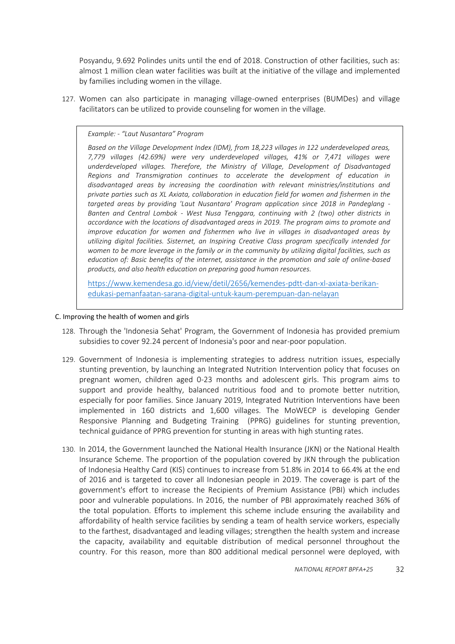Posyandu, 9.692 Polindes units until the end of 2018. Construction of other facilities, such as: almost 1 million clean water facilities was built at the initiative of the village and implemented by families including women in the village.

127. Women can also participate in managing village-owned enterprises (BUMDes) and village facilitators can be utilized to provide counseling for women in the village.

#### *Example: - "Laut Nusantara" Program*

*Based on the Village Development Index (IDM), from 18,223 villages in 122 underdeveloped areas, 7,779 villages (42.69%) were very underdeveloped villages, 41% or 7,471 villages were underdeveloped villages. Therefore, the Ministry of Village, Development of Disadvantaged Regions and Transmigration continues to accelerate the development of education in disadvantaged areas by increasing the coordination with relevant ministries/institutions and private parties such as XL Axiata, collaboration in education field for women and fishermen in the targeted areas by providing 'Laut Nusantara' Program application since 2018 in Pandeglang - Banten and Central Lombok - West Nusa Tenggara, continuing with 2 (two) other districts in accordance with the locations of disadvantaged areas in 2019. The program aims to promote and improve education for women and fishermen who live in villages in disadvantaged areas by utilizing digital facilities. Sisternet, an Inspiring Creative Class program specifically intended for women to be more leverage in the family or in the community by utilizing digital facilities, such as education of: Basic benefits of the internet, assistance in the promotion and sale of online-based products, and also health education on preparing good human resources.*

[https://www.kemendesa.go.id/view/detil/2656/kemendes-pdtt-dan-xl-axiata-berikan](https://www.kemendesa.go.id/view/detil/2656/kemendes-pdtt-dan-xl-axiata-berikan-edukasi-pemanfaatan-sarana-digital-untuk-kaum-perempuan-dan-nelayan)[edukasi-pemanfaatan-sarana-digital-untuk-kaum-perempuan-dan-nelayan](https://www.kemendesa.go.id/view/detil/2656/kemendes-pdtt-dan-xl-axiata-berikan-edukasi-pemanfaatan-sarana-digital-untuk-kaum-perempuan-dan-nelayan)

#### <span id="page-31-0"></span>C. Improving the health of women and girls

- 128. Through the 'Indonesia Sehat' Program, the Government of Indonesia has provided premium subsidies to cover 92.24 percent of Indonesia's poor and near-poor population.
- 129. Government of Indonesia is implementing strategies to address nutrition issues, especially stunting prevention, by launching an Integrated Nutrition Intervention policy that focuses on pregnant women, children aged 0-23 months and adolescent girls. This program aims to support and provide healthy, balanced nutritious food and to promote better nutrition, especially for poor families. Since January 2019, Integrated Nutrition Interventions have been implemented in 160 districts and 1,600 villages. The MoWECP is developing Gender Responsive Planning and Budgeting Training (PPRG) guidelines for stunting prevention, technical guidance of PPRG prevention for stunting in areas with high stunting rates.
- 130. In 2014, the Government launched the National Health Insurance (JKN) or the National Health Insurance Scheme. The proportion of the population covered by JKN through the publication of Indonesia Healthy Card (KIS) continues to increase from 51.8% in 2014 to 66.4% at the end of 2016 and is targeted to cover all Indonesian people in 2019. The coverage is part of the government's effort to increase the Recipients of Premium Assistance (PBI) which includes poor and vulnerable populations. In 2016, the number of PBI approximately reached 36% of the total population. Efforts to implement this scheme include ensuring the availability and affordability of health service facilities by sending a team of health service workers, especially to the farthest, disadvantaged and leading villages; strengthen the health system and increase the capacity, availability and equitable distribution of medical personnel throughout the country. For this reason, more than 800 additional medical personnel were deployed, with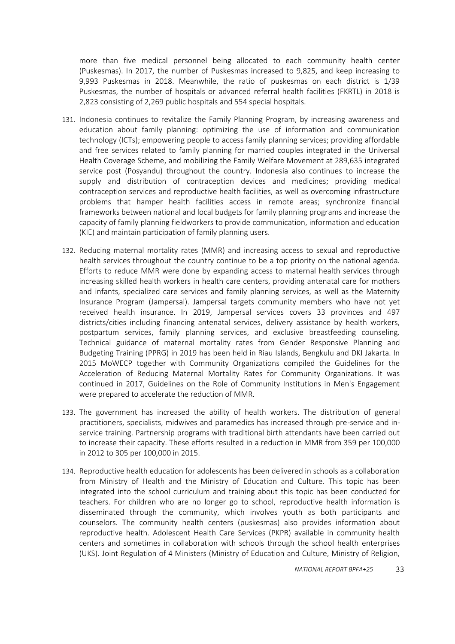more than five medical personnel being allocated to each community health center (Puskesmas). In 2017, the number of Puskesmas increased to 9,825, and keep increasing to 9,993 Puskesmas in 2018. Meanwhile, the ratio of puskesmas on each district is 1/39 Puskesmas, the number of hospitals or advanced referral health facilities (FKRTL) in 2018 is 2,823 consisting of 2,269 public hospitals and 554 special hospitals.

- 131. Indonesia continues to revitalize the Family Planning Program, by increasing awareness and education about family planning: optimizing the use of information and communication technology (ICTs); empowering people to access family planning services; providing affordable and free services related to family planning for married couples integrated in the Universal Health Coverage Scheme, and mobilizing the Family Welfare Movement at 289,635 integrated service post (Posyandu) throughout the country. Indonesia also continues to increase the supply and distribution of contraception devices and medicines; providing medical contraception services and reproductive health facilities, as well as overcoming infrastructure problems that hamper health facilities access in remote areas; synchronize financial frameworks between national and local budgets for family planning programs and increase the capacity of family planning fieldworkers to provide communication, information and education (KIE) and maintain participation of family planning users.
- 132. Reducing maternal mortality rates (MMR) and increasing access to sexual and reproductive health services throughout the country continue to be a top priority on the national agenda. Efforts to reduce MMR were done by expanding access to maternal health services through increasing skilled health workers in health care centers, providing antenatal care for mothers and infants, specialized care services and family planning services, as well as the Maternity Insurance Program (Jampersal). Jampersal targets community members who have not yet received health insurance. In 2019, Jampersal services covers 33 provinces and 497 districts/cities including financing antenatal services, delivery assistance by health workers, postpartum services, family planning services, and exclusive breastfeeding counseling. Technical guidance of maternal mortality rates from Gender Responsive Planning and Budgeting Training (PPRG) in 2019 has been held in Riau Islands, Bengkulu and DKI Jakarta. In 2015 MoWECP together with Community Organizations compiled the Guidelines for the Acceleration of Reducing Maternal Mortality Rates for Community Organizations. It was continued in 2017, Guidelines on the Role of Community Institutions in Men's Engagement were prepared to accelerate the reduction of MMR.
- 133. The government has increased the ability of health workers. The distribution of general practitioners, specialists, midwives and paramedics has increased through pre-service and inservice training. Partnership programs with traditional birth attendants have been carried out to increase their capacity. These efforts resulted in a reduction in MMR from 359 per 100,000 in 2012 to 305 per 100,000 in 2015.
- 134. Reproductive health education for adolescents has been delivered in schools as a collaboration from Ministry of Health and the Ministry of Education and Culture. This topic has been integrated into the school curriculum and training about this topic has been conducted for teachers. For children who are no longer go to school, reproductive health information is disseminated through the community, which involves youth as both participants and counselors. The community health centers (puskesmas) also provides information about reproductive health. Adolescent Health Care Services (PKPR) available in community health centers and sometimes in collaboration with schools through the school health enterprises (UKS). Joint Regulation of 4 Ministers (Ministry of Education and Culture, Ministry of Religion,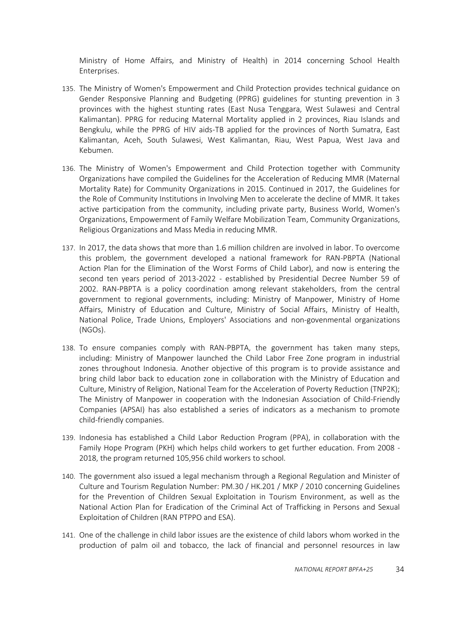Ministry of Home Affairs, and Ministry of Health) in 2014 concerning School Health Enterprises.

- 135. The Ministry of Women's Empowerment and Child Protection provides technical guidance on Gender Responsive Planning and Budgeting (PPRG) guidelines for stunting prevention in 3 provinces with the highest stunting rates (East Nusa Tenggara, West Sulawesi and Central Kalimantan). PPRG for reducing Maternal Mortality applied in 2 provinces, Riau Islands and Bengkulu, while the PPRG of HIV aids-TB applied for the provinces of North Sumatra, East Kalimantan, Aceh, South Sulawesi, West Kalimantan, Riau, West Papua, West Java and Kebumen.
- 136. The Ministry of Women's Empowerment and Child Protection together with Community Organizations have compiled the Guidelines for the Acceleration of Reducing MMR (Maternal Mortality Rate) for Community Organizations in 2015. Continued in 2017, the Guidelines for the Role of Community Institutions in Involving Men to accelerate the decline of MMR. It takes active participation from the community, including private party, Business World, Women's Organizations, Empowerment of Family Welfare Mobilization Team, Community Organizations, Religious Organizations and Mass Media in reducing MMR.
- 137. In 2017, the data shows that more than 1.6 million children are involved in labor. To overcome this problem, the government developed a national framework for RAN-PBPTA (National Action Plan for the Elimination of the Worst Forms of Child Labor), and now is entering the second ten years period of 2013-2022 - established by Presidential Decree Number 59 of 2002. RAN-PBPTA is a policy coordination among relevant stakeholders, from the central government to regional governments, including: Ministry of Manpower, Ministry of Home Affairs, Ministry of Education and Culture, Ministry of Social Affairs, Ministry of Health, National Police, Trade Unions, Employers' Associations and non-govenmental organizations (NGOs).
- 138. To ensure companies comply with RAN-PBPTA, the government has taken many steps, including: Ministry of Manpower launched the Child Labor Free Zone program in industrial zones throughout Indonesia. Another objective of this program is to provide assistance and bring child labor back to education zone in collaboration with the Ministry of Education and Culture, Ministry of Religion, National Team for the Acceleration of Poverty Reduction (TNP2K); The Ministry of Manpower in cooperation with the Indonesian Association of Child-Friendly Companies (APSAI) has also established a series of indicators as a mechanism to promote child-friendly companies.
- 139. Indonesia has established a Child Labor Reduction Program (PPA), in collaboration with the Family Hope Program (PKH) which helps child workers to get further education. From 2008 - 2018, the program returned 105,956 child workers to school.
- 140. The government also issued a legal mechanism through a Regional Regulation and Minister of Culture and Tourism Regulation Number: PM.30 / HK.201 / MKP / 2010 concerning Guidelines for the Prevention of Children Sexual Exploitation in Tourism Environment, as well as the National Action Plan for Eradication of the Criminal Act of Trafficking in Persons and Sexual Exploitation of Children (RAN PTPPO and ESA).
- 141. One of the challenge in child labor issues are the existence of child labors whom worked in the production of palm oil and tobacco, the lack of financial and personnel resources in law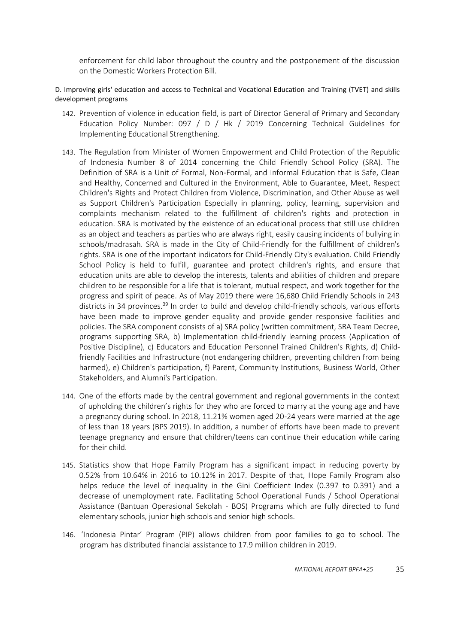enforcement for child labor throughout the country and the postponement of the discussion on the Domestic Workers Protection Bill.

## <span id="page-34-0"></span>D. Improving girls' education and access to Technical and Vocational Education and Training (TVET) and skills development programs

- 142. Prevention of violence in education field, is part of Director General of Primary and Secondary Education Policy Number: 097 / D / Hk / 2019 Concerning Technical Guidelines for Implementing Educational Strengthening.
- 143. The Regulation from Minister of Women Empowerment and Child Protection of the Republic of Indonesia Number 8 of 2014 concerning the Child Friendly School Policy (SRA). The Definition of SRA is a Unit of Formal, Non-Formal, and Informal Education that is Safe, Clean and Healthy, Concerned and Cultured in the Environment, Able to Guarantee, Meet, Respect Children's Rights and Protect Children from Violence, Discrimination, and Other Abuse as well as Support Children's Participation Especially in planning, policy, learning, supervision and complaints mechanism related to the fulfillment of children's rights and protection in education. SRA is motivated by the existence of an educational process that still use children as an object and teachers as parties who are always right, easily causing incidents of bullying in schools/madrasah. SRA is made in the City of Child-Friendly for the fulfillment of children's rights. SRA is one of the important indicators for Child-Friendly City's evaluation. Child Friendly School Policy is held to fulfill, guarantee and protect children's rights, and ensure that education units are able to develop the interests, talents and abilities of children and prepare children to be responsible for a life that is tolerant, mutual respect, and work together for the progress and spirit of peace. As of May 2019 there were 16,680 Child Friendly Schools in 243 districts in 34 provinces.<sup>39</sup> In order to build and develop child-friendly schools, various efforts have been made to improve gender equality and provide gender responsive facilities and policies. The SRA component consists of a) SRA policy (written commitment, SRA Team Decree, programs supporting SRA, b) Implementation child-friendly learning process (Application of Positive Discipline), c) Educators and Education Personnel Trained Children's Rights, d) Childfriendly Facilities and Infrastructure (not endangering children, preventing children from being harmed), e) Children's participation, f) Parent, Community Institutions, Business World, Other Stakeholders, and Alumni's Participation.
- 144. One of the efforts made by the central government and regional governments in the context of upholding the children's rights for they who are forced to marry at the young age and have a pregnancy during school. In 2018, 11.21% women aged 20-24 years were married at the age of less than 18 years (BPS 2019). In addition, a number of efforts have been made to prevent teenage pregnancy and ensure that children/teens can continue their education while caring for their child.
- 145. Statistics show that Hope Family Program has a significant impact in reducing poverty by 0.52% from 10.64% in 2016 to 10.12% in 2017. Despite of that, Hope Family Program also helps reduce the level of inequality in the Gini Coefficient Index (0.397 to 0.391) and a decrease of unemployment rate. Facilitating School Operational Funds / School Operational Assistance (Bantuan Operasional Sekolah - BOS) Programs which are fully directed to fund elementary schools, junior high schools and senior high schools.
- 146. 'Indonesia Pintar' Program (PIP) allows children from poor families to go to school. The program has distributed financial assistance to 17.9 million children in 2019.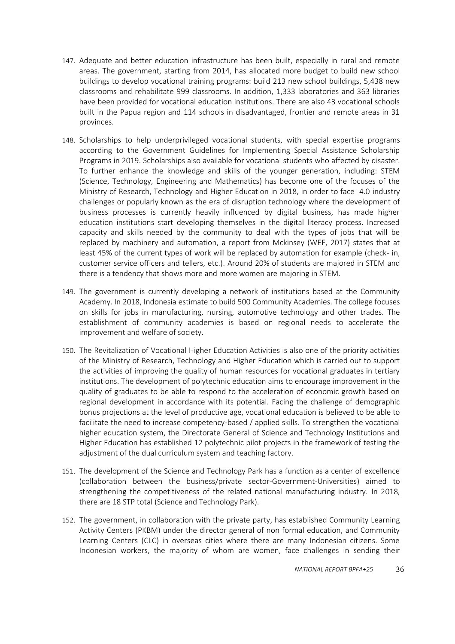- 147. Adequate and better education infrastructure has been built, especially in rural and remote areas. The government, starting from 2014, has allocated more budget to build new school buildings to develop vocational training programs: build 213 new school buildings, 5,438 new classrooms and rehabilitate 999 classrooms. In addition, 1,333 laboratories and 363 libraries have been provided for vocational education institutions. There are also 43 vocational schools built in the Papua region and 114 schools in disadvantaged, frontier and remote areas in 31 provinces.
- 148. Scholarships to help underprivileged vocational students, with special expertise programs according to the Government Guidelines for Implementing Special Assistance Scholarship Programs in 2019. Scholarships also available for vocational students who affected by disaster. To further enhance the knowledge and skills of the younger generation, including: STEM (Science, Technology, Engineering and Mathematics) has become one of the focuses of the Ministry of Research, Technology and Higher Education in 2018, in order to face 4.0 industry challenges or popularly known as the era of disruption technology where the development of business processes is currently heavily influenced by digital business, has made higher education institutions start developing themselves in the digital literacy process. Increased capacity and skills needed by the community to deal with the types of jobs that will be replaced by machinery and automation, a report from Mckinsey (WEF, 2017) states that at least 45% of the current types of work will be replaced by automation for example (check- in, customer service officers and tellers, etc.). Around 20% of students are majored in STEM and there is a tendency that shows more and more women are majoring in STEM.
- 149. The government is currently developing a network of institutions based at the Community Academy. In 2018, Indonesia estimate to build 500 Community Academies. The college focuses on skills for jobs in manufacturing, nursing, automotive technology and other trades. The establishment of community academies is based on regional needs to accelerate the improvement and welfare of society.
- 150. The Revitalization of Vocational Higher Education Activities is also one of the priority activities of the Ministry of Research, Technology and Higher Education which is carried out to support the activities of improving the quality of human resources for vocational graduates in tertiary institutions. The development of polytechnic education aims to encourage improvement in the quality of graduates to be able to respond to the acceleration of economic growth based on regional development in accordance with its potential. Facing the challenge of demographic bonus projections at the level of productive age, vocational education is believed to be able to facilitate the need to increase competency-based / applied skills. To strengthen the vocational higher education system, the Directorate General of Science and Technology Institutions and Higher Education has established 12 polytechnic pilot projects in the framework of testing the adjustment of the dual curriculum system and teaching factory.
- 151. The development of the Science and Technology Park has a function as a center of excellence (collaboration between the business/private sector-Government-Universities) aimed to strengthening the competitiveness of the related national manufacturing industry. In 2018, there are 18 STP total (Science and Technology Park).
- 152. The government, in collaboration with the private party, has established Community Learning Activity Centers (PKBM) under the director general of non formal education, and Community Learning Centers (CLC) in overseas cities where there are many Indonesian citizens. Some Indonesian workers, the majority of whom are women, face challenges in sending their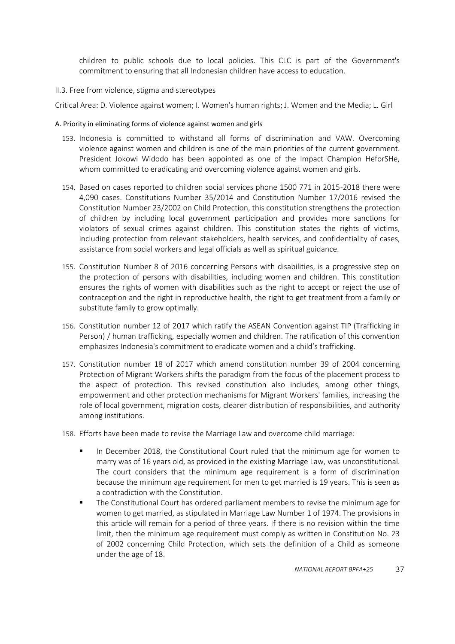children to public schools due to local policies. This CLC is part of the Government's commitment to ensuring that all Indonesian children have access to education.

## <span id="page-36-0"></span>II.3. Free from violence, stigma and stereotypes

Critical Area: D. Violence against women; I. Women's human rights; J. Women and the Media; L. Girl

#### <span id="page-36-1"></span>A. Priority in eliminating forms of violence against women and girls

- 153. Indonesia is committed to withstand all forms of discrimination and VAW. Overcoming violence against women and children is one of the main priorities of the current government. President Jokowi Widodo has been appointed as one of the Impact Champion HeforSHe, whom committed to eradicating and overcoming violence against women and girls.
- 154. Based on cases reported to children social services phone 1500 771 in 2015-2018 there were 4,090 cases. Constitutions Number 35/2014 and Constitution Number 17/2016 revised the Constitution Number 23/2002 on Child Protection, this constitution strengthens the protection of children by including local government participation and provides more sanctions for violators of sexual crimes against children. This constitution states the rights of victims, including protection from relevant stakeholders, health services, and confidentiality of cases, assistance from social workers and legal officials as well as spiritual guidance.
- 155. Constitution Number 8 of 2016 concerning Persons with disabilities, is a progressive step on the protection of persons with disabilities, including women and children. This constitution ensures the rights of women with disabilities such as the right to accept or reject the use of contraception and the right in reproductive health, the right to get treatment from a family or substitute family to grow optimally.
- 156. Constitution number 12 of 2017 which ratify the ASEAN Convention against TIP (Trafficking in Person) / human trafficking, especially women and children. The ratification of this convention emphasizes Indonesia's commitment to eradicate women and a child's trafficking.
- 157. Constitution number 18 of 2017 which amend constitution number 39 of 2004 concerning Protection of Migrant Workers shifts the paradigm from the focus of the placement process to the aspect of protection. This revised constitution also includes, among other things, empowerment and other protection mechanisms for Migrant Workers' families, increasing the role of local government, migration costs, clearer distribution of responsibilities, and authority among institutions.
- 158. Efforts have been made to revise the Marriage Law and overcome child marriage:
	- In December 2018, the Constitutional Court ruled that the minimum age for women to marry was of 16 years old, as provided in the existing Marriage Law, was unconstitutional. The court considers that the minimum age requirement is a form of discrimination because the minimum age requirement for men to get married is 19 years. This is seen as a contradiction with the Constitution.
	- The Constitutional Court has ordered parliament members to revise the minimum age for women to get married, as stipulated in Marriage Law Number 1 of 1974. The provisions in this article will remain for a period of three years. If there is no revision within the time limit, then the minimum age requirement must comply as written in Constitution No. 23 of 2002 concerning Child Protection, which sets the definition of a Child as someone under the age of 18.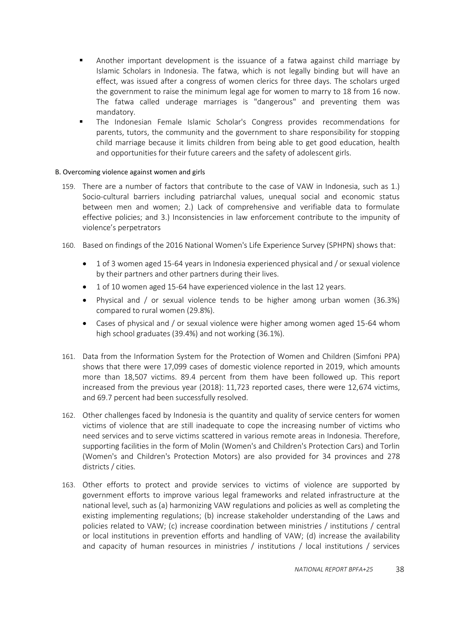- Another important development is the issuance of a fatwa against child marriage by Islamic Scholars in Indonesia. The fatwa, which is not legally binding but will have an effect, was issued after a congress of women clerics for three days. The scholars urged the government to raise the minimum legal age for women to marry to 18 from 16 now. The fatwa called underage marriages is "dangerous" and preventing them was mandatory.
- The Indonesian Female Islamic Scholar's Congress provides recommendations for parents, tutors, the community and the government to share responsibility for stopping child marriage because it limits children from being able to get good education, health and opportunities for their future careers and the safety of adolescent girls.

## <span id="page-37-0"></span>B. Overcoming violence against women and girls

- 159. There are a number of factors that contribute to the case of VAW in Indonesia, such as 1.) Socio-cultural barriers including patriarchal values, unequal social and economic status between men and women; 2.) Lack of comprehensive and verifiable data to formulate effective policies; and 3.) Inconsistencies in law enforcement contribute to the impunity of violence's perpetrators
- 160. Based on findings of the 2016 National Women's Life Experience Survey (SPHPN) shows that:
	- 1 of 3 women aged 15-64 years in Indonesia experienced physical and / or sexual violence by their partners and other partners during their lives.
	- 1 of 10 women aged 15-64 have experienced violence in the last 12 years.
	- Physical and / or sexual violence tends to be higher among urban women (36.3%) compared to rural women (29.8%).
	- Cases of physical and / or sexual violence were higher among women aged 15-64 whom high school graduates (39.4%) and not working (36.1%).
- 161. Data from the Information System for the Protection of Women and Children (Simfoni PPA) shows that there were 17,099 cases of domestic violence reported in 2019, which amounts more than 18,507 victims. 89.4 percent from them have been followed up. This report increased from the previous year (2018): 11,723 reported cases, there were 12,674 victims, and 69.7 percent had been successfully resolved.
- 162. Other challenges faced by Indonesia is the quantity and quality of service centers for women victims of violence that are still inadequate to cope the increasing number of victims who need services and to serve victims scattered in various remote areas in Indonesia. Therefore, supporting facilities in the form of Molin (Women's and Children's Protection Cars) and Torlin (Women's and Children's Protection Motors) are also provided for 34 provinces and 278 districts / cities.
- 163. Other efforts to protect and provide services to victims of violence are supported by government efforts to improve various legal frameworks and related infrastructure at the national level, such as (a) harmonizing VAW regulations and policies as well as completing the existing implementing regulations; (b) increase stakeholder understanding of the Laws and policies related to VAW; (c) increase coordination between ministries / institutions / central or local institutions in prevention efforts and handling of VAW; (d) increase the availability and capacity of human resources in ministries / institutions / local institutions / services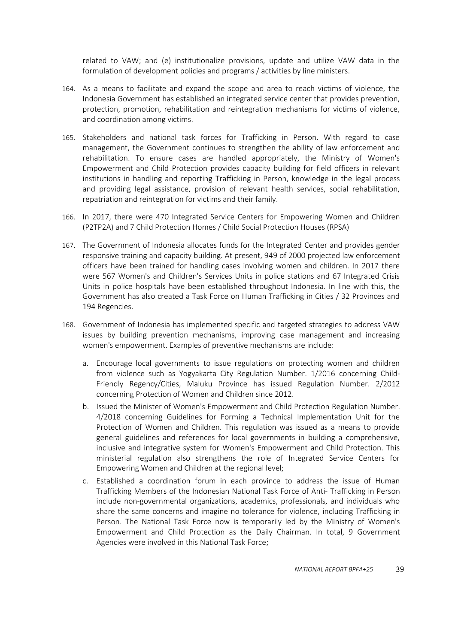related to VAW; and (e) institutionalize provisions, update and utilize VAW data in the formulation of development policies and programs / activities by line ministers.

- 164. As a means to facilitate and expand the scope and area to reach victims of violence, the Indonesia Government has established an integrated service center that provides prevention, protection, promotion, rehabilitation and reintegration mechanisms for victims of violence, and coordination among victims.
- 165. Stakeholders and national task forces for Trafficking in Person. With regard to case management, the Government continues to strengthen the ability of law enforcement and rehabilitation. To ensure cases are handled appropriately, the Ministry of Women's Empowerment and Child Protection provides capacity building for field officers in relevant institutions in handling and reporting Trafficking in Person, knowledge in the legal process and providing legal assistance, provision of relevant health services, social rehabilitation, repatriation and reintegration for victims and their family.
- 166. In 2017, there were 470 Integrated Service Centers for Empowering Women and Children (P2TP2A) and 7 Child Protection Homes / Child Social Protection Houses (RPSA)
- 167. The Government of Indonesia allocates funds for the Integrated Center and provides gender responsive training and capacity building. At present, 949 of 2000 projected law enforcement officers have been trained for handling cases involving women and children. In 2017 there were 567 Women's and Children's Services Units in police stations and 67 Integrated Crisis Units in police hospitals have been established throughout Indonesia. In line with this, the Government has also created a Task Force on Human Trafficking in Cities / 32 Provinces and 194 Regencies.
- 168. Government of Indonesia has implemented specific and targeted strategies to address VAW issues by building prevention mechanisms, improving case management and increasing women's empowerment. Examples of preventive mechanisms are include:
	- a. Encourage local governments to issue regulations on protecting women and children from violence such as Yogyakarta City Regulation Number. 1/2016 concerning Child-Friendly Regency/Cities, Maluku Province has issued Regulation Number. 2/2012 concerning Protection of Women and Children since 2012.
	- b. Issued the Minister of Women's Empowerment and Child Protection Regulation Number. 4/2018 concerning Guidelines for Forming a Technical Implementation Unit for the Protection of Women and Children. This regulation was issued as a means to provide general guidelines and references for local governments in building a comprehensive, inclusive and integrative system for Women's Empowerment and Child Protection. This ministerial regulation also strengthens the role of Integrated Service Centers for Empowering Women and Children at the regional level;
	- c. Established a coordination forum in each province to address the issue of Human Trafficking Members of the Indonesian National Task Force of Anti- Trafficking in Person include non-governmental organizations, academics, professionals, and individuals who share the same concerns and imagine no tolerance for violence, including Trafficking in Person. The National Task Force now is temporarily led by the Ministry of Women's Empowerment and Child Protection as the Daily Chairman. In total, 9 Government Agencies were involved in this National Task Force;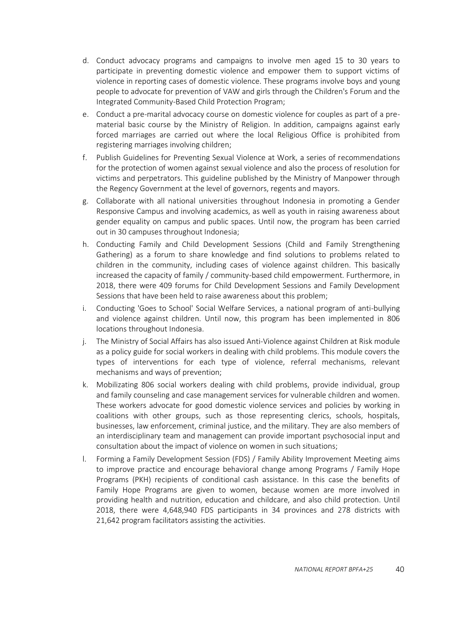- d. Conduct advocacy programs and campaigns to involve men aged 15 to 30 years to participate in preventing domestic violence and empower them to support victims of violence in reporting cases of domestic violence. These programs involve boys and young people to advocate for prevention of VAW and girls through the Children's Forum and the Integrated Community-Based Child Protection Program;
- e. Conduct a pre-marital advocacy course on domestic violence for couples as part of a prematerial basic course by the Ministry of Religion. In addition, campaigns against early forced marriages are carried out where the local Religious Office is prohibited from registering marriages involving children;
- f. Publish Guidelines for Preventing Sexual Violence at Work, a series of recommendations for the protection of women against sexual violence and also the process of resolution for victims and perpetrators. This guideline published by the Ministry of Manpower through the Regency Government at the level of governors, regents and mayors.
- g. Collaborate with all national universities throughout Indonesia in promoting a Gender Responsive Campus and involving academics, as well as youth in raising awareness about gender equality on campus and public spaces. Until now, the program has been carried out in 30 campuses throughout Indonesia;
- h. Conducting Family and Child Development Sessions (Child and Family Strengthening Gathering) as a forum to share knowledge and find solutions to problems related to children in the community, including cases of violence against children. This basically increased the capacity of family / community-based child empowerment. Furthermore, in 2018, there were 409 forums for Child Development Sessions and Family Development Sessions that have been held to raise awareness about this problem;
- i. Conducting 'Goes to School' Social Welfare Services, a national program of anti-bullying and violence against children. Until now, this program has been implemented in 806 locations throughout Indonesia.
- j. The Ministry of Social Affairs has also issued Anti-Violence against Children at Risk module as a policy guide for social workers in dealing with child problems. This module covers the types of interventions for each type of violence, referral mechanisms, relevant mechanisms and ways of prevention;
- k. Mobilizating 806 social workers dealing with child problems, provide individual, group and family counseling and case management services for vulnerable children and women. These workers advocate for good domestic violence services and policies by working in coalitions with other groups, such as those representing clerics, schools, hospitals, businesses, law enforcement, criminal justice, and the military. They are also members of an interdisciplinary team and management can provide important psychosocial input and consultation about the impact of violence on women in such situations;
- l. Forming a Family Development Session (FDS) / Family Ability Improvement Meeting aims to improve practice and encourage behavioral change among Programs / Family Hope Programs (PKH) recipients of conditional cash assistance. In this case the benefits of Family Hope Programs are given to women, because women are more involved in providing health and nutrition, education and childcare, and also child protection. Until 2018, there were 4,648,940 FDS participants in 34 provinces and 278 districts with 21,642 program facilitators assisting the activities.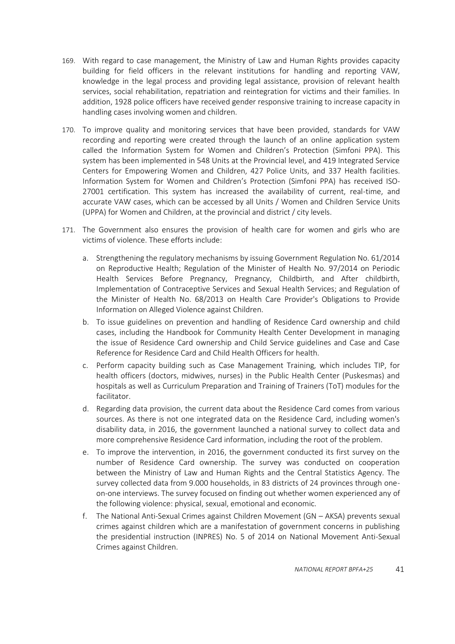- 169. With regard to case management, the Ministry of Law and Human Rights provides capacity building for field officers in the relevant institutions for handling and reporting VAW, knowledge in the legal process and providing legal assistance, provision of relevant health services, social rehabilitation, repatriation and reintegration for victims and their families. In addition, 1928 police officers have received gender responsive training to increase capacity in handling cases involving women and children.
- 170. To improve quality and monitoring services that have been provided, standards for VAW recording and reporting were created through the launch of an online application system called the Information System for Women and Children's Protection (Simfoni PPA). This system has been implemented in 548 Units at the Provincial level, and 419 Integrated Service Centers for Empowering Women and Children, 427 Police Units, and 337 Health facilities. Information System for Women and Children's Protection (Simfoni PPA) has received ISO-27001 certification. This system has increased the availability of current, real-time, and accurate VAW cases, which can be accessed by all Units / Women and Children Service Units (UPPA) for Women and Children, at the provincial and district / city levels.
- 171. The Government also ensures the provision of health care for women and girls who are victims of violence. These efforts include:
	- a. Strengthening the regulatory mechanisms by issuing Government Regulation No. 61/2014 on Reproductive Health; Regulation of the Minister of Health No. 97/2014 on Periodic Health Services Before Pregnancy, Pregnancy, Childbirth, and After childbirth, Implementation of Contraceptive Services and Sexual Health Services; and Regulation of the Minister of Health No. 68/2013 on Health Care Provider's Obligations to Provide Information on Alleged Violence against Children.
	- b. To issue guidelines on prevention and handling of Residence Card ownership and child cases, including the Handbook for Community Health Center Development in managing the issue of Residence Card ownership and Child Service guidelines and Case and Case Reference for Residence Card and Child Health Officers for health.
	- c. Perform capacity building such as Case Management Training, which includes TIP, for health officers (doctors, midwives, nurses) in the Public Health Center (Puskesmas) and hospitals as well as Curriculum Preparation and Training of Trainers (ToT) modules for the facilitator.
	- d. Regarding data provision, the current data about the Residence Card comes from various sources. As there is not one integrated data on the Residence Card, including women's disability data, in 2016, the government launched a national survey to collect data and more comprehensive Residence Card information, including the root of the problem.
	- e. To improve the intervention, in 2016, the government conducted its first survey on the number of Residence Card ownership. The survey was conducted on cooperation between the Ministry of Law and Human Rights and the Central Statistics Agency. The survey collected data from 9.000 households, in 83 districts of 24 provinces through oneon-one interviews. The survey focused on finding out whether women experienced any of the following violence: physical, sexual, emotional and economic.
	- f. The National Anti-Sexual Crimes against Children Movement (GN AKSA) prevents sexual crimes against children which are a manifestation of government concerns in publishing the presidential instruction (INPRES) No. 5 of 2014 on National Movement Anti-Sexual Crimes against Children.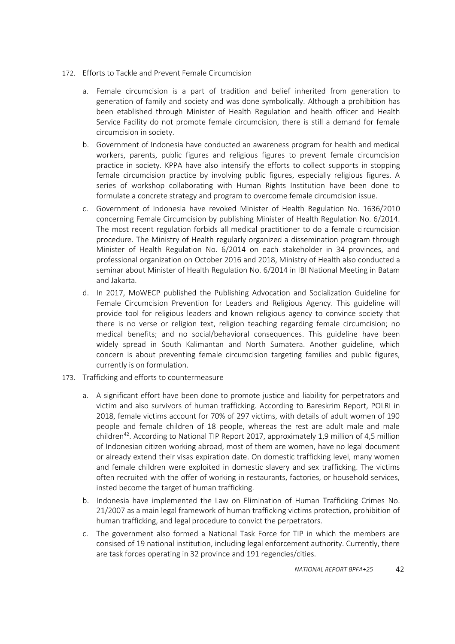- 172. Efforts to Tackle and Prevent Female Circumcision
	- a. Female circumcision is a part of tradition and belief inherited from generation to generation of family and society and was done symbolically. Although a prohibition has been etablished through Minister of Health Regulation and health officer and Health Service Facility do not promote female circumcision, there is still a demand for female circumcision in society.
	- b. Government of Indonesia have conducted an awareness program for health and medical workers, parents, public figures and religious figures to prevent female circumcision practice in society. KPPA have also intensify the efforts to collect supports in stopping female circumcision practice by involving public figures, especially religious figures. A series of workshop collaborating with Human Rights Institution have been done to formulate a concrete strategy and program to overcome female circumcision issue.
	- c. Government of Indonesia have revoked Minister of Health Regulation No. 1636/2010 concerning Female Circumcision by publishing Minister of Health Regulation No. 6/2014. The most recent regulation forbids all medical practitioner to do a female circumcision procedure. The Ministry of Health regularly organized a dissemination program through Minister of Health Regulation No. 6/2014 on each stakeholder in 34 provinces, and professional organization on October 2016 and 2018, Ministry of Health also conducted a seminar about Minister of Health Regulation No. 6/2014 in IBI National Meeting in Batam and Jakarta.
	- d. In 2017, MoWECP published the Publishing Advocation and Socialization Guideline for Female Circumcision Prevention for Leaders and Religious Agency. This guideline will provide tool for religious leaders and known religious agency to convince society that there is no verse or religion text, religion teaching regarding female circumcision; no medical benefits; and no social/behavioral consequences. This guideline have been widely spread in South Kalimantan and North Sumatera. Another guideline, which concern is about preventing female circumcision targeting families and public figures, currently is on formulation.
- 173. Trafficking and efforts to countermeasure
	- a. A significant effort have been done to promote justice and liability for perpetrators and victim and also survivors of human trafficking. According to Bareskrim Report, POLRI in 2018, female victims account for 70% of 297 victims, with details of adult women of 190 people and female children of 18 people, whereas the rest are adult male and male children<sup>42</sup>. According to National TIP Report 2017, approximately 1,9 million of 4,5 million of Indonesian citizen working abroad, most of them are women, have no legal document or already extend their visas expiration date. On domestic trafficking level, many women and female children were exploited in domestic slavery and sex trafficking. The victims often recruited with the offer of working in restaurants, factories, or household services, insted become the target of human trafficking.
	- b. Indonesia have implemented the Law on Elimination of Human Trafficking Crimes No. 21/2007 as a main legal framework of human trafficking victims protection, prohibition of human trafficking, and legal procedure to convict the perpetrators.
	- c. The government also formed a National Task Force for TIP in which the members are consised of 19 national institution, including legal enforcement authority. Currently, there are task forces operating in 32 province and 191 regencies/cities.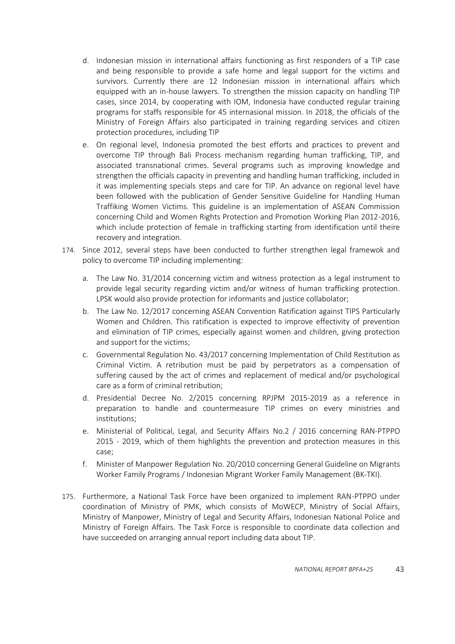- d. Indonesian mission in international affairs functioning as first responders of a TIP case and being responsible to provide a safe home and legal support for the victims and survivors. Currently there are 12 Indonesian mission in international affairs which equipped with an in-house lawyers. To strengthen the mission capacity on handling TIP cases, since 2014, by cooperating with IOM, Indonesia have conducted regular training programs for staffs responsible for 45 internasional mission. In 2018, the officials of the Ministry of Foreign Affairs also participated in training regarding services and citizen protection procedures, including TIP
- e. On regional level, Indonesia promoted the best efforts and practices to prevent and overcome TIP through Bali Process mechanism regarding human trafficking, TIP, and associated transnational crimes. Several programs such as improving knowledge and strengthen the officials capacity in preventing and handling human trafficking, included in it was implementing specials steps and care for TIP. An advance on regional level have been followed with the publication of Gender Sensitive Guideline for Handling Human Traffiking Women Victims. This guideline is an implementation of ASEAN Commission concerning Child and Women Rights Protection and Promotion Working Plan 2012-2016, which include protection of female in trafficking starting from identification until theire recovery and integration.
- 174. Since 2012, several steps have been conducted to further strengthen legal framewok and policy to overcome TIP including implementing:
	- a. The Law No. 31/2014 concerning victim and witness protection as a legal instrument to provide legal security regarding victim and/or witness of human trafficking protection. LPSK would also provide protection for informants and justice collabolator;
	- b. The Law No. 12/2017 concerning ASEAN Convention Ratification against TIPS Particularly Women and Children. This ratification is expected to improve effectivity of prevention and elimination of TIP crimes, especially against women and children, giving protection and support for the victims;
	- c. Governmental Regulation No. 43/2017 concerning Implementation of Child Restitution as Criminal Victim. A retribution must be paid by perpetrators as a compensation of suffering caused by the act of crimes and replacement of medical and/or psychological care as a form of criminal retribution;
	- d. Presidential Decree No. 2/2015 concerning RPJPM 2015-2019 as a reference in preparation to handle and countermeasure TIP crimes on every ministries and institutions;
	- e. Ministerial of Political, Legal, and Security Affairs No.2 / 2016 concerning RAN-PTPPO 2015 - 2019, which of them highlights the prevention and protection measures in this case;
	- f. Minister of Manpower Regulation No. 20/2010 concerning General Guideline on Migrants Worker Family Programs / Indonesian Migrant Worker Family Management (BK-TKI).
- 175. Furthermore, a National Task Force have been organized to implement RAN-PTPPO under coordination of Ministry of PMK, which consists of MoWECP, Ministry of Social Affairs, Ministry of Manpower, Ministry of Legal and Security Affairs, Indonesian National Police and Ministry of Foreign Affairs. The Task Force is responsible to coordinate data collection and have succeeded on arranging annual report including data about TIP.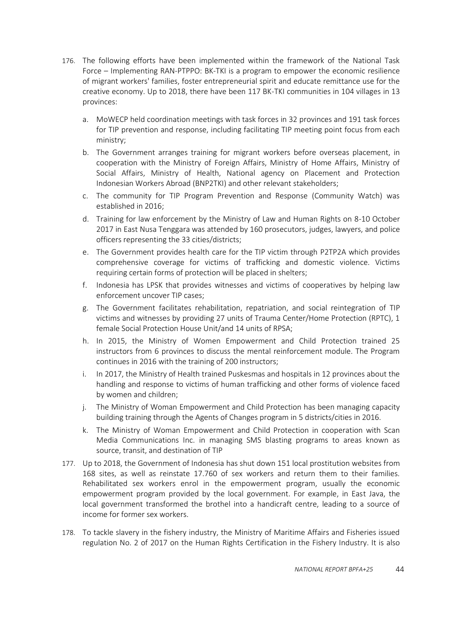- 176. The following efforts have been implemented within the framework of the National Task Force – Implementing RAN-PTPPO: BK-TKI is a program to empower the economic resilience of migrant workers' families, foster entrepreneurial spirit and educate remittance use for the creative economy. Up to 2018, there have been 117 BK-TKI communities in 104 villages in 13 provinces:
	- a. MoWECP held coordination meetings with task forces in 32 provinces and 191 task forces for TIP prevention and response, including facilitating TIP meeting point focus from each ministry;
	- b. The Government arranges training for migrant workers before overseas placement, in cooperation with the Ministry of Foreign Affairs, Ministry of Home Affairs, Ministry of Social Affairs, Ministry of Health, National agency on Placement and Protection Indonesian Workers Abroad (BNP2TKI) and other relevant stakeholders;
	- c. The community for TIP Program Prevention and Response (Community Watch) was established in 2016;
	- d. Training for law enforcement by the Ministry of Law and Human Rights on 8-10 October 2017 in East Nusa Tenggara was attended by 160 prosecutors, judges, lawyers, and police officers representing the 33 cities/districts;
	- e. The Government provides health care for the TIP victim through P2TP2A which provides comprehensive coverage for victims of trafficking and domestic violence. Victims requiring certain forms of protection will be placed in shelters;
	- f. Indonesia has LPSK that provides witnesses and victims of cooperatives by helping law enforcement uncover TIP cases;
	- g. The Government facilitates rehabilitation, repatriation, and social reintegration of TIP victims and witnesses by providing 27 units of Trauma Center/Home Protection (RPTC), 1 female Social Protection House Unit/and 14 units of RPSA;
	- h. In 2015, the Ministry of Women Empowerment and Child Protection trained 25 instructors from 6 provinces to discuss the mental reinforcement module. The Program continues in 2016 with the training of 200 instructors;
	- i. In 2017, the Ministry of Health trained Puskesmas and hospitals in 12 provinces about the handling and response to victims of human trafficking and other forms of violence faced by women and children;
	- j. The Ministry of Woman Empowerment and Child Protection has been managing capacity building training through the Agents of Changes program in 5 districts/cities in 2016.
	- k. The Ministry of Woman Empowerment and Child Protection in cooperation with Scan Media Communications Inc. in managing SMS blasting programs to areas known as source, transit, and destination of TIP
- 177. Up to 2018, the Government of Indonesia has shut down 151 local prostitution websites from 168 sites, as well as reinstate 17.760 of sex workers and return them to their families. Rehabilitated sex workers enrol in the empowerment program, usually the economic empowerment program provided by the local government. For example, in East Java, the local government transformed the brothel into a handicraft centre, leading to a source of income for former sex workers.
- 178. To tackle slavery in the fishery industry, the Ministry of Maritime Affairs and Fisheries issued regulation No. 2 of 2017 on the Human Rights Certification in the Fishery Industry. It is also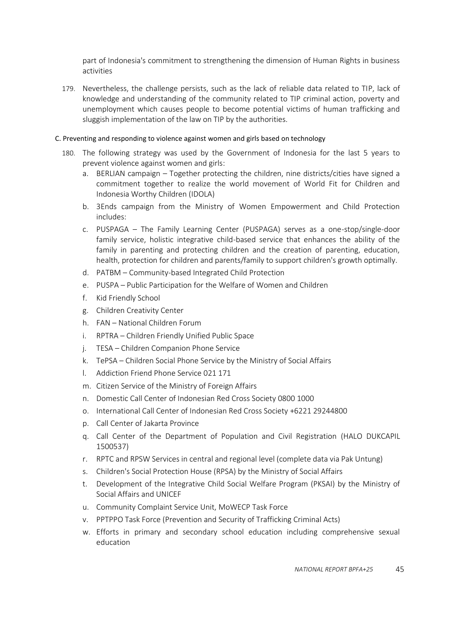part of Indonesia's commitment to strengthening the dimension of Human Rights in business activities

179. Nevertheless, the challenge persists, such as the lack of reliable data related to TIP, lack of knowledge and understanding of the community related to TIP criminal action, poverty and unemployment which causes people to become potential victims of human trafficking and sluggish implementation of the law on TIP by the authorities.

## <span id="page-44-0"></span>C. Preventing and responding to violence against women and girls based on technology

- 180. The following strategy was used by the Government of Indonesia for the last 5 years to prevent violence against women and girls:
	- a. BERLIAN campaign Together protecting the children, nine districts/cities have signed a commitment together to realize the world movement of World Fit for Children and Indonesia Worthy Children (IDOLA)
	- b. 3Ends campaign from the Ministry of Women Empowerment and Child Protection includes:
	- c. PUSPAGA The Family Learning Center (PUSPAGA) serves as a one-stop/single-door family service, holistic integrative child-based service that enhances the ability of the family in parenting and protecting children and the creation of parenting, education, health, protection for children and parents/family to support children's growth optimally.
	- d. PATBM Community-based Integrated Child Protection
	- e. PUSPA Public Participation for the Welfare of Women and Children
	- f. Kid Friendly School
	- g. Children Creativity Center
	- h. FAN National Children Forum
	- i. RPTRA Children Friendly Unified Public Space
	- j. TESA Children Companion Phone Service
	- k. TePSA Children Social Phone Service by the Ministry of Social Affairs
	- l. Addiction Friend Phone Service 021 171
	- m. Citizen Service of the Ministry of Foreign Affairs
	- n. Domestic Call Center of Indonesian Red Cross Society 0800 1000
	- o. International Call Center of Indonesian Red Cross Society +6221 29244800
	- p. Call Center of Jakarta Province
	- q. Call Center of the Department of Population and Civil Registration (HALO DUKCAPIL 1500537)
	- r. RPTC and RPSW Services in central and regional level (complete data via Pak Untung)
	- s. Children's Social Protection House (RPSA) by the Ministry of Social Affairs
	- t. Development of the Integrative Child Social Welfare Program (PKSAI) by the Ministry of Social Affairs and UNICEF
	- u. Community Complaint Service Unit, MoWECP Task Force
	- v. PPTPPO Task Force (Prevention and Security of Trafficking Criminal Acts)
	- w. Efforts in primary and secondary school education including comprehensive sexual education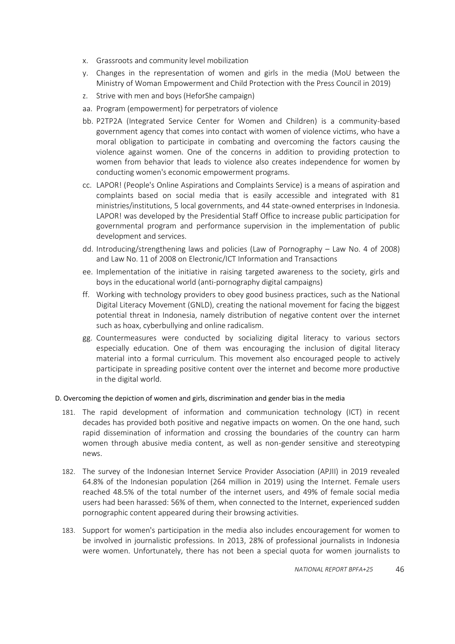- x. Grassroots and community level mobilization
- y. Changes in the representation of women and girls in the media (MoU between the Ministry of Woman Empowerment and Child Protection with the Press Council in 2019)
- z. Strive with men and boys (HeforShe campaign)
- aa. Program (empowerment) for perpetrators of violence
- bb. P2TP2A (Integrated Service Center for Women and Children) is a community-based government agency that comes into contact with women of violence victims, who have a moral obligation to participate in combating and overcoming the factors causing the violence against women. One of the concerns in addition to providing protection to women from behavior that leads to violence also creates independence for women by conducting women's economic empowerment programs.
- cc. LAPOR! (People's Online Aspirations and Complaints Service) is a means of aspiration and complaints based on social media that is easily accessible and integrated with 81 ministries/institutions, 5 local governments, and 44 state-owned enterprises in Indonesia. LAPOR! was developed by the Presidential Staff Office to increase public participation for governmental program and performance supervision in the implementation of public development and services.
- dd. Introducing/strengthening laws and policies (Law of Pornography Law No. 4 of 2008) and Law No. 11 of 2008 on Electronic/ICT Information and Transactions
- ee. Implementation of the initiative in raising targeted awareness to the society, girls and boys in the educational world (anti-pornography digital campaigns)
- ff. Working with technology providers to obey good business practices, such as the National Digital Literacy Movement (GNLD), creating the national movement for facing the biggest potential threat in Indonesia, namely distribution of negative content over the internet such as hoax, cyberbullying and online radicalism.
- gg. Countermeasures were conducted by socializing digital literacy to various sectors especially education. One of them was encouraging the inclusion of digital literacy material into a formal curriculum. This movement also encouraged people to actively participate in spreading positive content over the internet and become more productive in the digital world.

## <span id="page-45-0"></span>D. Overcoming the depiction of women and girls, discrimination and gender bias in the media

- 181. The rapid development of information and communication technology (ICT) in recent decades has provided both positive and negative impacts on women. On the one hand, such rapid dissemination of information and crossing the boundaries of the country can harm women through abusive media content, as well as non-gender sensitive and stereotyping news.
- 182. The survey of the Indonesian Internet Service Provider Association (APJII) in 2019 revealed 64.8% of the Indonesian population (264 million in 2019) using the Internet. Female users reached 48.5% of the total number of the internet users, and 49% of female social media users had been harassed: 56% of them, when connected to the Internet, experienced sudden pornographic content appeared during their browsing activities.
- 183. Support for women's participation in the media also includes encouragement for women to be involved in journalistic professions. In 2013, 28% of professional journalists in Indonesia were women. Unfortunately, there has not been a special quota for women journalists to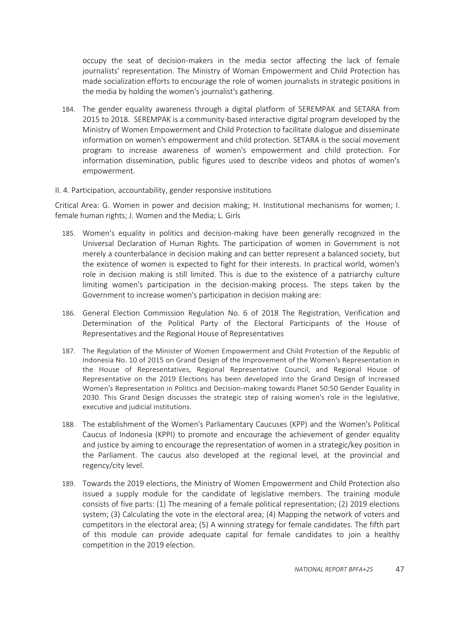occupy the seat of decision-makers in the media sector affecting the lack of female journalists' representation. The Ministry of Woman Empowerment and Child Protection has made socialization efforts to encourage the role of women journalists in strategic positions in the media by holding the women's journalist's gathering.

184. The gender equality awareness through a digital platform of SEREMPAK and SETARA from 2015 to 2018. SEREMPAK is a community-based interactive digital program developed by the Ministry of Women Empowerment and Child Protection to facilitate dialogue and disseminate information on women's empowerment and child protection. SETARA is the social movement program to increase awareness of women's empowerment and child protection. For information dissemination, public figures used to describe videos and photos of women's empowerment.

#### <span id="page-46-0"></span>II. 4. Participation, accountability, gender responsive institutions

Critical Area: G. Women in power and decision making; H. Institutional mechanisms for women; I. female human rights; J. Women and the Media; L. Girls

- 185. Women's equality in politics and decision-making have been generally recognized in the Universal Declaration of Human Rights. The participation of women in Government is not merely a counterbalance in decision making and can better represent a balanced society, but the existence of women is expected to fight for their interests. In practical world, women's role in decision making is still limited. This is due to the existence of a patriarchy culture limiting women's participation in the decision-making process. The steps taken by the Government to increase women's participation in decision making are:
- 186. General Election Commission Regulation No. 6 of 2018 The Registration, Verification and Determination of the Political Party of the Electoral Participants of the House of Representatives and the Regional House of Representatives
- 187. The Regulation of the Minister of Women Empowerment and Child Protection of the Republic of Indonesia No. 10 of 2015 on Grand Design of the Improvement of the Women's Representation in the House of Representatives, Regional Representative Council, and Regional House of Representative on the 2019 Elections has been developed into the Grand Design of Increased Women's Representation in Politics and Decision-making towards Planet 50:50 Gender Equality in 2030. This Grand Design discusses the strategic step of raising women's role in the legislative, executive and judicial institutions.
- 188. The establishment of the Women's Parliamentary Caucuses (KPP) and the Women's Political Caucus of Indonesia (KPPI) to promote and encourage the achievement of gender equality and justice by aiming to encourage the representation of women in a strategic/key position in the Parliament. The caucus also developed at the regional level, at the provincial and regency/city level.
- 189. Towards the 2019 elections, the Ministry of Women Empowerment and Child Protection also issued a supply module for the candidate of legislative members. The training module consists of five parts: (1) The meaning of a female political representation; (2) 2019 elections system; (3) Calculating the vote in the electoral area; (4) Mapping the network of voters and competitors in the electoral area; (5) A winning strategy for female candidates. The fifth part of this module can provide adequate capital for female candidates to join a healthy competition in the 2019 election.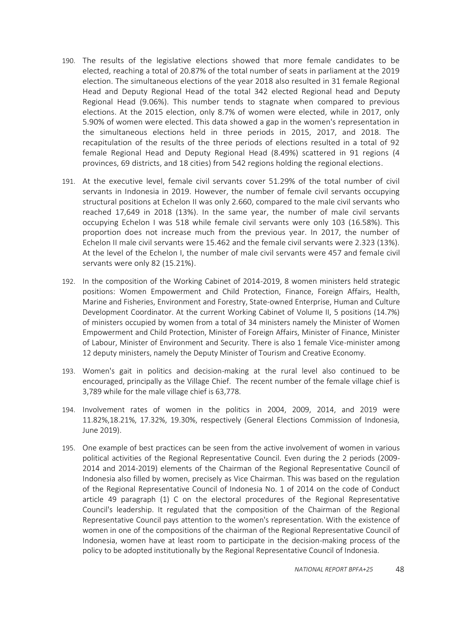- 190. The results of the legislative elections showed that more female candidates to be elected, reaching a total of 20.87% of the total number of seats in parliament at the 2019 election. The simultaneous elections of the year 2018 also resulted in 31 female Regional Head and Deputy Regional Head of the total 342 elected Regional head and Deputy Regional Head (9.06%). This number tends to stagnate when compared to previous elections. At the 2015 election, only 8.7% of women were elected, while in 2017, only 5.90% of women were elected. This data showed a gap in the women's representation in the simultaneous elections held in three periods in 2015, 2017, and 2018. The recapitulation of the results of the three periods of elections resulted in a total of 92 female Regional Head and Deputy Regional Head (8.49%) scattered in 91 regions (4 provinces, 69 districts, and 18 cities) from 542 regions holding the regional elections.
- 191. At the executive level, female civil servants cover 51.29% of the total number of civil servants in Indonesia in 2019. However, the number of female civil servants occupying structural positions at Echelon II was only 2.660, compared to the male civil servants who reached 17,649 in 2018 (13%). In the same year, the number of male civil servants occupying Echelon I was 518 while female civil servants were only 103 (16.58%). This proportion does not increase much from the previous year. In 2017, the number of Echelon II male civil servants were 15.462 and the female civil servants were 2.323 (13%). At the level of the Echelon I, the number of male civil servants were 457 and female civil servants were only 82 (15.21%).
- 192. In the composition of the Working Cabinet of 2014-2019, 8 women ministers held strategic positions: Women Empowerment and Child Protection, Finance, Foreign Affairs, Health, Marine and Fisheries, Environment and Forestry, State-owned Enterprise, Human and Culture Development Coordinator. At the current Working Cabinet of Volume II, 5 positions (14.7%) of ministers occupied by women from a total of 34 ministers namely the Minister of Women Empowerment and Child Protection, Minister of Foreign Affairs, Minister of Finance, Minister of Labour, Minister of Environment and Security. There is also 1 female Vice-minister among 12 deputy ministers, namely the Deputy Minister of Tourism and Creative Economy.
- 193. Women's gait in politics and decision-making at the rural level also continued to be encouraged, principally as the Village Chief. The recent number of the female village chief is 3,789 while for the male village chief is 63,778.
- 194. Involvement rates of women in the politics in 2004, 2009, 2014, and 2019 were 11.82%,18.21%, 17.32%, 19.30%, respectively (General Elections Commission of Indonesia, June 2019).
- 195. One example of best practices can be seen from the active involvement of women in various political activities of the Regional Representative Council. Even during the 2 periods (2009- 2014 and 2014-2019) elements of the Chairman of the Regional Representative Council of Indonesia also filled by women, precisely as Vice Chairman. This was based on the regulation of the Regional Representative Council of Indonesia No. 1 of 2014 on the code of Conduct article 49 paragraph (1) C on the electoral procedures of the Regional Representative Council's leadership. It regulated that the composition of the Chairman of the Regional Representative Council pays attention to the women's representation. With the existence of women in one of the compositions of the chairman of the Regional Representative Council of Indonesia, women have at least room to participate in the decision-making process of the policy to be adopted institutionally by the Regional Representative Council of Indonesia.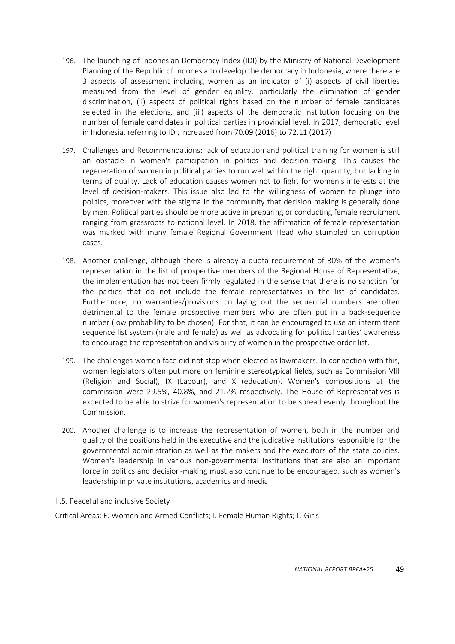- 196. The launching of Indonesian Democracy Index (IDI) by the Ministry of National Development Planning of the Republic of Indonesia to develop the democracy in Indonesia, where there are 3 aspects of assessment including women as an indicator of (i) aspects of civil liberties measured from the level of gender equality, particularly the elimination of gender discrimination, (ii) aspects of political rights based on the number of female candidates selected in the elections, and (iii) aspects of the democratic institution focusing on the number of female candidates in political parties in provincial level. In 2017, democratic level in Indonesia, referring to IDI, increased from 70.09 (2016) to 72.11 (2017)
- 197. Challenges and Recommendations: lack of education and political training for women is still an obstacle in women's participation in politics and decision-making. This causes the regeneration of women in political parties to run well within the right quantity, but lacking in terms of quality. Lack of education causes women not to fight for women's interests at the level of decision-makers. This issue also led to the willingness of women to plunge into politics, moreover with the stigma in the community that decision making is generally done by men. Political parties should be more active in preparing or conducting female recruitment ranging from grassroots to national level. In 2018, the affirmation of female representation was marked with many female Regional Government Head who stumbled on corruption cases.
- 198. Another challenge, although there is already a quota requirement of 30% of the women's representation in the list of prospective members of the Regional House of Representative, the implementation has not been firmly regulated in the sense that there is no sanction for the parties that do not include the female representatives in the list of candidates. Furthermore, no warranties/provisions on laying out the sequential numbers are often detrimental to the female prospective members who are often put in a back-sequence number (low probability to be chosen). For that, it can be encouraged to use an intermittent sequence list system (male and female) as well as advocating for political parties' awareness to encourage the representation and visibility of women in the prospective order list.
- 199. The challenges women face did not stop when elected as lawmakers. In connection with this, women legislators often put more on feminine stereotypical fields, such as Commission VIII (Religion and Social), IX (Labour), and X (education). Women's compositions at the commission were 29.5%, 40.8%, and 21.2% respectively. The House of Representatives is expected to be able to strive for women's representation to be spread evenly throughout the Commission.
- 200. Another challenge is to increase the representation of women, both in the number and quality of the positions held in the executive and the judicative institutions responsible for the governmental administration as well as the makers and the executors of the state policies. Women's leadership in various non-governmental institutions that are also an important force in politics and decision-making must also continue to be encouraged, such as women's leadership in private institutions, academics and media

<span id="page-48-0"></span>II.5. Peaceful and inclusive Society

Critical Areas: E. Women and Armed Conflicts; I. Female Human Rights; L. Girls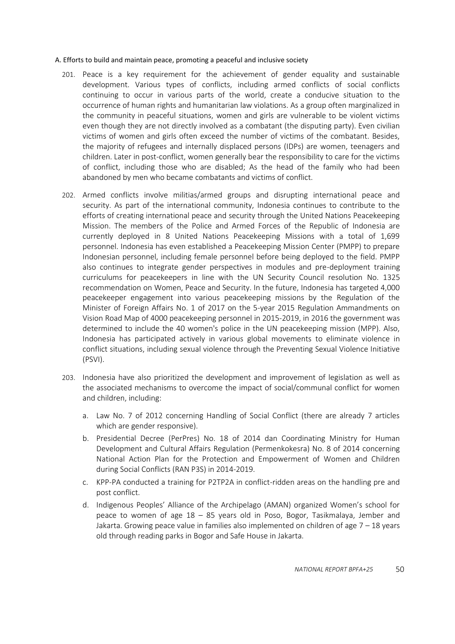#### <span id="page-49-0"></span>A. Efforts to build and maintain peace, promoting a peaceful and inclusive society

- 201. Peace is a key requirement for the achievement of gender equality and sustainable development. Various types of conflicts, including armed conflicts of social conflicts continuing to occur in various parts of the world, create a conducive situation to the occurrence of human rights and humanitarian law violations. As a group often marginalized in the community in peaceful situations, women and girls are vulnerable to be violent victims even though they are not directly involved as a combatant (the disputing party). Even civilian victims of women and girls often exceed the number of victims of the combatant. Besides, the majority of refugees and internally displaced persons (IDPs) are women, teenagers and children. Later in post-conflict, women generally bear the responsibility to care for the victims of conflict, including those who are disabled; As the head of the family who had been abandoned by men who became combatants and victims of conflict.
- 202. Armed conflicts involve militias/armed groups and disrupting international peace and security. As part of the international community, Indonesia continues to contribute to the efforts of creating international peace and security through the United Nations Peacekeeping Mission. The members of the Police and Armed Forces of the Republic of Indonesia are currently deployed in 8 United Nations Peacekeeping Missions with a total of 1,699 personnel. Indonesia has even established a Peacekeeping Mission Center (PMPP) to prepare Indonesian personnel, including female personnel before being deployed to the field. PMPP also continues to integrate gender perspectives in modules and pre-deployment training curriculums for peacekeepers in line with the UN Security Council resolution No. 1325 recommendation on Women, Peace and Security. In the future, Indonesia has targeted 4,000 peacekeeper engagement into various peacekeeping missions by the Regulation of the Minister of Foreign Affairs No. 1 of 2017 on the 5-year 2015 Regulation Ammandments on Vision Road Map of 4000 peacekeeping personnel in 2015-2019, in 2016 the government was determined to include the 40 women's police in the UN peacekeeping mission (MPP). Also, Indonesia has participated actively in various global movements to eliminate violence in conflict situations, including sexual violence through the Preventing Sexual Violence Initiative (PSVI).
- 203. Indonesia have also prioritized the development and improvement of legislation as well as the associated mechanisms to overcome the impact of social/communal conflict for women and children, including:
	- a. Law No. 7 of 2012 concerning Handling of Social Conflict (there are already 7 articles which are gender responsive).
	- b. Presidential Decree (PerPres) No. 18 of 2014 dan Coordinating Ministry for Human Development and Cultural Affairs Regulation (Permenkokesra) No. 8 of 2014 concerning National Action Plan for the Protection and Empowerment of Women and Children during Social Conflicts (RAN P3S) in 2014-2019.
	- c. KPP-PA conducted a training for P2TP2A in conflict-ridden areas on the handling pre and post conflict.
	- d. Indigenous Peoples' Alliance of the Archipelago (AMAN) organized Women's school for peace to women of age 18 – 85 years old in Poso, Bogor, Tasikmalaya, Jember and Jakarta. Growing peace value in families also implemented on children of age  $7 - 18$  years old through reading parks in Bogor and Safe House in Jakarta.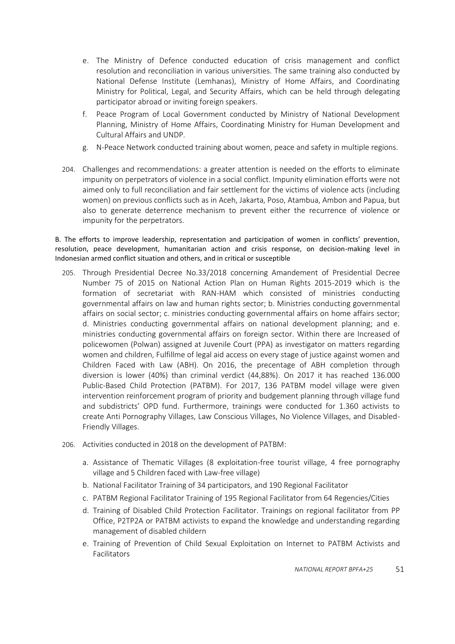- e. The Ministry of Defence conducted education of crisis management and conflict resolution and reconciliation in various universities. The same training also conducted by National Defense Institute (Lemhanas), Ministry of Home Affairs, and Coordinating Ministry for Political, Legal, and Security Affairs, which can be held through delegating participator abroad or inviting foreign speakers.
- f. Peace Program of Local Government conducted by Ministry of National Development Planning, Ministry of Home Affairs, Coordinating Ministry for Human Development and Cultural Affairs and UNDP.
- g. N-Peace Network conducted training about women, peace and safety in multiple regions.
- 204. Challenges and recommendations: a greater attention is needed on the efforts to eliminate impunity on perpetrators of violence in a social conflict. Impunity elimination efforts were not aimed only to full reconciliation and fair settlement for the victims of violence acts (including women) on previous conflicts such as in Aceh, Jakarta, Poso, Atambua, Ambon and Papua, but also to generate deterrence mechanism to prevent either the recurrence of violence or impunity for the perpetrators.

<span id="page-50-0"></span>B. The efforts to improve leadership, representation and participation of women in conflicts' prevention, resolution, peace development, humanitarian action and crisis response, on decision-making level in Indonesian armed conflict situation and others, and in critical or susceptible

- 205. Through Presidential Decree No.33/2018 concerning Amandement of Presidential Decree Number 75 of 2015 on National Action Plan on Human Rights 2015-2019 which is the formation of secretariat with RAN-HAM which consisted of ministries conducting governmental affairs on law and human rights sector; b. Ministries conducting governmental affairs on social sector; c. ministries conducting governmental affairs on home affairs sector; d. Ministries conducting governmental affairs on national development planning; and e. ministries conducting governmental affairs on foreign sector. Within there are Increased of policewomen (Polwan) assigned at Juvenile Court (PPA) as investigator on matters regarding women and children, Fulfillme of legal aid access on every stage of justice against women and Children Faced with Law (ABH). On 2016, the precentage of ABH completion through diversion is lower (40%) than criminal verdict (44,88%). On 2017 it has reached 136.000 Public-Based Child Protection (PATBM). For 2017, 136 PATBM model village were given intervention reinforcement program of priority and budgement planning through village fund and subdistricts' OPD fund. Furthermore, trainings were conducted for 1.360 activists to create Anti Pornography Villages, Law Conscious Villages, No Violence Villages, and Disabled-Friendly Villages.
- 206. Activities conducted in 2018 on the development of PATBM:
	- a. Assistance of Thematic Villages (8 exploitation-free tourist village, 4 free pornography village and 5 Children faced with Law-free village)
	- b. National Facilitator Training of 34 participators, and 190 Regional Facilitator
	- c. PATBM Regional Facilitator Training of 195 Regional Facilitator from 64 Regencies/Cities
	- d. Training of Disabled Child Protection Facilitator. Trainings on regional facilitator from PP Office, P2TP2A or PATBM activists to expand the knowledge and understanding regarding management of disabled childern
	- e. Training of Prevention of Child Sexual Exploitation on Internet to PATBM Activists and Facilitators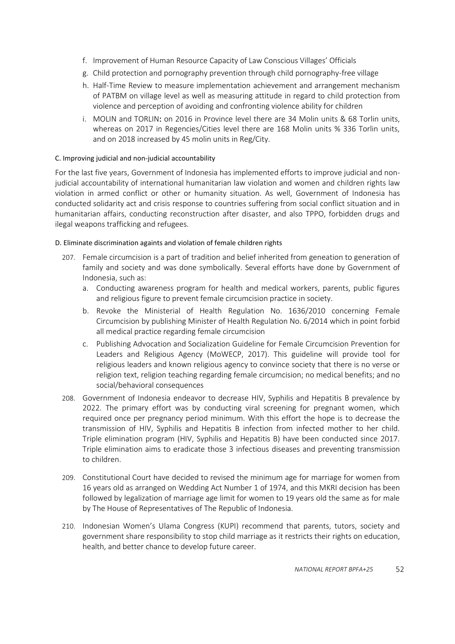- f. Improvement of Human Resource Capacity of Law Conscious Villages' Officials
- g. Child protection and pornography prevention through child pornography-free village
- h. Half-Time Review to measure implementation achievement and arrangement mechanism of PATBM on village level as well as measuring attitude in regard to child protection from violence and perception of avoiding and confronting violence ability for children
- i. MOLIN and TORLIN: on 2016 in Province level there are 34 Molin units & 68 Torlin units, whereas on 2017 in Regencies/Cities level there are 168 Molin units % 336 Torlin units, and on 2018 increased by 45 molin units in Reg/City.

## <span id="page-51-0"></span>C. Improving judicial and non-judicial accountability

For the last five years, Government of Indonesia has implemented efforts to improve judicial and nonjudicial accountability of international humanitarian law violation and women and children rights law violation in armed conflict or other or humanity situation. As well, Government of Indonesia has conducted solidarity act and crisis response to countries suffering from social conflict situation and in humanitarian affairs, conducting reconstruction after disaster, and also TPPO, forbidden drugs and ilegal weapons trafficking and refugees.

## <span id="page-51-1"></span>D. Eliminate discrimination againts and violation of female children rights

- 207. Female circumcision is a part of tradition and belief inherited from geneation to generation of family and society and was done symbolically. Several efforts have done by Government of Indonesia, such as:
	- a. Conducting awareness program for health and medical workers, parents, public figures and religious figure to prevent female circumcision practice in society.
	- b. Revoke the Ministerial of Health Regulation No. 1636/2010 concerning Female Circumcision by publishing Minister of Health Regulation No. 6/2014 which in point forbid all medical practice regarding female circumcision
	- c. Publishing Advocation and Socialization Guideline for Female Circumcision Prevention for Leaders and Religious Agency (MoWECP, 2017). This guideline will provide tool for religious leaders and known religious agency to convince society that there is no verse or religion text, religion teaching regarding female circumcision; no medical benefits; and no social/behavioral consequences
- 208. Government of Indonesia endeavor to decrease HIV, Syphilis and Hepatitis B prevalence by 2022. The primary effort was by conducting viral screening for pregnant women, which required once per pregnancy period minimum. With this effort the hope is to decrease the transmission of HIV, Syphilis and Hepatitis B infection from infected mother to her child. Triple elimination program (HIV, Syphilis and Hepatitis B) have been conducted since 2017. Triple elimination aims to eradicate those 3 infectious diseases and preventing transmission to children.
- 209. Constitutional Court have decided to revised the minimum age for marriage for women from 16 years old as arranged on Wedding Act Number 1 of 1974, and this MKRI decision has been followed by legalization of marriage age limit for women to 19 years old the same as for male by The House of Representatives of The Republic of Indonesia.
- 210. Indonesian Women's Ulama Congress (KUPI) recommend that parents, tutors, society and government share responsibility to stop child marriage as it restricts their rights on education, health, and better chance to develop future career.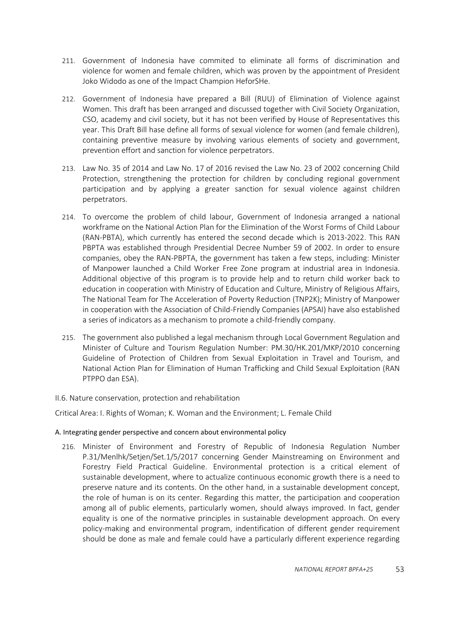- 211. Government of Indonesia have commited to eliminate all forms of discrimination and violence for women and female children, which was proven by the appointment of President Joko Widodo as one of the Impact Champion HeforSHe.
- 212. Government of Indonesia have prepared a Bill (RUU) of Elimination of Violence against Women. This draft has been arranged and discussed together with Civil Society Organization, CSO, academy and civil society, but it has not been verified by House of Representatives this year. This Draft Bill hase define all forms of sexual violence for women (and female children), containing preventive measure by involving various elements of society and government, prevention effort and sanction for violence perpetrators.
- 213. Law No. 35 of 2014 and Law No. 17 of 2016 revised the Law No. 23 of 2002 concerning Child Protection, strengthening the protection for children by concluding regional government participation and by applying a greater sanction for sexual violence against children perpetrators.
- 214. To overcome the problem of child labour, Government of Indonesia arranged a national workframe on the National Action Plan for the Elimination of the Worst Forms of Child Labour (RAN-PBTA), which currently has entered the second decade which is 2013-2022. This RAN PBPTA was established through Presidential Decree Number 59 of 2002. In order to ensure companies, obey the RAN-PBPTA, the government has taken a few steps, including: Minister of Manpower launched a Child Worker Free Zone program at industrial area in Indonesia. Additional objective of this program is to provide help and to return child worker back to education in cooperation with Ministry of Education and Culture, Ministry of Religious Affairs, The National Team for The Acceleration of Poverty Reduction (TNP2K); Ministry of Manpower in cooperation with the Association of Child-Friendly Companies (APSAI) have also established a series of indicators as a mechanism to promote a child-friendly company.
- 215. The government also published a legal mechanism through Local Government Regulation and Minister of Culture and Tourism Regulation Number: PM.30/HK.201/MKP/2010 concerning Guideline of Protection of Children from Sexual Exploitation in Travel and Tourism, and National Action Plan for Elimination of Human Trafficking and Child Sexual Exploitation (RAN PTPPO dan ESA).

## <span id="page-52-0"></span>II.6. Nature conservation, protection and rehabilitation

Critical Area: I. Rights of Woman; K. Woman and the Environment; L. Female Child

## <span id="page-52-1"></span>A. Integrating gender perspective and concern about environmental policy

216. Minister of Environment and Forestry of Republic of Indonesia Regulation Number P.31/Menlhk/Setjen/Set.1/5/2017 concerning Gender Mainstreaming on Environment and Forestry Field Practical Guideline. Environmental protection is a critical element of sustainable development, where to actualize continuous economic growth there is a need to preserve nature and its contents. On the other hand, in a sustainable development concept, the role of human is on its center. Regarding this matter, the participation and cooperation among all of public elements, particularly women, should always improved. In fact, gender equality is one of the normative principles in sustainable development approach. On every policy-making and environmental program, indentification of different gender requirement should be done as male and female could have a particularly different experience regarding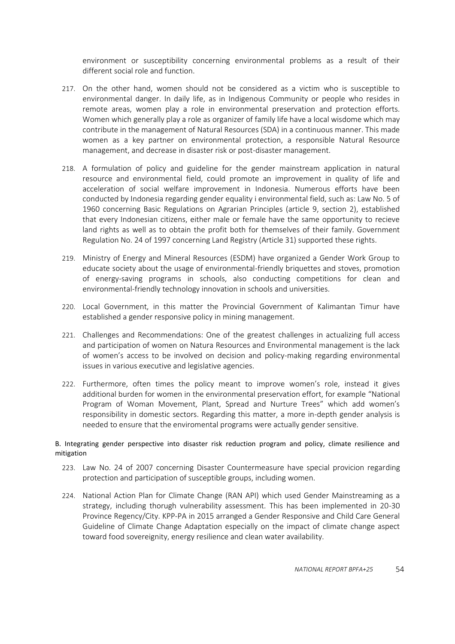environment or susceptibility concerning environmental problems as a result of their different social role and function.

- 217. On the other hand, women should not be considered as a victim who is susceptible to environmental danger. In daily life, as in Indigenous Community or people who resides in remote areas, women play a role in environmental preservation and protection efforts. Women which generally play a role as organizer of family life have a local wisdome which may contribute in the management of Natural Resources (SDA) in a continuous manner. This made women as a key partner on environmental protection, a responsible Natural Resource management, and decrease in disaster risk or post-disaster management.
- 218. A formulation of policy and guideline for the gender mainstream application in natural resource and environmental field, could promote an improvement in quality of life and acceleration of social welfare improvement in Indonesia. Numerous efforts have been conducted by Indonesia regarding gender equality i environmental field, such as: Law No. 5 of 1960 concerning Basic Regulations on Agrarian Principles (article 9, section 2), established that every Indonesian citizens, either male or female have the same opportunity to recieve land rights as well as to obtain the profit both for themselves of their family. Government Regulation No. 24 of 1997 concerning Land Registry (Article 31) supported these rights.
- 219. Ministry of Energy and Mineral Resources (ESDM) have organized a Gender Work Group to educate society about the usage of environmental-friendly briquettes and stoves, promotion of energy-saving programs in schools, also conducting competitions for clean and environmental-friendly technology innovation in schools and universities.
- 220. Local Government, in this matter the Provincial Government of Kalimantan Timur have established a gender responsive policy in mining management.
- 221. Challenges and Recommendations: One of the greatest challenges in actualizing full access and participation of women on Natura Resources and Environmental management is the lack of women's access to be involved on decision and policy-making regarding environmental issues in various executive and legislative agencies.
- 222. Furthermore, often times the policy meant to improve women's role, instead it gives additional burden for women in the environmental preservation effort, for example "National Program of Woman Movement, Plant, Spread and Nurture Trees" which add women's responsibility in domestic sectors. Regarding this matter, a more in-depth gender analysis is needed to ensure that the enviromental programs were actually gender sensitive.

## <span id="page-53-0"></span>B. Integrating gender perspective into disaster risk reduction program and policy, climate resilience and mitigation

- 223. Law No. 24 of 2007 concerning Disaster Countermeasure have special provicion regarding protection and participation of susceptible groups, including women.
- 224. National Action Plan for Climate Change (RAN API) which used Gender Mainstreaming as a strategy, including thorugh vulnerability assessment. This has been implemented in 20-30 Province Regency/City. KPP-PA in 2015 arranged a Gender Responsive and Child Care General Guideline of Climate Change Adaptation especially on the impact of climate change aspect toward food sovereignity, energy resilience and clean water availability.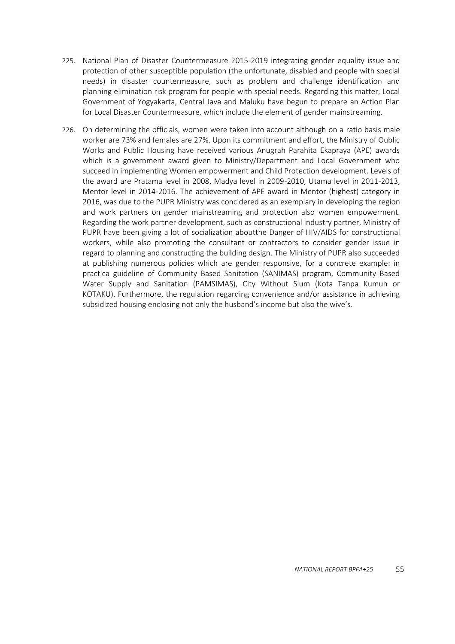- 225. National Plan of Disaster Countermeasure 2015-2019 integrating gender equality issue and protection of other susceptible population (the unfortunate, disabled and people with special needs) in disaster countermeasure, such as problem and challenge identification and planning elimination risk program for people with special needs. Regarding this matter, Local Government of Yogyakarta, Central Java and Maluku have begun to prepare an Action Plan for Local Disaster Countermeasure, which include the element of gender mainstreaming.
- 226. On determining the officials, women were taken into account although on a ratio basis male worker are 73% and females are 27%. Upon its commitment and effort, the Ministry of Oublic Works and Public Housing have received various Anugrah Parahita Ekapraya (APE) awards which is a government award given to Ministry/Department and Local Government who succeed in implementing Women empowerment and Child Protection development. Levels of the award are Pratama level in 2008, Madya level in 2009-2010, Utama level in 2011-2013, Mentor level in 2014-2016. The achievement of APE award in Mentor (highest) category in 2016, was due to the PUPR Ministry was concidered as an exemplary in developing the region and work partners on gender mainstreaming and protection also women empowerment. Regarding the work partner development, such as constructional industry partner, Ministry of PUPR have been giving a lot of socialization aboutthe Danger of HIV/AIDS for constructional workers, while also promoting the consultant or contractors to consider gender issue in regard to planning and constructing the building design. The Ministry of PUPR also succeeded at publishing numerous policies which are gender responsive, for a concrete example: in practica guideline of Community Based Sanitation (SANIMAS) program, Community Based Water Supply and Sanitation (PAMSIMAS), City Without Slum (Kota Tanpa Kumuh or KOTAKU). Furthermore, the regulation regarding convenience and/or assistance in achieving subsidized housing enclosing not only the husband's income but also the wive's.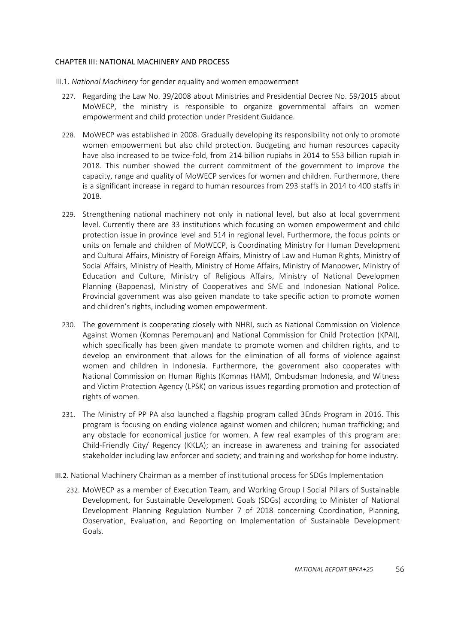## <span id="page-55-0"></span>CHAPTER III: NATIONAL MACHINERY AND PROCESS

- <span id="page-55-1"></span>III.1. *National Machinery* for gender equality and women empowerment
	- 227. Regarding the Law No. 39/2008 about Ministries and Presidential Decree No. 59/2015 about MoWECP, the ministry is responsible to organize governmental affairs on women empowerment and child protection under President Guidance.
	- 228. MoWECP was established in 2008. Gradually developing its responsibility not only to promote women empowerment but also child protection. Budgeting and human resources capacity have also increased to be twice-fold, from 214 billion rupiahs in 2014 to 553 billion rupiah in 2018. This number showed the current commitment of the government to improve the capacity, range and quality of MoWECP services for women and children. Furthermore, there is a significant increase in regard to human resources from 293 staffs in 2014 to 400 staffs in 2018.
	- 229. Strengthening national machinery not only in national level, but also at local government level. Currently there are 33 institutions which focusing on women empowerment and child protection issue in province level and 514 in regional level. Furthermore, the focus points or units on female and children of MoWECP, is Coordinating Ministry for Human Development and Cultural Affairs, Ministry of Foreign Affairs, Ministry of Law and Human Rights, Ministry of Social Affairs, Ministry of Health, Ministry of Home Affairs, Ministry of Manpower, Ministry of Education and Culture, Ministry of Religious Affairs, Ministry of National Developmen Planning (Bappenas), Ministry of Cooperatives and SME and Indonesian National Police. Provincial government was also geiven mandate to take specific action to promote women and children's rights, including women empowerment.
	- 230. The government is cooperating closely with NHRI, such as National Commission on Violence Against Women (Komnas Perempuan) and National Commission for Child Protection (KPAI), which specifically has been given mandate to promote women and children rights, and to develop an environment that allows for the elimination of all forms of violence against women and children in Indonesia. Furthermore, the government also cooperates with National Commission on Human Rights (Komnas HAM), Ombudsman Indonesia, and Witness and Victim Protection Agency (LPSK) on various issues regarding promotion and protection of rights of women.
	- 231. The Ministry of PP PA also launched a flagship program called 3Ends Program in 2016. This program is focusing on ending violence against women and children; human trafficking; and any obstacle for economical justice for women. A few real examples of this program are: Child-Friendly City/ Regency (KKLA); an increase in awareness and training for associated stakeholder including law enforcer and society; and training and workshop for home industry.
- <span id="page-55-2"></span>III.2. National Machinery Chairman as a member of institutional process for SDGs Implementation
	- 232. MoWECP as a member of Execution Team, and Working Group I Social Pillars of Sustainable Development, for Sustainable Development Goals (SDGs) according to Minister of National Development Planning Regulation Number 7 of 2018 concerning Coordination, Planning, Observation, Evaluation, and Reporting on Implementation of Sustainable Development Goals.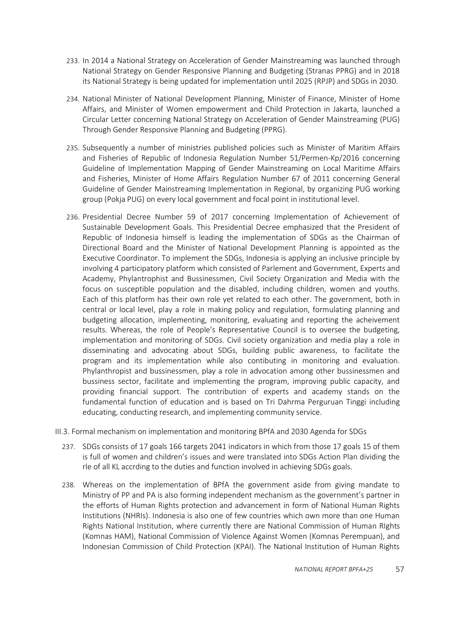- 233. In 2014 a National Strategy on Acceleration of Gender Mainstreaming was launched through National Strategy on Gender Responsive Planning and Budgeting (Stranas PPRG) and in 2018 its National Strategy is being updated for implementation until 2025 (RPJP) and SDGs in 2030.
- 234. National Minister of National Development Planning, Minister of Finance, Minister of Home Affairs, and Minister of Women empowerment and Child Protection in Jakarta, launched a Circular Letter concerning National Strategy on Acceleration of Gender Mainstreaming (PUG) Through Gender Responsive Planning and Budgeting (PPRG).
- 235. Subsequently a number of ministries published policies such as Minister of Maritim Affairs and Fisheries of Republic of Indonesia Regulation Number 51/Permen-Kp/2016 concerning Guideline of Implementation Mapping of Gender Mainstreaming on Local Maritime Affairs and Fisheries, Minister of Home Affairs Regulation Number 67 of 2011 concerning General Guideline of Gender Mainstreaming Implementation in Regional, by organizing PUG working group (Pokja PUG) on every local government and focal point in institutional level.
- 236. Presidential Decree Number 59 of 2017 concerning Implementation of Achievement of Sustainable Development Goals. This Presidential Decree emphasized that the President of Republic of Indonesia himself is leading the implementation of SDGs as the Chairman of Directional Board and the Minister of National Development Planning is appointed as the Executive Coordinator. To implement the SDGs, Indonesia is applying an inclusive principle by involving 4 participatory platform which consisted of Parlement and Government, Experts and Academy, Phylantrophist and Bussinessmen, Civil Society Organization and Media with the focus on susceptible population and the disabled, including children, women and youths. Each of this platform has their own role yet related to each other. The government, both in central or local level, play a role in making policy and regulation, formulating planning and budgeting allocation, implementing, monitoring, evaluating and reporting the acheivement results. Whereas, the role of People's Representative Council is to oversee the budgeting, implementation and monitoring of SDGs. Civil society organization and media play a role in disseminating and advocating about SDGs, building public awareness, to facilitate the program and its implementation while also contibuting in monitoring and evaluation. Phylanthropist and bussinessmen, play a role in advocation among other bussinessmen and bussiness sector, facilitate and implementing the program, improving public capacity, and providing financial support. The contribution of experts and academy stands on the fundamental function of education and is based on Tri Dahrma Perguruan Tinggi including educating, conducting research, and implementing community service.

<span id="page-56-0"></span>III.3. Formal mechanism on implementation and monitoring BPfA and 2030 Agenda for SDGs

- 237. SDGs consists of 17 goals 166 targets 2041 indicators in which from those 17 goals 15 of them is full of women and children's issues and were translated into SDGs Action Plan dividing the rle of all KL accrding to the duties and function involved in achieving SDGs goals.
- 238. Whereas on the implementation of BPfA the government aside from giving mandate to Ministry of PP and PA is also forming independent mechanism as the government's partner in the efforts of Human Rights protection and advancement in form of National Human Rights Institutions (NHRIs). Indonesia is also one of few countries which own more than one Human Rights National Institution, where currently there are National Commission of Human RIghts (Komnas HAM), National Commission of Violence Against Women (Komnas Perempuan), and Indonesian Commission of Child Protection (KPAI). The National Institution of Human Rights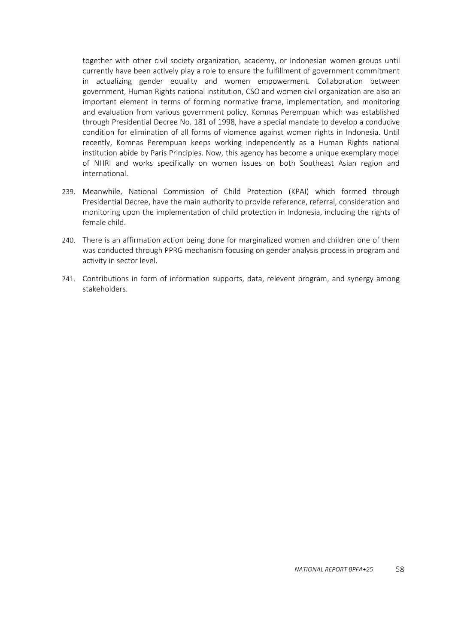together with other civil society organization, academy, or Indonesian women groups until currently have been actively play a role to ensure the fulfillment of government commitment in actualizing gender equality and women empowerment. Collaboration between government, Human Rights national institution, CSO and women civil organization are also an important element in terms of forming normative frame, implementation, and monitoring and evaluation from various government policy. Komnas Perempuan which was established through Presidential Decree No. 181 of 1998, have a special mandate to develop a conducive condition for elimination of all forms of viomence against women rights in Indonesia. Until recently, Komnas Perempuan keeps working independently as a Human Rights national institution abide by Paris Principles. Now, this agency has become a unique exemplary model of NHRI and works specifically on women issues on both Southeast Asian region and international.

- 239. Meanwhile, National Commission of Child Protection (KPAI) which formed through Presidential Decree, have the main authority to provide reference, referral, consideration and monitoring upon the implementation of child protection in Indonesia, including the rights of female child.
- 240. There is an affirmation action being done for marginalized women and children one of them was conducted through PPRG mechanism focusing on gender analysis process in program and activity in sector level.
- 241. Contributions in form of information supports, data, relevent program, and synergy among stakeholders.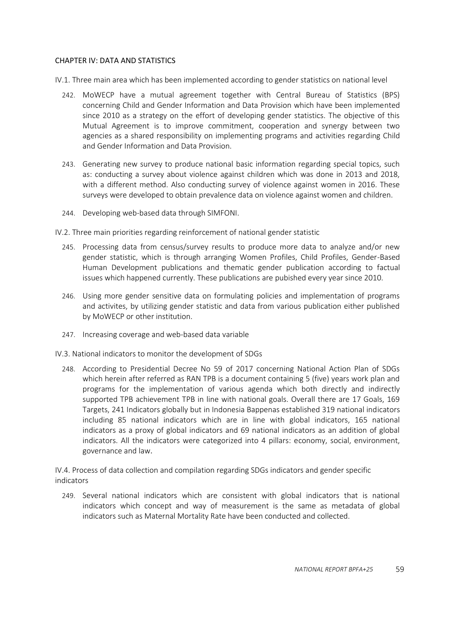## <span id="page-58-0"></span>CHAPTER IV: DATA AND STATISTICS

<span id="page-58-1"></span>IV.1. Three main area which has been implemented according to gender statistics on national level

- 242. MoWECP have a mutual agreement together with Central Bureau of Statistics (BPS) concerning Child and Gender Information and Data Provision which have been implemented since 2010 as a strategy on the effort of developing gender statistics. The objective of this Mutual Agreement is to improve commitment, cooperation and synergy between two agencies as a shared responsibility on implementing programs and activities regarding Child and Gender Information and Data Provision.
- 243. Generating new survey to produce national basic information regarding special topics, such as: conducting a survey about violence against children which was done in 2013 and 2018, with a different method. Also conducting survey of violence against women in 2016. These surveys were developed to obtain prevalence data on violence against women and children.
- 244. Developing web-based data through SIMFONI.

<span id="page-58-2"></span>IV.2. Three main priorities regarding reinforcement of national gender statistic

- 245. Processing data from census/survey results to produce more data to analyze and/or new gender statistic, which is through arranging Women Profiles, Child Profiles, Gender-Based Human Development publications and thematic gender publication according to factual issues which happened currently. These publications are pubished every year since 2010.
- 246. Using more gender sensitive data on formulating policies and implementation of programs and activites, by utilizing gender statistic and data from various publication either published by MoWECP or other institution.
- 247. Increasing coverage and web-based data variable

<span id="page-58-3"></span>IV.3. National indicators to monitor the development of SDGs

248. According to Presidential Decree No 59 of 2017 concerning National Action Plan of SDGs which herein after referred as RAN TPB is a document containing 5 (five) years work plan and programs for the implementation of various agenda which both directly and indirectly supported TPB achievement TPB in line with national goals. Overall there are 17 Goals, 169 Targets, 241 Indicators globally but in Indonesia Bappenas established 319 national indicators including 85 national indicators which are in line with global indicators, 165 national indicators as a proxy of global indicators and 69 national indicators as an addition of global indicators. All the indicators were categorized into 4 pillars: economy, social, environment, governance and law.

<span id="page-58-4"></span>IV.4. Process of data collection and compilation regarding SDGs indicators and gender specific indicators

249. Several national indicators which are consistent with global indicators that is national indicators which concept and way of measurement is the same as metadata of global indicators such as Maternal Mortality Rate have been conducted and collected.